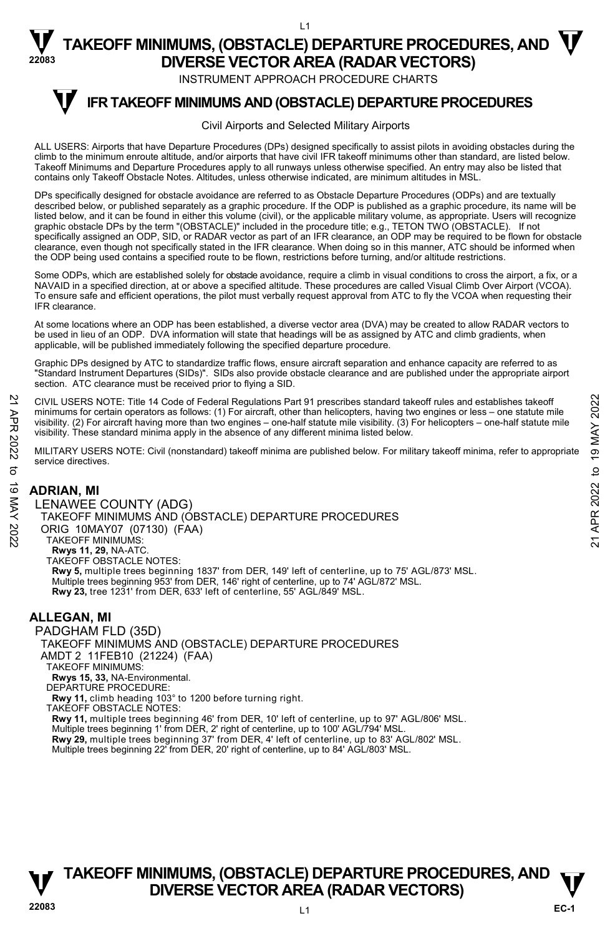INSTRUMENT APPROACH PROCEDURE CHARTS

#### **IFR TAKEOFF MINIMUMS AND (OBSTACLE) DEPARTURE PROCEDURES T**

#### Civil Airports and Selected Military Airports

ALL USERS: Airports that have Departure Procedures (DPs) designed specifically to assist pilots in avoiding obstacles during the climb to the minimum enroute altitude, and/or airports that have civil IFR takeoff minimums other than standard, are listed below. Takeoff Minimums and Departure Procedures apply to all runways unless otherwise specified. An entry may also be listed that contains only Takeoff Obstacle Notes. Altitudes, unless otherwise indicated, are minimum altitudes in MSL.

DPs specifically designed for obstacle avoidance are referred to as Obstacle Departure Procedures (ODPs) and are textually described below, or published separately as a graphic procedure. If the ODP is published as a graphic procedure, its name will be listed below, and it can be found in either this volume (civil), or the applicable military volume, as appropriate. Users will recognize<br>graphic obstacle DPs by the term "(OBSTACLE)" included in the procedure title; e.g., specifically assigned an ODP, SID, or RADAR vector as part of an IFR clearance, an ODP may be required to be flown for obstacle clearance, even though not specifically stated in the IFR clearance. When doing so in this manner, ATC should be informed when<br>the ODP being used contains a specified route to be flown, restrictions before turning, and/or

Some ODPs, which are established solely for obstacle avoidance, require a climb in visual conditions to cross the airport, a fix, or a NAVAID in a specified direction, at or above a specified altitude. These procedures are called Visual Climb Over Airport (VCOA). To ensure safe and efficient operations, the pilot must verbally request approval from ATC to fly the VCOA when requesting their IFR clearance.

At some locations where an ODP has been established, a diverse vector area (DVA) may be created to allow RADAR vectors to be used in lieu of an ODP. DVA information will state that headings will be as assigned by ATC and climb gradients, when applicable, will be published immediately following the specified departure procedure.

Graphic DPs designed by ATC to standardize traffic flows, ensure aircraft separation and enhance capacity are referred to as "Standard Instrument Departures (SIDs)". SIDs also provide obstacle clearance and are published under the appropriate airport section. ATC clearance must be received prior to flying a SID.

CIVIL USERS NOTE: Title 14 Code of Federal Regulations Part 91 prescribes standard takeoff rules and establishes takeoff minimums for certain operators as follows: (1) For aircraft, other than helicopters, having two engines or less – one statute mile<br>visibility. (2) For aircraft having more than two engines – one-half statute mile visibilit visibility. These standard minima apply in the absence of any different minima listed below. CIVIL USERS NOTE: Title 14 Code of Federal Regulations Part 91 prescribes standard takeoff rules and establishes takeoff<br>
minimums for certain operators as follows: (1) For aircraft, other than helicopters, having two eng

MILITARY USERS NOTE: Civil (nonstandard) takeoff minima are published below. For military takeoff minima, refer to appropriate service directives.

#### **ADRIAN, MI**

LENAWEE COUNTY (ADG) TAKEOFF MINIMUMS AND (OBSTACLE) DEPARTURE PROCEDURES ORIG 10MAY07 (07130) (FAA) TAKEOFF MINIMUMS: **Rwys 11, 29,** NA-ATC. TAKEOFF OBSTACLE NOTES: **Rwy 5,** multiple trees beginning 1837' from DER, 149' left of centerline, up to 75' AGL/873' MSL. Multiple trees beginning 953' from DER, 146' right of centerline, up to 74' AGL/872' MSL. **Rwy 23,** tree 1231' from DER, 633' left of centerline, 55' AGL/849' MSL.

#### **ALLEGAN, MI**

PADGHAM FLD (35D) TAKEOFF MINIMUMS AND (OBSTACLE) DEPARTURE PROCEDURES AMDT 2 11FEB10 (21224) (FAA) TAKEOFF MINIMUMS: **Rwys 15, 33,** NA-Environmental. DEPARTURE PROCEDURE: **Rwy 11,** climb heading 103° to 1200 before turning right. TAKEOFF OBSTACLE NOTES: **Rwy 11,** multiple trees beginning 46' from DER, 10' left of centerline, up to 97' AGL/806' MSL. Multiple trees beginning 1' from DER, 2' right of centerline, up to 100' AGL/794' MSL.<br>**Rwy 29,** multiple trees beginning 37' from DER, 4' left of centerline, up to 83' AGL/802' MSL. Multiple trees beginning 22' from DER, 20' right of centerline, up to 84' AGL/803' MSL.

# **TAKEOFF MINIMUMS, (OBSTACLE) DEPARTURE PROCEDURES, AND**  $\mathbf{\mathbf{\mathbf{\mathbf{V}}}}$ **DIVERSE VECTOR AREA (RADAR VECTORS) 22083** L1

**EC-1**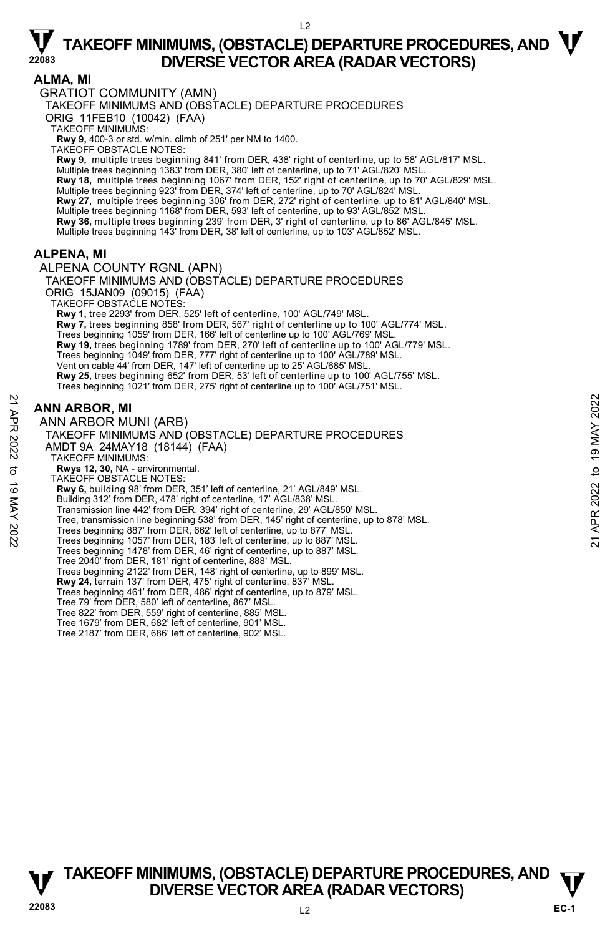#### $\overline{2}$

# $\nabla$  TAKEOFF MINIMUMS, (OBSTACLE) DEPARTURE PROCEDURES, AND  $\nabla$ **DIVERSE VECTOR AREA (RADAR VECTORS)**

#### **ALMA, MI**

GRATIOT COMMUNITY (AMN)

TAKEOFF MINIMUMS AND (OBSTACLE) DEPARTURE PROCEDURES

ORIG 11FEB10 (10042) (FAA)

TAKEOFF MINIMUMS:

**Rwy 9,** 400-3 or std. w/min. climb of 251' per NM to 1400.

TAKEOFF OBSTACLE NOTES:

**Rwy 9,** multiple trees beginning 841' from DER, 438' right of centerline, up to 58' AGL/817' MSL. Multiple trees beginning 1383' from DER, 380' left of centerline, up to 71' AGL/820' MSL.

**Rwy 18,** multiple trees beginning 1067' from DER, 152' right of centerline, up to 70' AGL/829' MSL.<br>Multiple trees beginning 923' from DER, 374' left of centerline, up to 70' AGL/824' MSL.

**Rwy 27,** multiple trees beginning 306' from DER, 272' right of centerline, up to 81' AGL/840' MSL. Multiple trees beginning 1168' from DER, 593' left of centerline, up to 93' AGL/852' MSL.

**Rwy 36,** multiple trees beginning 239' from DER, 3' right of centerline, up to 86' AGL/845' MSL.

Multiple trees beginning 143' from DER, 38' left of centerline, up to 103' AGL/852' MSL.

### **ALPENA, MI**

ALPENA COUNTY RGNL (APN)

TAKEOFF MINIMUMS AND (OBSTACLE) DEPARTURE PROCEDURES ORIG 15JAN09 (09015) (FAA) TAKEOFF OBSTACLE NOTES: **Rwy 1,** tree 2293' from DER, 525' left of centerline, 100' AGL/749' MSL. **Rwy 7,** trees beginning 858' from DER, 567' right of centerline up to 100' AGL/774' MSL. Trees beginning 1059' from DER, 166' left of centerline up to 100' AGL/769' MSL. **Rwy 19,** trees beginning 1789' from DER, 270' left of centerline up to 100' AGL/779' MSL. Trees beginning 1049' from DER, 777' right of centerline up to 100' AGL/789' MSL. Vent on cable 44' from DER, 147' left of centerline up to 25' AGL/685' MSL. **Rwy 25,** trees beginning 652' from DER, 53' left of centerline up to 100' AGL/755' MSL. Trees beginning 1021' from DER, 275' right of centerline up to 100' AGL/751' MSL.

### **ANN ARBOR, MI**

ANN ARBOR MUNI (ARB) TAKEOFF MINIMUMS AND (OBSTACLE) DEPARTURE PROCEDURES AMDT 9A 24MAY18 (18144) (FAA) TAKEOFF MINIMUMS: **Rwys 12, 30,** NA - environmental. TAKEOFF OBSTACLE NOTES: **Rwy 6,** building 98' from DER, 351' left of centerline, 21' AGL/849' MSL. Building 312' from DER, 478' right of centerline, 17' AGL/838' MSL. Transmission line 442' from DER, 394' right of centerline, 29' AGL/850' MSL. Tree, transmission line beginning 538' from DER, 145' right of centerline, up to 878' MSL. Trees beginning 887' from DER, 662' left of centerline, up to 877' MSL. Trees beginning 1057' from DER, 183' left of centerline, up to 887' MSL. Trees beginning 1478' from DER, 46' right of centerline, up to 887' MSL. Tree 2040' from DER, 181' right of centerline, 888' MSL. Trees beginning 2122' from DER, 148' right of centerline, up to 899' MSL. **Rwy 24,** terrain 137' from DER, 475' right of centerline, 837' MSL. Trees beginning 461' from DER, 486' right of centerline, up to 879' MSL. Tree 79' from DER, 580' left of centerline, 867' MSL. Tree 822' from DER, 559' right of centerline, 885' MSL. Tree 1679' from DER, 682' left of centerline, 901' MSL. Tree 2187' from DER, 686' left of centerline, 902' MSL. **ANN ARBOR, MI**<br> **21 ANN ARBOR MUNI (ARB)**<br>
TAKEOFF MINIMUMS AND (OBSTACLE) DEPARTURE PROCEDURES<br>
TAKEOFF MINIMUMS AND (OBSTACLE) DEPARTURE PROCEDURES<br>
AMDT 9A 24MAY18 (18144) (FAA)<br>
TAKEOFF MINIMUMS:<br> **22**<br> **23**<br> **23**<br>

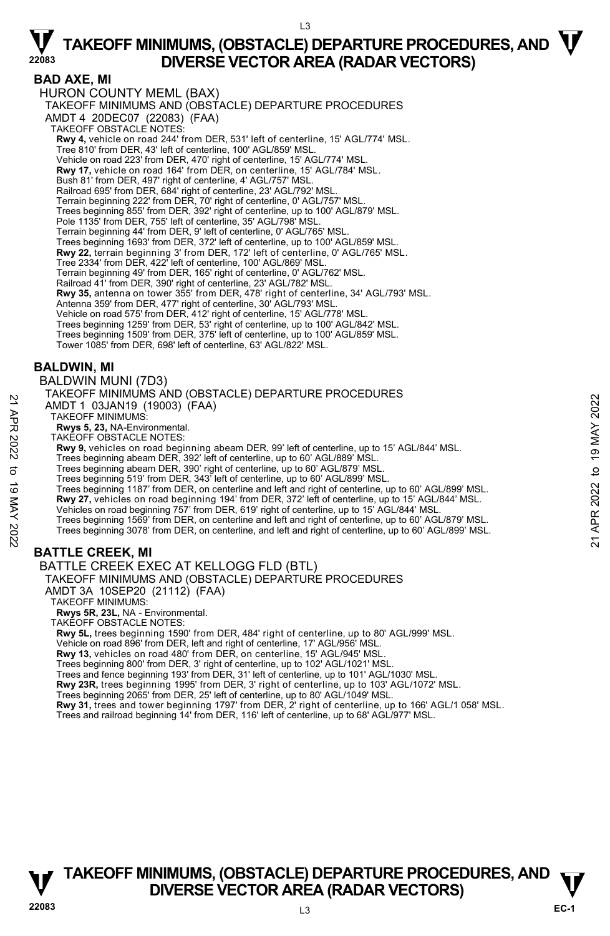$\overline{3}$ 

### **BAD AXE, MI**

HURON COUNTY MEML (BAX) TAKEOFF MINIMUMS AND (OBSTACLE) DEPARTURE PROCEDURES AMDT 4 20DEC07 (22083) (FAA) TAKEOFF OBSTACLE NOTES: **Rwy 4,** vehicle on road 244' from DER, 531' left of centerline, 15' AGL/774' MSL. Tree 810' from DER, 43' left of centerline, 100' AGL/859' MSL. Vehicle on road 223' from DER, 470' right of centerline, 15' AGL/774' MSL. **Rwy 17,** vehicle on road 164' from DER, on centerline, 15' AGL/784' MSL. Bush 81' from DER, 497' right of centerline, 4' AGL/757' MSL. Railroad 695' from DER, 684' right of centerline, 23' AGL/792' MSL. Terrain beginning 222' from DER, 70' right of centerline, 0' AGL/757' MSL. Trees beginning 855' from DER, 392' right of centerline, up to 100' AGL/879' MSL. Pole 1135' from DER, 755' left of centerline, 35' AGL/798' MSL. Terrain beginning 44' from DER, 9' left of centerline, 0' AGL/765' MSL. Trees beginning 1693' from DER, 372' left of centerline, up to 100' AGL/859' MSL. **Rwy 22,** terrain beginning 3' from DER, 172' left of centerline, 0' AGL/765' MSL. Tree 2334' from DER, 422' left of centerline, 100' AGL/869' MSL. Terrain beginning 49' from DER, 165' right of centerline, 0' AGL/762' MSL. Railroad 41' from DER, 390' right of centerline, 23' AGL/782' MSL.<br>**Rwy 35,** antenna on tower 355' from DER, 478' right of centerline, 34' AGL/793' MSL. Antenna 359' from DER, 477' right of centerline, 30' AGL/793' MSL. Vehicle on road 575' from DER, 412' right of centerline, 15' AGL/778' MSL. Trees beginning 1259' from DER, 53' right of centerline, up to 100' AGL/842' MSL. Trees beginning 1509' from DER, 375' left of centerline, up to 100' AGL/859' MSL. Tower 1085' from DER, 698' left of centerline, 63' AGL/822' MSL.

#### **BALDWIN, MI**

BALDWIN MUNI (7D3)

TAKEOFF MINIMUMS AND (OBSTACLE) DEPARTURE PROCEDURES AMDT 1 03JAN19 (19003) (FAA) TAKEOFF MINIMUMS: **Rwys 5, 23,** NA-Environmental. TAKEOFF OBSTACLE NOTES: **Rwy 9,** vehicles on road beginning abeam DER, 99' left of centerline, up to 15' AGL/844' MSL. Trees beginning abeam DER, 392' left of centerline, up to 60' AGL/889' MSL. Trees beginning abeam DER, 390' right of centerline, up to 60' AGL/879' MSL. Trees beginning 519' from DER, 343' left of centerline, up to 60' AGL/899' MSL. Trees beginning 1187' from DER, on centerline and left and right of centerline, up to 60' AGL/899' MSL. **Rwy 27,** vehicles on road beginning 194' from DER, 372' left of centerline, up to 15' AGL/844' MSL. Vehicles on road beginning 757' from DER, 619' right of centerline, up to 15' AGL/844' MSL. Trees beginning 1569' from DER, on centerline and left and right of centerline, up to 60' AGL/879' MSL. Trees beginning 3078' from DER, on centerline, and left and right of centerline, up to 60' AGL/899' MSL. **BATTLE CREEK, MI**  BATTLE CREEK EXEC AT KELLOGG FLD (BTL) TAKEOFF MINIMUMS AND (OBSTACLE) DEPARTURE PROCEDURES AMDT 1 03JAN19 (19003) (FAA)<br>
21 TAKEOFF MINIMUMS:<br>
RWYS 5, 23, NA-Environmental.<br>
RWYS 5, 23, NA-Environmental.<br>
RWYS 5, 23, NA-Environmental.<br>
TAKEOFF OBSTACLE NOTES:<br>
RWY 9, vehicles on road beginning abeam DER, 99' lef

AMDT 3A 10SEP20 (21112) (FAA)

TAKEOFF MINIMUMS:

**Rwys 5R, 23L,** NA - Environmental.

TAKEOFF OBSTACLE NOTES:

**Rwy 5L,** trees beginning 1590' from DER, 484' right of centerline, up to 80' AGL/999' MSL.

Vehicle on road 896' from DER, left and right of centerline, 17' AGL/956' MSL.

**Rwy 13,** vehicles on road 480' from DER, on centerline, 15' AGL/945' MSL.

Trees beginning 800' from DER, 3' right of centerline, up to 102' AGL/1021' MSL.

Trees and fence beginning 193' from DER, 31' left of centerline, up to 101' AGL/1030' MSL.

**Rwy 23R,** trees beginning 1995' from DER, 3' right of centerline, up to 103' AGL/1072' MSL.

Trees beginning 2065' from DER, 25' left of centerline, up to 80' AGL/1049' MSL.

**Rwy 31,** trees and tower beginning 1797' from DER, 2' right of centerline, up to 166' AGL/1 058' MSL.<br>Trees and railroad beginning 14' from DER, 116' left of centerline, up to 68' AGL/977' MSL.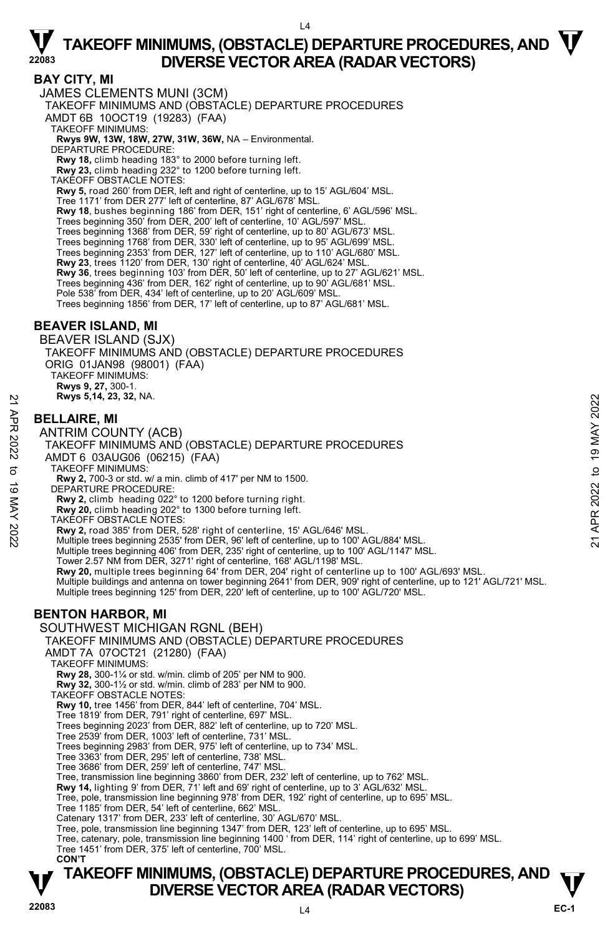$\overline{A}$ 

#### **BAY CITY, MI**

JAMES CLEMENTS MUNI (3CM)

TAKEOFF MINIMUMS AND (OBSTACLE) DEPARTURE PROCEDURES

AMDT 6B 10OCT19 (19283) (FAA)

TAKEOFF MINIMUMS:

## **Rwys 9W, 13W, 18W, 27W, 31W, 36W,** NA – Environmental. DEPARTURE PROCEDURE:

**Rwy 18,** climb heading 183° to 2000 before turning left.

**Rwy 23,** climb heading 232° to 1200 before turning left.

TAKEOFF OBSTACLE NOTES:

**Rwy 5,** road 260' from DER, left and right of centerline, up to 15' AGL/604' MSL.

Tree 1171' from DER 277' left of centerline, 87' AGL/678' MSL.

**Rwy 18**, bushes beginning 186' from DER, 151' right of centerline, 6' AGL/596' MSL.<br>Trees beginning 350' from DER, 200' left of centerline, 10' AGL/597' MSL.

Trees beginning 1368' from DER, 59' right of centerline, up to 80' AGL/673' MSL.

Trees beginning 1768' from DER, 330' left of centerline, up to 95' AGL/699' MSL. Trees beginning 2353' from DER, 127' left of centerline, up to 110' AGL/680' MSL.

**Rwy 23**, trees 1120' from DER, 130' right of centerline, 40' AGL/624' MSL.

**Rwy 36**, trees beginning 103' from DER, 50' left of centerline, up to 27' AGL/621' MSL.

Trees beginning 436' from DER, 162' right of centerline, up to 90' AGL/681' MSL.

Pole 538' from DER, 434' left of centerline, up to 20' AGL/609' MSL Trees beginning 1856' from DER, 17' left of centerline, up to 87' AGL/681' MSL.

#### **BEAVER ISLAND, MI**

BEAVER ISLAND (SJX) TAKEOFF MINIMUMS AND (OBSTACLE) DEPARTURE PROCEDURES ORIG 01JAN98 (98001) (FAA) TAKEOFF MINIMUMS: **Rwys 9, 27,** 300-1. **Rwys 5,14, 23, 32,** NA.

#### **BELLAIRE, MI**

ANTRIM COUNTY (ACB) TAKEOFF MINIMUMS AND (OBSTACLE) DEPARTURE PROCEDURES AMDT 6 03AUG06 (06215) (FAA) TAKEOFF MINIMUMS: **Rwy 2,** 700-3 or std. w/ a min. climb of 417' per NM to 1500. DEPARTURE PROCEDURE: **Rwy 2,** climb heading 022° to 1200 before turning right. **Rwy 20,** climb heading 202° to 1300 before turning left. TAKEOFF OBSTACLE NOTES: **EXECUTE:**<br> **BELLAIRE, MI**<br>
ANTRIM COUNTY (ACB)<br>
TAKEOFF MINIMUMS AND (OBSTACLE) DEPARTURE PROCEDURES<br>
TAKEOFF MINIMUMS:<br>
TAKEOFF MINIMUMS:<br>
TAKEOFF MINIMUMS:<br>
TAKEOFF MINIMUMS:<br> **EVARIURE PROCEDURE:**<br>
TAKEOFF MINIMUMS:<br>

**Rwy 2,** road 385' from DER, 528' right of centerline, 15' AGL/646' MSL.<br>Multiple trees beginning 2535' from DER, 96' left of centerline, up to 100' AGL/884' MSL.

Multiple trees beginning 406' from DER, 235' right of centerline, up to 100' AGL/1147' MSL.

Tower 2.57 NM from DER, 3271' right of centerline, 168' AGL/1198' MSL.<br>**Rwy 20,** multiple trees beginning 64' from DER, 204' right of centerline up to 100' AGL/693' MSL.

Multiple buildings and antenna on tower beginning 2641' from DER, 909' right of centerline, up to 121' AGL/721' MSL.

Multiple trees beginning 125' from DER, 220' left of centerline, up to 100' AGL/720' MSL.

### **BENTON HARBOR, MI**

SOUTHWEST MICHIGAN RGNL (BEH)

TAKEOFF MINIMUMS AND (OBSTACLE) DEPARTURE PROCEDURES

AMDT 7A 07OCT21 (21280) (FAA)

TAKEOFF MINIMUMS:

**Rwy 28,** 300-1¼ or std. w/min. climb of 205' per NM to 900.

**Rwy 32,** 300-1½ or std. w/min. climb of 283' per NM to 900.

TAKEOFF OBSTACLE NOTES:

**Rwy 10,** tree 1456' from DER, 844' left of centerline, 704' MSL.

Tree 1819' from DER, 791' right of centerline, 697' MSL. Trees beginning 2023' from DER, 882' left of centerline, up to 720' MSL.

Tree 2539' from DER, 1003' left of centerline, 731' MSL. Trees beginning 2983' from DER, 975' left of centerline, up to 734' MSL.

Tree 3363' from DER, 295' left of centerline, 738' MSL.

Tree 3686' from DER, 259' left of centerline, 747' MSL.

Tree, transmission line beginning 3860' from DER, 232' left of centerline, up to 762' MSL.

**Rwy 14,** lighting 9' from DER, 71' left and 69' right of centerline, up to 3' AGL/632' MSL.

Tree, pole, transmission line beginning 978' from DER, 192' right of centerline, up to 695' MSL.

Tree 1185' from DER, 54' left of centerline, 662' MSL.

Catenary 1317' from DER, 233' left of centerline, 30' AGL/670' MSL.

Tree, pole, transmission line beginning 1347' from DER, 123' left of centerline, up to 695' MSL.

Tree, catenary, pole, transmission line beginning 1400 ' from DER, 114' right of centerline, up to 699' MSL. Tree 1451' from DER, 375' left of centerline, 700' MSL.

 **CON'T**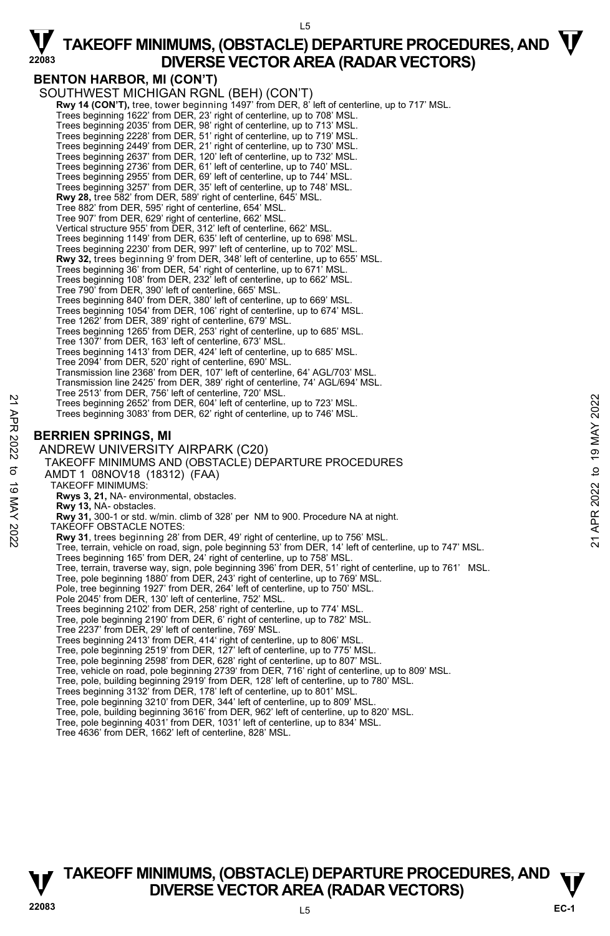$15$ 

### **BENTON HARBOR, MI (CON'T)**

SOUTHWEST MICHIGAN RGNL (BEH) (CON'T) **Rwy 14 (CON'T),** tree, tower beginning 1497' from DER, 8' left of centerline, up to 717' MSL.<br>Trees beginning 1622' from DER, 23' right of centerline, up to 708' MSL. Trees beginning 2035' from DER, 98' right of centerline, up to 713' MSL.<br>Trees beginning 2228' from DER, 51' right of centerline, up to 730' MSL.<br>Trees beginning 2449' from DER, 21' right of centerline, up to 730' MSL. Trees beginning 2637' from DER, 120' left of centerline, up to 732' MSL. Trees beginning 2736' from DER, 61' left of centerline, up to 740' MSL. Trees beginning 2955' from DER, 69' left of centerline, up to 744' MSL. Trees beginning 3257' from DER, 35' left of centerline, up to 748' MSL. **Rwy 28,** tree 582' from DER, 589' right of centerline, 645' MSL. Tree 882' from DER, 595' right of centerline, 654' MSL. Tree 907' from DER, 629' right of centerline, 662' MSL. Vertical structure 955' from DER, 312' left of centerline, 662' MSL. Trees beginning 1149' from DER, 635' left of centerline, up to 698' MSL. Trees beginning 2230' from DER, 997' left of centerline, up to 702' MSL.<br>**Rwy 32,** trees beginning 9' from DER, 348' left of centerline, up to 655' MSL. Trees beginning 36' from DER, 54' right of centerline, up to 671' MSL. Trees beginning 108' from DER, 232' left of centerline, up to 662' MSL. Tree 790' from DER, 390' left of centerline, 665' MSL. Trees beginning 840' from DER, 380' left of centerline, up to 669' MSL. Trees beginning 1054' from DER, 106' right of centerline, up to 674' MSL. Tree 1262' from DER, 389' right of centerline, 679' MSL. Trees beginning 1265' from DER, 253' right of centerline, up to 685' MSL. Tree 1307' from DER, 163' left of centerline, 673' MSL. Trees beginning 1413' from DER, 424' left of centerline, up to 685' MSL. Tree 2094' from DER, 520' right of centerline, 690' MSL. Transmission line 2368' from DER, 107' left of centerline, 64' AGL/703' MSL. Transmission line 2425' from DER, 389' right of centerline, 74' AGL/694' MSL. Tree 2513' from DER, 756' left of centerline, 720' MSL. Trees beginning 2652' from DER, 604' left of centerline, up to 723' MSL. Trees beginning 3083' from DER, 62' right of centerline, up to 746' MSL. **BERRIEN SPRINGS, MI**  ANDREW UNIVERSITY AIRPARK (C20) TAKEOFF MINIMUMS AND (OBSTACLE) DEPARTURE PROCEDURES AMDT 1 08NOV18 (18312) (FAA) TAKEOFF MINIMUMS: **Rwys 3, 21,** NA- environmental, obstacles. **Rwy 13,** NA- obstacles. **Rwy 31,** 300-1 or std. w/min. climb of 328' per NM to 900. Procedure NA at night. TAKEOFF OBSTACLE NOTES: **Rwy 31**, trees beginning 28' from DER, 49' right of centerline, up to 756' MSL. Tree, terrain, vehicle on road, sign, pole beginning 53' from DER, 14' left of centerline, up to 747' MSL. Trees beginning 165' from DER, 24' right of centerline, up to 758' MSL. Tree, terrain, traverse way, sign, pole beginning 396' from DER, 51' right of centerline, up to 761' MSL.<br>Tree, pole beginning 1880' from DER, 243' right of centerline, up to 769' MSL. Pole, tree beginning 1927' from DER, 264' left of centerline, up to 750' MSL. Pole 2045' from DER, 130' left of centerline, 752' MSL. Trees beginning 2102' from DER, 258' right of centerline, up to 774' MSL. Tree, pole beginning 2190' from DER, 6' right of centerline, up to 782' MSL. Tree 2237' from DER, 29' left of centerline, 769' MSL. Trees beginning 2413' from DER, 414' right of centerline, up to 806' MSL. Tree, pole beginning 2519' from DER, 127' left of centerline, up to 775' MSL. Tree, pole beginning 2598' from DER, 628' right of centerline, up to 807' MSL. Tree, vehicle on road, pole beginning 2739' from DER, 716' right of centerline, up to 809' MSL.<br>Tree, pole, building beginning 2919' from DER, 128' left of centerline, up to 780' MSL. Trees beginning 3132' from DER, 178' left of centerline, up to 801' MSL. Tree, pole beginning 3210' from DER, 344' left of centerline, up to 809' MSL. Trees beginning 2652' from DER, 604' left of centerline, up to 723' MSL.<br>
Trees beginning 3083' from DER, 62' right of centerline, up to 746' MSL.<br>
Trees beginning 3083' from DER, 62' right of centerline, up to 746' MSL.<br>

- Tree, pole, building beginning 3616' from DER, 962' left of centerline, up to 820' MSL.
- Tree, pole beginning 4031' from DER, 1031' left of centerline, up to 834' MSL.
- Tree 4636' from DER, 1662' left of centerline, 828' MSL.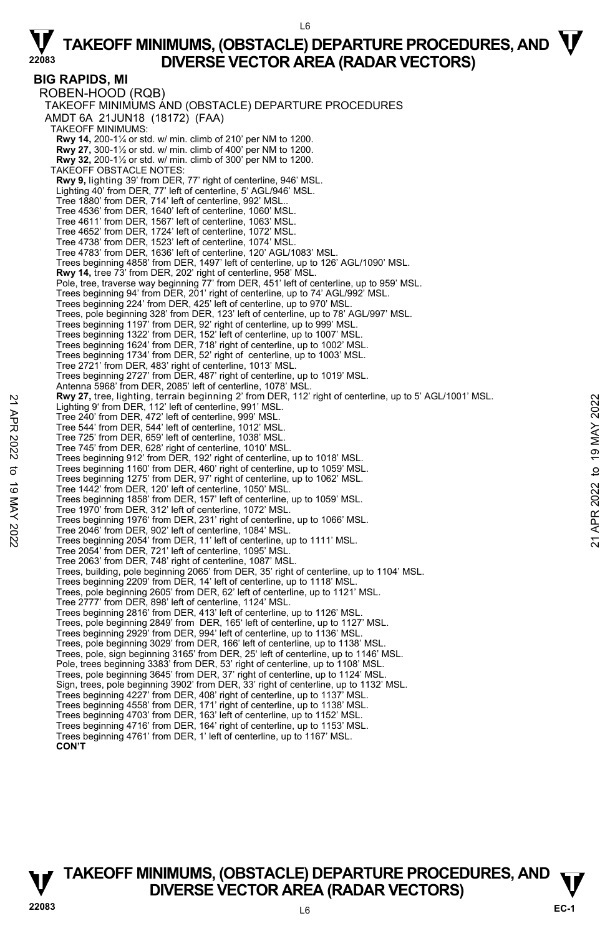L6

**BIG RAPIDS, MI**  ROBEN-HOOD (RQB) TAKEOFF MINIMUMS AND (OBSTACLE) DEPARTURE PROCEDURES AMDT 6A 21JUN18 (18172) (FAA) TAKEOFF MINIMUMS: **Rwy 14,** 200-1¼ or std. w/ min. climb of 210' per NM to 1200. **Rwy 27,** 300-1½ or std. w/ min. climb of 400' per NM to 1200. **Rwy 32,** 200-1½ or std. w/ min. climb of 300' per NM to 1200. TAKEOFF OBSTACLE NOTES: **Rwy 9,** lighting 39' from DER, 77' right of centerline, 946' MSL. Lighting 40' from DER, 77' left of centerline, 5' AGL/946' MSL. Tree 1880' from DER, 714' left of centerline, 992' MSL.. Tree 4536' from DER, 1640' left of centerline, 1060' MSL. Tree 4611' from DER, 1567' left of centerline, 1063' MSL. Tree 4652' from DER, 1724' left of centerline, 1072' MSL. Tree 4738' from DER, 1523' left of centerline, 1074' MSL. Tree 4783' from DER, 1636' left of centerline, 120' AGL/1083' MSL. Trees beginning 4858' from DER, 1497' left of centerline, up to 126' AGL/1090' MSL. **Rwy 14,** tree 73' from DER, 202' right of centerline, 958' MSL. Pole, tree, traverse way beginning 77' from DER, 451' left of centerline, up to 959' MSL.<br>Trees beginning 94' from DER, 201' right of centerline, up to 74' AGL/992' MSL. Trees beginning 224' from DER, 425' left of centerline, up to 970' MSL. Trees, pole beginning 328' from DER, 123' left of centerline, up to 78' AGL/997' MSL.<br>Trees beginning 1197' from DER, 92' right of centerline, up to 999' MSL.<br>Trees beginning 1322' from DER, 152' left of centerline, up to Trees beginning 1624' from DER, 718' right of centerline, up to 1002' MSL. Trees beginning 1734' from DER, 52' right of centerline, up to 1003' MSL. Tree 2721' from DER, 483' right of centerline, 1013' MSL. Trees beginning 2727' from DER, 487' right of centerline, up to 1019' MSL. Antenna 5968' from DER, 2085' left of centerline, 1078' MSL. **Rwy 27,** tree, lighting, terrain beginning 2' from DER, 112' right of centerline, up to 5' AGL/1001' MSL. Lighting 9' from DER, 112' left of centerline, 991' MSL. Tree 240' from DER, 472' left of centerline, 999' MSL. Tree 544' from DER, 544' left of centerline, 1012' MSL. Tree 725' from DER, 659' left of centerline, 1038' MSL. Tree 745' from DER, 628' right of centerline, 1010' MSL. Trees beginning 912' from DER, 192' right of centerline, up to 1018' MSL. Trees beginning 1160' from DER, 460' right of centerline, up to 1059' MSL. Trees beginning 1275' from DER, 97' right of centerline, up to 1062' MSL. Tree 1442' from DER, 120' left of centerline, 1050' MSL. Trees beginning 1858' from DER, 157' left of centerline, up to 1059' MSL. Tree 1970' from DER, 312' left of centerline, 1072' MSL. Trees beginning 1976' from DER, 231' right of centerline, up to 1066' MSL. Tree 2046' from DER, 902' left of centerline, 1084' MSL. Trees beginning 2054' from DER, 11' left of centerline, up to 1111' MSL. Tree 2054' from DER, 721' left of centerline, 1095' MSL. Tree 2063' from DER, 748' right of centerline, 1087' MSL. Trees, building, pole beginning 2065' from DER, 35' right of centerline, up to 1104' MSL. Trees beginning 2209' from DER, 14' left of centerline, up to 1118' MSL. Trees, pole beginning 2605' from DER, 62' left of centerline, up to 1121' MSL. Tree 2777' from DER, 898' left of centerline, 1124' MSL. Trees beginning 2816' from DER, 413' left of centerline, up to 1126' MSL. Trees, pole beginning 2849' from DER, 165' left of centerline, up to 1127' MSL. Trees beginning 2929' from DER, 994' left of centerline, up to 1136' MSL. Trees, pole beginning 3029' from DER, 166' left of centerline, up to 1138' MSL. Trees, pole, sign beginning 3165' from DER, 25' left of centerline, up to 1146' MSL. Pole, trees beginning 3383' from DER, 53' right of centerline, up to 1108' MSL. Trees, pole beginning 3645' from DER, 37' right of centerline, up to 1124' MSL. Sign, trees, pole beginning 3902' from DER, 33' right of centerline, up to 1132' MSL. Trees beginning 4227' from DER, 408' right of centerline, up to 1137' MSL. Trees beginning 4558' from DER, 171' right of centerline, up to 1138' MSL. Trees beginning 4703' from DER, 163' left of centerline, up to 1152' MSL. Trees beginning 4716' from DER, 164' right of centerline, up to 1153' MSL. Trees beginning 4761' from DER, 1' left of centerline, up to 1167' MSL. Example 10. The and The Train Deginining 2' rom DER, 112' left of centerline, 999' MSL.<br>
Tree 240' from DER, 472' left of centerline, 999' MSL.<br>
Tree 544' from DER, 542' left of centerline, 1032' MSL.<br>
Tree 725' from DER,

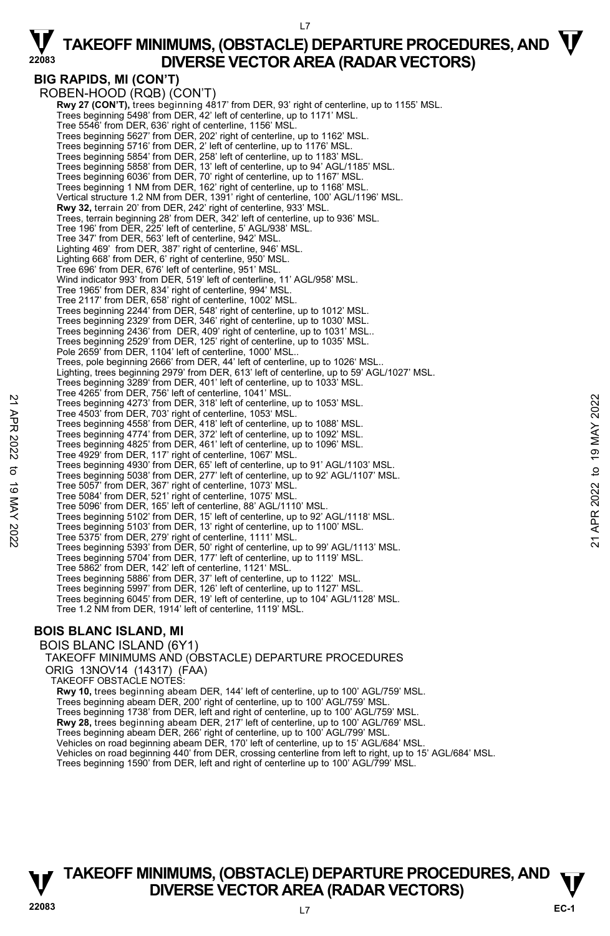#### $17$

 $\nabla$  TAKEOFF MINIMUMS, (OBSTACLE) DEPARTURE PROCEDURES, AND  $\nabla$ **DIVERSE VECTOR AREA (RADAR VECTORS)** 

#### **BIG RAPIDS, MI (CON'T)**  ROBEN-HOOD (RQB) (CON'T)

 **Rwy 27 (CON'T),** trees beginning 4817' from DER, 93' right of centerline, up to 1155' MSL. Trees beginning 5498' from DER, 42' left of centerline, up to 1171' MSL. Tree 5546' from DER, 636' right of centerline, 1156' MSL. Trees beginning 5627' from DER, 202' right of centerline, up to 1162' MSL. Trees beginning 5716' from DER, 2' left of centerline, up to 1176' MSL. Trees beginning 5854' from DER, 258' left of centerline, up to 1183' MSL. Trees beginning 5858' from DER, 13' left of centerline, up to 94' AGL/1185' MSL. Trees beginning 6036' from DER, 70' right of centerline, up to 1167' MSL. Trees beginning 1 NM from DER, 162' right of centerline, up to 1168' MSL. Vertical structure 1.2 NM from DER, 1391' right of centerline, 100' AGL/1196' MSL. **Rwy 32,** terrain 20' from DER, 242' right of centerline, 933' MSL.<br>Trees, terrain beginning 28' from DER, 342' left of centerline, up to 936' MSL. Tree 196' from DER, 225' left of centerline, 5' AGL/938' MSL. Tree 347' from DER, 563' left of centerline, 942' MSL. Lighting 469' from DER, 387' right of centerline, 946' MSL. Lighting 668' from DER, 6' right of centerline, 950' MSL. Tree 696' from DER, 676' left of centerline, 951' MSL. Wind indicator 993' from DER, 519' left of centerline, 11' AGL/958' MSL. Tree 1965' from DER, 834' right of centerline, 994' MSL. Tree 2117' from DER, 658' right of centerline, 1002' MSL. Trees beginning 2244' from DER, 548' right of centerline, up to 1012' MSL. Trees beginning 2329' from DER, 346' right of centerline, up to 1030' MSL. Trees beginning 2436' from DER, 409' right of centerline, up to 1031' MSL.. Trees beginning 2529' from DER, 125' right of centerline, up to 1035' MSL. Pole 2659' from DER, 1104' left of centerline, 1000' MSL.. Trees, pole beginning 2666' from DER, 44' left of centerline, up to 1026' MSL.. Lighting, trees beginning 2979' from DER, 613' left of centerline, up to 59' AGL/1027' MSL. Trees beginning 3289' from DER, 401' left of centerline, up to 1033' MSL. Tree 4265' from DER, 756' left of centerline, 1041' MSL. Trees beginning 4273' from DER, 318' left of centerline, up to 1053' MSL. Tree 4503' from DER, 703' right of centerline, 1053' MSL. Trees beginning 4558' from DER, 418' left of centerline, up to 1088' MSL. Trees beginning 4774' from DER, 372' left of centerline, up to 1092' MSL. Trees beginning 4825' from DER, 461' left of centerline, up to 1096' MSL. Tree 4929' from DER, 117' right of centerline, 1067' MSL. Trees beginning 4930' from DER, 65' left of centerline, up to 91' AGL/1103' MSL. Trees beginning 5038' from DER, 277' left of centerline, up to 92' AGL/1107' MSL. Tree 5057' from DER, 367' right of centerline, 1073' MSL. Tree 5084' from DER, 521' right of centerline, 1075' MSL. Tree 5096' from DER, 165' left of centerline, 88' AGL/1110' MSL. Trees beginning 5102' from DER, 15' left of centerline, up to 92' AGL/1118' MSL. Trees beginning 5103' from DER, 13' right of centerline, up to 1100' MSL. Tree 5375' from DER, 279' right of centerline, 1111' MSL. Trees beginning 5393' from DER, 50' right of centerline, up to 99' AGL/1113' MSL. Trees beginning 5704' from DER, 177' left of centerline, up to 1119' MSL. Tree 5862' from DER, 142' left of centerline, 1121' MSL. Trees beginning 5886' from DER, 37' left of centerline, up to 1122' MSL. Trees beginning 5997' from DER, 126' left of centerline, up to 1127' MSL. Trees beginning 6045' from DER, 19' left of centerline, up to 104' AGL/1128' MSL. Tree 1.2 NM from DER, 1914' left of centerline, 1119' MSL. 22 Tree Sole mind 217, from DER, 318 left of centerline, up to 1053 MSL.<br>
Tree beginning 4273 from DER, 318 left of centerline, up to 1053 MSL.<br>
Tree soleginning 4573 from DER, 318 left of centerline, up to 1088 MSL.<br>
Tree

### **BOIS BLANC ISLAND, MI**

BOIS BLANC ISLAND (6Y1) TAKEOFF MINIMUMS AND (OBSTACLE) DEPARTURE PROCEDURES ORIG 13NOV14 (14317) (FAA) TAKEOFF OBSTACLE NOTES: **Rwy 10,** trees beginning abeam DER, 144' left of centerline, up to 100' AGL/759' MSL. Trees beginning abeam DER, 200' right of centerline, up to 100' AGL/759' MSL. Trees beginning 1738' from DER, left and right of centerline, up to 100' AGL/759' MSL. **Rwy 28,** trees beginning abeam DER, 217' left of centerline, up to 100' AGL/769' MSL. Trees beginning abeam DER, 266' right of centerline, up to 100' AGL/799' MSL. Vehicles on road beginning abeam DER, 170' left of centerline, up to 15' AGL/684' MSL. Vehicles on road beginning 440' from DER, crossing centerline from left to right, up to 15' AGL/684' MSL. Trees beginning 1590' from DER, left and right of centerline up to 100' AGL/799' MSL.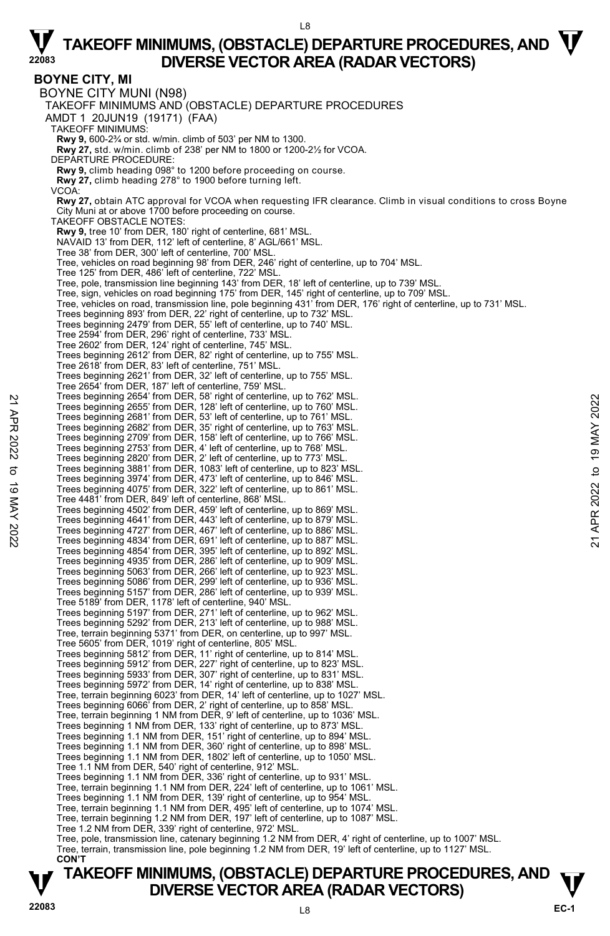#### L8

# $\nabla$  TAKEOFF MINIMUMS, (OBSTACLE) DEPARTURE PROCEDURES, AND  $\nabla$ **DIVERSE VECTOR AREA (RADAR VECTORS)**

**BOYNE CITY, MI**  BOYNE CITY MUNI (N98) TAKEOFF MINIMUMS AND (OBSTACLE) DEPARTURE PROCEDURES AMDT 1 20JUN19 (19171) (FAA) TAKEOFF MINIMUMS: **Rwy 9,** 600-2¾ or std. w/min. climb of 503' per NM to 1300. **Rwy 27,** std. w/min. climb of 238' per NM to 1800 or 1200-2½ for VCOA. DEPARTURE PROCEDURE: **Rwy 9,** climb heading 098° to 1200 before proceeding on course. **Rwy 27,** climb heading 278° to 1900 before turning left. VCOA: **Rwy 27,** obtain ATC approval for VCOA when requesting IFR clearance. Climb in visual conditions to cross Boyne City Muni at or above 1700 before proceeding on course. TAKEOFF OBSTACLE NOTES: **Rwy 9,** tree 10' from DER, 180' right of centerline, 681' MSL. NAVAID 13' from DER, 112' left of centerline, 8' AGL/661' MSL. Tree 38' from DER, 300' left of centerline, 700' MSL. Tree, vehicles on road beginning 98' from DER, 246' right of centerline, up to 704' MSL. Tree 125' from DER, 486' left of centerline, 722' MSL. Tree, pole, transmission line beginning 143' from DER, 18' left of centerline, up to 739' MSL.<br>Tree, sign, vehicles on road beginning 175' from DER, 145' right of centerline, up to 709' MSL.<br>Tree, vehicles on road, transmi Trees beginning 893' from DER, 22' right of centerline, up to 732' MSL. Trees beginning 2479' from DER, 55' left of centerline, up to 740' MSL. Tree 2594' from DER, 296' right of centerline, 733' MSL. Tree 2602' from DER, 124' right of centerline, 745' MSL. Trees beginning 2612' from DER, 82' right of centerline, up to 755' MSL. Tree 2618' from DER, 83' left of centerline, 751' MSL. Trees beginning 2621' from DER, 32' left of centerline, up to 755' MSL. Tree 2654' from DER, 187' left of centerline, 759' MSL. Trees beginning 2654' from DER, 58' right of centerline, up to 762' MSL. Trees beginning 2655' from DER, 128' left of centerline, up to 760' MSL. Trees beginning 2681' from DER, 53' left of centerline, up to 761' MSL. Trees beginning 2682' from DER, 35' right of centerline, up to 763' MSL. Trees beginning 2709' from DER, 158' left of centerline, up to 766' MSL. Trees beginning 2753' from DER, 4' left of centerline, up to 768' MSL. Trees beginning 2820' from DER, 2' left of centerline, up to 773' MSL.<br>Trees beginning 3881' from DER, 1083' left of centerline, up to 823' MSL.<br>Trees beginning 3974' from DER, 473' left of centerline, up to 846' MSL. Trees beginning 4075' from DER, 322' left of centerline, up to 861' MSL. Tree 4481' from DER, 849' left of centerline, 868' MSL. Trees beginning 4502' from DER, 459' left of centerline, up to 869' MSL. Trees beginning 4641' from DER, 443' left of centerline, up to 879' MSL. Trees beginning 4727' from DER, 467' left of centerline, up to 886' MSL. Trees beginning 4834' from DER, 691' left of centerline, up to 887' MSL. Trees beginning 4854' from DER, 395' left of centerline, up to 892' MSL. Trees beginning 4935' from DER, 286' left of centerline, up to 909' MSL. Trees beginning 5063' from DER, 266' left of centerline, up to 923' MSL. Trees beginning 5086' from DER, 299' left of centerline, up to 936' MSL. Trees beginning 5157' from DER, 286' left of centerline, up to 939' MSL. Tree 5189' from DER, 1178' left of centerline, 940' MSL. Trees beginning 5197' from DER, 271' left of centerline, up to 962' MSL. Trees beginning 5292' from DER, 213' left of centerline, up to 988' MSL. Tree, terrain beginning 5371' from DER, on centerline, up to 997' MSL.<br>Tree 5605' from DER, 1019' right of centerline, 805' MSL.<br>Trees beginning 5812' from DER, 11' right of centerline, up to 814' MSL. Trees beginning 5912' from DER, 227' right of centerline, up to 823' MSL. Trees beginning 5933' from DER, 307' right of centerline, up to 831' MSL. Trees beginning 5972' from DER, 14' right of centerline, up to 838' MSL. Tree, terrain beginning 6023' from DER, 14' left of centerline, up to 1027' MSL. Trees beginning 6066' from DER, 2' right of centerline, up to 858' MSL. Tree, terrain beginning 1 NM from DER, 9' left of centerline, up to 1036' MSL. Trees beginning 1 NM from DER, 133' right of centerline, up to 873' MSL. Trees beginning 1.1 NM from DER, 151' right of centerline, up to 894' MSL. Trees beginning 1.1 NM from DER, 360' right of centerline, up to 898' MSL. Trees beginning 1.1 NM from DER, 1802' left of centerline, up to 1050' MSL. Tree 1.1 NM from DER, 540' right of centerline, 912' MSL. Trees beginning 1.1 NM from DER, 336' right of centerline, up to 931' MSL. Tree, terrain beginning 1.1 NM from DER, 224' left of centerline, up to 1061' MSL. Trees beginning 1.1 NM from DER, 139' right of centerline, up to 954' MSL. Tree, terrain beginning 1.1 NM from DER, 495' left of centerline, up to 1074' MSL. Tree, terrain beginning 1.2 NM from DER, 197' left of centerline, up to 1087' MSL. Tree 1.2 NM from DER, 339' right of centerline, 972' MSL. Tree, pole, transmission line, catenary beginning 1.2 NM from DER, 4' right of centerline, up to 1007' MSL. Tree, terrain, transmission line, pole beginning 1.2 NM from DER, 19' left of centerline, up to 1127' MSL. **CON'T**  Trees beginning 2654 from DER, 9.8' right of centerline, up to 760' MSL.<br>
Trees beginning 2681' from DER, 32' left of centerline, up to 760' MSL.<br>
Trees beginning 2681' from DER, 35' left of centerline, up to 761' MSL.<br>
T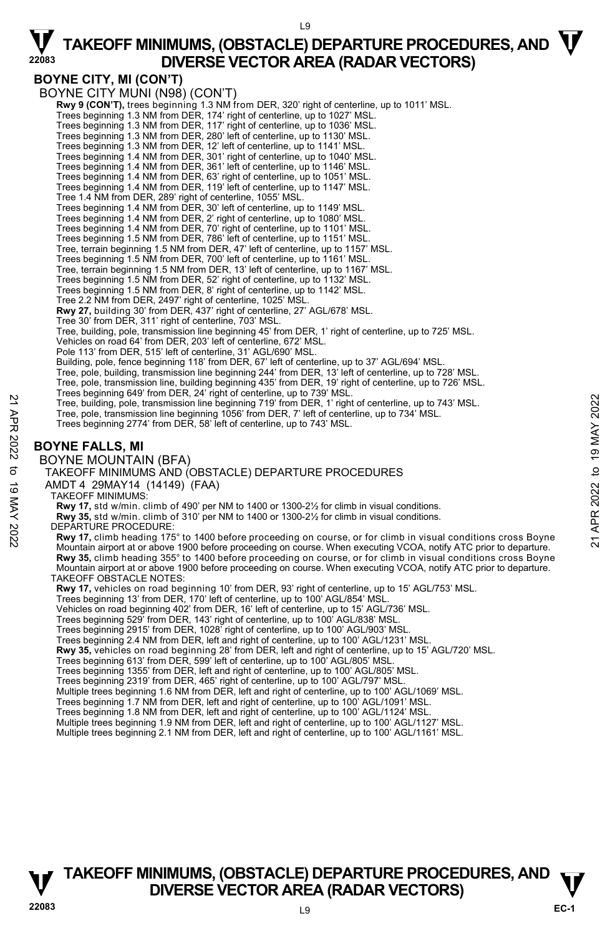### **BOYNE CITY, MI (CON'T)**

BOYNE CITY MUNI (N98) (CON'T) **Rwy 9 (CON'T),** trees beginning 1.3 NM from DER, 320' right of centerline, up to 1011' MSL.<br>Trees beginning 1.3 NM from DER, 174' right of centerline, up to 1027' MSL. Trees beginning 1.3 NM from DER, 117' right of centerline, up to 1036' MSL. Trees beginning 1.3 NM from DER, 280' left of centerline, up to 1130' MSL. Trees beginning 1.3 NM from DER, 12' left of centerline, up to 1141' MSL. Trees beginning 1.4 NM from DER, 301' right of centerline, up to 1040' MSL. Trees beginning 1.4 NM from DER, 361' left of centerline, up to 1146' MSL. Trees beginning 1.4 NM from DER, 63' right of centerline, up to 1051' MSL. Trees beginning 1.4 NM from DER, 119' left of centerline, up to 1147' MSL. Tree 1.4 NM from DER, 289' right of centerline, 1055' MSL. Trees beginning 1.4 NM from DER, 30' left of centerline, up to 1149' MSL. Trees beginning 1.4 NM from DER, 2' right of centerline, up to 1080' MSL. Trees beginning 1.4 NM from DER, 70' right of centerline, up to 1101' MSL. Trees beginning 1.5 NM from DER, 786' left of centerline, up to 1151' MSL. Tree, terrain beginning 1.5 NM from DER, 47' left of centerline, up to 1157' MSL. Trees beginning 1.5 NM from DER, 700' left of centerline, up to 1161' MSL. Tree, terrain beginning 1.5 NM from DER, 13' left of centerline, up to 1167' MSL. Trees beginning 1.5 NM from DER, 52' right of centerline, up to 1132' MSL. Trees beginning 1.5 NM from DER, 8' right of centerline, up to 1142' MSL. Tree 2.2 NM from DER, 2497' right of centerline, 1025' MSL. **Rwy 27,** building 30' from DER, 437' right of centerline, 27' AGL/678' MSL. Tree 30' from DER, 311' right of centerline, 703' MSL. Tree, building, pole, transmission line beginning 45' from DER, 1' right of centerline, up to 725' MSL. Vehicles on road 64' from DER, 203' left of centerline, 672' MSL. Pole 113' from DER, 515' left of centerline, 31' AGL/690' MSL. Building, pole, fence beginning 118' from DER, 67' left of centerline, up to 37' AGL/694' MSL. Tree, pole, building, transmission line beginning 244' from DER, 13' left of centerline, up to 728' MSL. Tree, pole, transmission line, building beginning 435' from DER, 19' right of centerline, up to 726' MSL. Trees beginning 649' from DER, 24' right of centerline, up to 739' MSL. Tree, building, pole, transmission line beginning 719' from DER, 1' right of centerline, up to 743' MSL. Tree, pole, transmission line beginning 1056' from DER, 7' left of centerline, up to 734' MSL. Trees beginning 2774' from DER, 58' left of centerline, up to 743' MSL. **BOYNE FALLS, MI**  BOYNE MOUNTAIN (BFA) TAKEOFF MINIMUMS AND (OBSTACLE) DEPARTURE PROCEDURES AMDT 4 29MAY14 (14149) (FAA) TAKEOFF MINIMUMS: **Rwy 17,** std w/min. climb of 490' per NM to 1400 or 1300-2½ for climb in visual conditions. **Rwy 35,** std w/min. climb of 310' per NM to 1400 or 1300-2½ for climb in visual conditions. DEPARTURE PROCEDURE: **Rwy 17,** climb heading 175° to 1400 before proceeding on course, or for climb in visual conditions cross Boyne Mountain airport at or above 1900 before proceeding on course. When executing VCOA, notify ATC prior to departure. **Rwy 35,** climb heading 355° to 1400 before proceeding on course, or for climb in visual conditions cross Boyne Mountain airport at or above 1900 before proceeding on course. When executing VCOA, notify ATC prior to departure. TAKEOFF OBSTACLE NOTES: **Rwy 17,** vehicles on road beginning 10' from DER, 93' right of centerline, up to 15' AGL/753' MSL. Trees beginning 13' from DER, 170' left of centerline, up to 100' AGL/854' MSL. Vehicles on road beginning 402' from DER, 16' left of centerline, up to 15' AGL/736' MSL. Trees beginning 529' from DER, 143' right of centerline, up to 100' AGL/838' MSL. Trees beginning 2915' from DER, 1028' right of centerline, up to 100' AGL/903' MS Trees beginning 2.4 NM from DER, left and right of centerline, up to 100' AGL/1231' MSL. **Rwy 35,** vehicles on road beginning 28' from DER, left and right of centerline, up to 15' AGL/720' MSL. Trees beginning 613' from DER, 599' left of centerline, up to 100' AGL/805' MSL. Trees beginning 1355' from DER, left and right of centerline, up to 100' AGL/805' MSL. Trees beginning 2319' from DER, 465' right of centerline, up to 100' AGL/797' MSL. Multiple trees beginning 1.6 NM from DER, left and right of centerline, up to 100' AGL/1069' MSL. Trees beginning 1.7 NM from DER, left and right of centerline, up to 100' AGL/1091' MSL. Trees beginning 1.8 NM from DER, left and right of centerline, up to 100' AGL/1124' MSL. Multiple trees beginning 1.9 NM from DER, left and right of centerline, up to 100' AGL/1127' MSL. Multiple trees beginning 2.1 NM from DER, left and right of centerline, up to 100' AGL/1161' MSL. Tree, building, pole, transmission line beginning 719 from DER, 1' right of centerline, up to 734' MSL.<br>
Tree, pole, transmission line beginning 719' from DER, 1' right of centerline, up to 734' MSL.<br>
Tree, pole, transmiss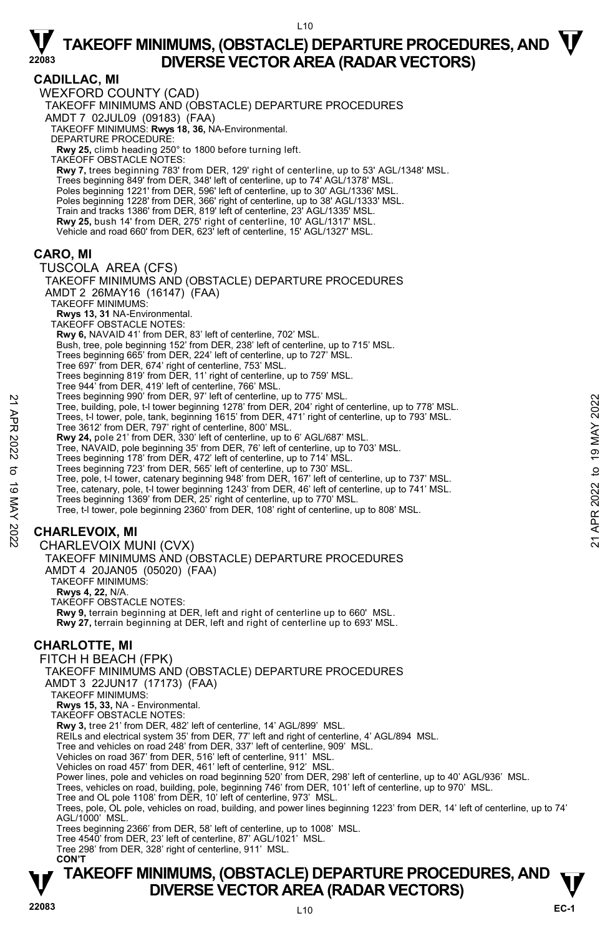**CADILLAC, MI**  WEXFORD COUNTY (CAD) TAKEOFF MINIMUMS AND (OBSTACLE) DEPARTURE PROCEDURES AMDT 7 02JUL09 (09183) (FAA) TAKEOFF MINIMUMS: **Rwys 18, 36,** NA-Environmental. DEPARTURE PROCEDURE: **Rwy 25,** climb heading 250° to 1800 before turning left. TAKEOFF OBSTACLE NOTES: **Rwy 7,** trees beginning 783' from DER, 129' right of centerline, up to 53' AGL/1348' MSL. Trees beginning 849' from DER, 348' left of centerline, up to 74' AGL/1378' MSL. Poles beginning 1221' from DER, 596' left of centerline, up to 30' AGL/1336' MSL Poles beginning 1228' from DER, 366' right of centerline, up to 38' AGL/1333' MSL. Train and tracks 1386' from DER, 819' left of centerline, 23' AGL/1335' MSL. **Rwy 25,** bush 14' from DER, 275' right of centerline, 10' AGL/1317' MSL. Vehicle and road 660' from DER, 623' left of centerline, 15' AGL/1327' MSL. **CARO, MI**  TUSCOLA AREA (CFS) TAKEOFF MINIMUMS AND (OBSTACLE) DEPARTURE PROCEDURES AMDT 2 26MAY16 (16147) (FAA) TAKEOFF MINIMUMS: **Rwys 13, 31** NA-Environmental. TAKEOFF OBSTACLE NOTES: **Rwy 6,** NAVAID 41' from DER, 83' left of centerline, 702' MSL. Bush, tree, pole beginning 152' from DER, 238' left of centerline, up to 715' MSL. Trees beginning 665' from DER, 224' left of centerline, up to 727' MSL. Tree 697' from DER, 674' right of centerline, 753' MSL. Trees beginning 819' from DER, 11' right of centerline, up to 759' MSL. Tree 944' from DER, 419' left of centerline, 766' MSL. Trees beginning 990' from DER, 97' left of centerline, up to 775' MSL. Tree, building, pole, t-l tower beginning 1278' from DER, 204' right of centerline, up to 778' MSL. Trees, t-l tower, pole, tank, beginning 1615' from DER, 471' right of centerline, up to 793' MSL. Tree 3612' from DER, 797' right of centerline, 800' MSL. **Rwy 24,** pole 21' from DER, 330' left of centerline, up to 6' AGL/687' MSL. Tree, NAVAID, pole beginning 35' from DER, 76' left of centerline, up to 703' MSL. Trees beginning 178' from DER, 472' left of centerline, up to 714' MSL. Trees beginning 723' from DER, 565' left of centerline, up to 730' MSL. Tree, pole, t-l tower, catenary beginning 948' from DER, 167' left of centerline, up to 737' MSL. Tree, catenary, pole, t-l tower beginning 1243' from DER, 46' left of centerline, up to 741' MSL.<br>Trees beginning 1369' from DER, 25' right of centerline, up to 770' MSL. Tree, t-l tower, pole beginning 2360' from DER, 108' right of centerline, up to 808' MSL. **CHARLEVOIX, MI**  CHARLEVOIX MUNI (CVX) TAKEOFF MINIMUMS AND (OBSTACLE) DEPARTURE PROCEDURES AMDT 4 20JAN05 (05020) (FAA) TAKEOFF MINIMUMS: **Rwys 4, 22,** N/A. TAKEOFF OBSTACLE NOTES: **Rwy 9,** terrain beginning at DER, left and right of centerline up to 660' MSL. **Rwy 27,** terrain beginning at DER, left and right of centerline up to 693' MSL. **CHARLOTTE, MI**  FITCH H BEACH (FPK) TAKEOFF MINIMUMS AND (OBSTACLE) DEPARTURE PROCEDURES AMDT 3 22JUN17 (17173) (FAA) TAKEOFF MINIMUMS: **Rwys 15, 33,** NA - Environmental. TAKEOFF OBSTACLE NOTES: **Rwy 3,** tree 21' from DER, 482' left of centerline, 14' AGL/899' MSL. REILs and electrical system 35' from DER, 77' left and right of centerline, 4' AGL/894 MSL. Tree and vehicles on road 248' from DER, 337' left of centerline, 909' MSL. Vehicles on road 367' from DER, 516' left of centerline, 911' MSL. Vehicles on road 457' from DER, 461' left of centerline, 912' MSL. Power lines, pole and vehicles on road beginning 520' from DER, 298' left of centerline, up to 40' AGL/936' MSL. Trees, vehicles on road, building, pole, beginning 746' from DER, 101' left of centerline, up to 970' MSL. Tree and OL pole 1108' from DER, 10' left of centerline, 973' MSL. Trees, pole, OL pole, vehicles on road, building, and power lines beginning 1223' from DER, 14' left of centerline, up to 74' AGL/1000' MSL. Tree, beginning 990 Trom DER, 19<sup>7</sup> let of centerline, up to 778 MSL.<br>
Tree, building, pole, t-i tower beginning 1278' from DER, 204' right of centerline, up to 778' MSL.<br>
Tree, 312' from DER, 797' right of centerline, 80

Trees beginning 2366' from DER, 58' left of centerline, up to 1008' MSL.

Tree 4540' from DER, 23' left of centerline, 87' AGL/1021' MSL. Tree 298' from DER, 328' right of centerline, 911' MSL.

 **CON'T**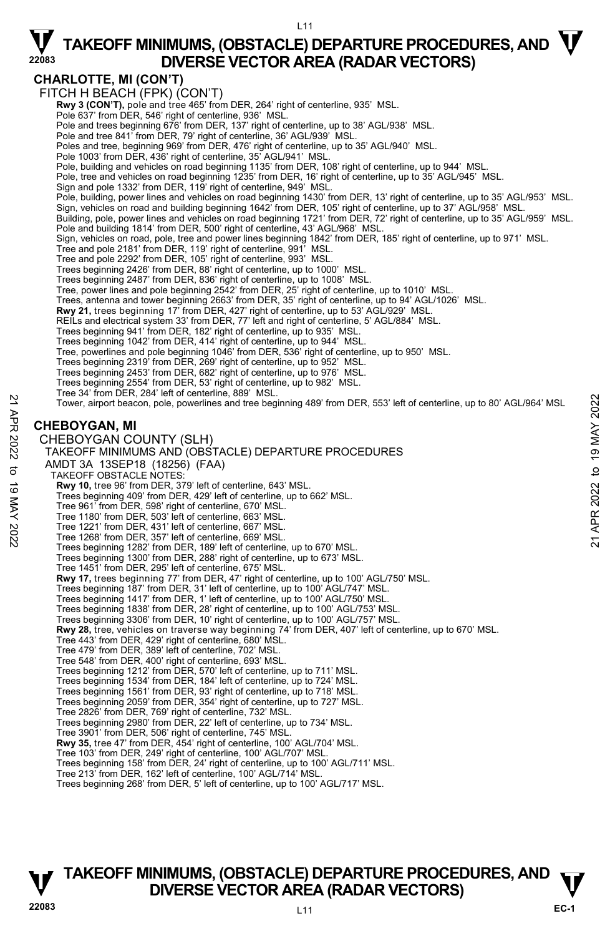### **CHARLOTTE, MI (CON'T)**

FITCH H BEACH (FPK) (CON'T) **Rwy 3 (CON'T),** pole and tree 465' from DER, 264' right of centerline, 935' MSL.<br>Pole 637' from DER, 546' right of centerline, 936' MSL. Pole and trees beginning 676' from DER, 137' right of centerline, up to 38' AGL/938' MSL. Pole and tree 841' from DER, 79' right of centerline, 36' AGL/939' MSL. Poles and tree, beginning 969' from DER, 476' right of centerline, up to 35' AGL/940' MSL. Pole 1003' from DER, 436' right of centerline, 35' AGL/941' MSL Pole, building and vehicles on road beginning 1135' from DER, 108' right of centerline, up to 944' MSL. Pole, tree and vehicles on road beginning 1235' from DER, 16' right of centerline, up to 35' AGL/945' MSL.<br>Sign and pole 1332' from DER, 119' right of centerline, 949' MSL. Pole, building, power lines and vehicles on road beginning 1430' from DER, 13' right of centerline, up to 35' AGL/953' MSL. Sign, vehicles on road and building beginning 1642' from DER, 105' right of centerline, up to 37' AGL/958' MSL. Building, pole, power lines and vehicles on road beginning 1721' from DER, 72' right of centerline, up to 35' AGL/959' MSL. Pole and building 1814' from DER, 500' right of centerline, 43' AGL/968' MSL. Sign, vehicles on road, pole, tree and power lines beginning 1842' from DER, 185' right of centerline, up to 971' MSL. Tree and pole 2181' from DER, 119' right of centerline, 991' MSL. Tree and pole 2292' from DER, 105' right of centerline, 993' MSL. Trees beginning 2426' from DER, 88' right of centerline, up to 1000' MSL. Trees beginning 2487' from DER, 836' right of centerline, up to 1008' MSL. Tree, power lines and pole beginning 2542' from DER, 25' right of centerline, up to 1010' MSL. Trees, antenna and tower beginning 2663' from DER, 35' right of centerline, up to 94' AGL/1026' MSL. **Rwy 21,** trees beginning 17' from DER, 427' right of centerline, up to 53' AGL/929' MSL.<br>REILs and electrical system 33' from DER, 77' left and right of centerline, 5' AGL/884' MSL. Trees beginning 941' from DER, 182' right of centerline, up to 935' MSL. Trees beginning 1042' from DER, 414' right of centerline, up to 944' MSL. Tree, powerlines and pole beginning 1046' from DER, 536' right of centerline, up to 950' MSL.<br>Trees beginning 2319' from DER, 269' right of centerline, up to 952' MSL.<br>Trees beginning 2453' from DER, 682' right of centerli Trees beginning 2554' from DER, 53' right of centerline, up to 982' MSL. Tree 34' from DER, 284' left of centerline, 889' MSL. Tower, airport beacon, pole, powerlines and tree beginning 489' from DER, 553' left of centerline, up to 80' AGL/964' MSL **CHEBOYGAN, MI**  CHEBOYGAN COUNTY (SLH) TAKEOFF MINIMUMS AND (OBSTACLE) DEPARTURE PROCEDURES AMDT 3A 13SEP18 (18256) (FAA) TAKEOFF OBSTACLE NOTES: **Rwy 10,** tree 96' from DER, 379' left of centerline, 643' MSL. Trees beginning 409' from DER, 429' left of centerline, up to 662' MSL. Tree 961' from DER, 598' right of centerline, 670' MSL. Tree 1180' from DER, 503' left of centerline, 663' MSL. Tree 1221' from DER, 431' left of centerline, 667' MSL. Tree 1268' from DER, 357' left of centerline, 669' MSL. Trees beginning 1282' from DER, 189' left of centerline, up to 670' MSL. Trees beginning 1300' from DER, 288' right of centerline, up to 673' MSL. Tree 1451' from DER, 295' left of centerline, 675' MSL. **Rwy 17,** trees beginning 77' from DER, 47' right of centerline, up to 100' AGL/750' MSL. Trees beginning 187' from DER, 31' left of centerline, up to 100' AGL/747' MSL. Trees beginning 1417' from DER, 1' left of centerline, up to 100' AGL/750' MSL. Trees beginning 1838' from DER, 28' right of centerline, up to 100' AGL/753' MSL. Trees beginning 3306' from DER, 10' right of centerline, up to 100' AGL/757' MSL. **Rwy 28,** tree, vehicles on traverse way beginning 74' from DER, 407' left of centerline, up to 670' MSL.<br>Tree 443' from DER, 429' right of centerline, 680' MSL. Tree 479' from DER, 389' left of centerline, 702' MSL. Tree 548' from DER, 400' right of centerline, 693' MSL. Trees beginning 1212' from DER, 570' left of centerline, up to 711' MSL.<br>Trees beginning 1534' from DER, 184' left of centerline, up to 728' MSL.<br>Trees beginning 1561' from DER, 93' right of centerline, up to 718' MSL. Trees beginning 2059' from DER, 354' right of centerline, up to 727' MSL. Tree 2826' from DER, 769' right of centerline, 732' MSL. Trees beginning 2980' from DER, 22' left of centerline, up to 734' MSL. Tree 3901' from DER, 506' right of centerline, 745' MSL. **Rwy 35,** tree 47' from DER, 454' right of centerline, 100' AGL/704' MSL. Tree 103' from DER, 249' right of centerline, 100' AGL/707' MSL. Trees beginning 158' from DER, 24' right of centerline, up to 100' AGL/711' MSL. Tree 213' from DER, 162' left of centerline, 100' AGL/714' MSL. Trees beginning 268' from DER, 5' left of centerline, up to 100' AGL/717' MSL. Tower, airport beacon, pole, powerlines and tree beginning 489' from DER, 553' left of centerline, up to 80' AGL/964' MSL<br>
22<br>
22 CHEBOYGAN, MI<br>
22 CHEBOYGAN COUNTY (SLH)<br>
72 CHEBOYGAN COUNTY (SLH)<br>
74 TAKEOFF MINIMUMS AND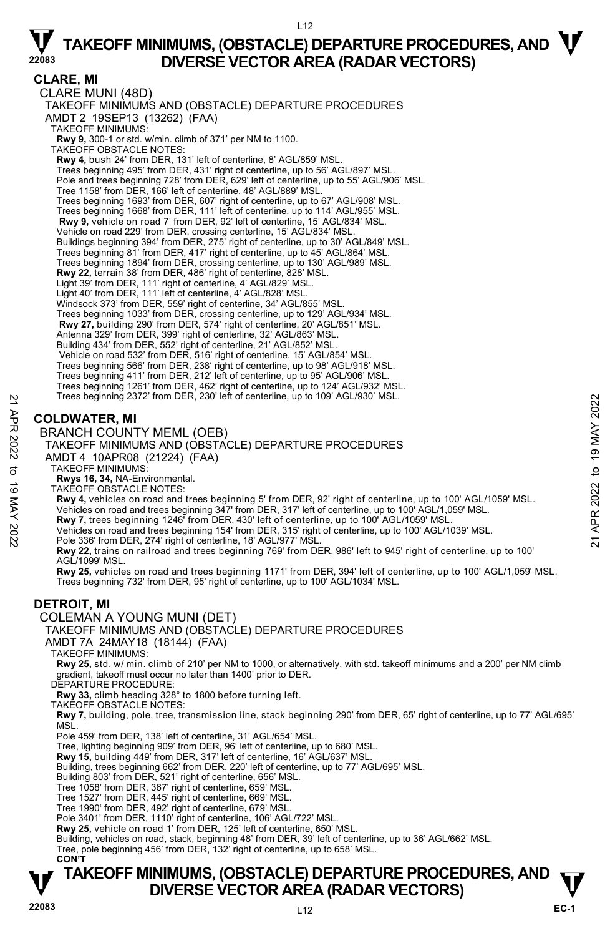L12

#### **CLARE, MI**

CLARE MUNI (48D) TAKEOFF MINIMUMS AND (OBSTACLE) DEPARTURE PROCEDURES AMDT 2 19SEP13 (13262) (FAA) TAKEOFF MINIMUMS: **Rwy 9,** 300-1 or std. w/min. climb of 371' per NM to 1100. TAKEOFF OBSTACLE NOTES: **Rwy 4,** bush 24' from DER, 131' left of centerline, 8' AGL/859' MSL. Trees beginning 495' from DER, 431' right of centerline, up to 56' AGL/897' MSL. Pole and trees beginning 728' from DER, 629' left of centerline, up to 55' AGL/906' MSL. Tree 1158' from DER, 166' left of centerline, 48' AGL/889' MSL. Trees beginning 1693' from DER, 607' right of centerline, up to 67' AGL/908' MSL. Trees beginning 1668' from DER, 111' left of centerline, up to 114' AGL/955' MSL. **Rwy 9,** vehicle on road 7' from DER, 92' left of centerline, 15' AGL/834' MSL. Vehicle on road 229' from DER, crossing centerline, 15' AGL/834' MSL. Buildings beginning 394' from DER, 275' right of centerline, up to 30' AGL/849' MSL. Trees beginning 81' from DER, 417' right of centerline, up to 45' AGL/864' MSL. Trees beginning 1894' from DER, crossing centerline, up to 130' AGL/989' MSL. **Rwy 22,** terrain 38' from DER, 486' right of centerline, 828' MSL. Light 39' from DER, 111' right of centerline, 4' AGL/829' MSL. Light 40' from DER, 111' left of centerline, 4' AGL/828' MSL. Windsock 373' from DER, 559' right of centerline, 34' AGL/855' MSL. Trees beginning 1033' from DER, crossing centerline, up to 129' AGL/934' MSL. **Rwy 27,** building 290' from DER, 574' right of centerline, 20' AGL/851' MSL. Antenna 329' from DER, 399' right of centerline, 32' AGL/863' MSL. Building 434' from DER, 552' right of centerline, 21' AGL/852' MSL. Vehicle on road 532' from DER, 516' right of centerline, 15' AGL/854' MSL. Trees beginning 566' from DER, 238' right of centerline, up to 98' AGL/918' MSL. Trees beginning 411' from DER, 212' left of centerline, up to 95' AGL/906' MSL. Trees beginning 1261' from DER, 462' right of centerline, up to 124' AGL/932' MSL. Trees beginning 2372' from DER, 230' left of centerline, up to 109' AGL/930' MSL. **COLDWATER, MI**  Trees beginning 2372' from DER, 230' left of centerline, up to 109' AGL/930' MSL.<br> **COLDWATER, MI**<br>
BRANCH COUNTY MEML (OEB)<br>
TAKEOFF MINIMUMS AND (OBSTACLE) DEPARTURE PROCEDURES<br>
AMDT 14 10APR08 (21224) (FAA)<br>
TAKEOFF MIN

BRANCH COUNTY MEML (OEB)

TAKEOFF MINIMUMS AND (OBSTACLE) DEPARTURE PROCEDURES

- AMDT 4 10APR08 (21224) (FAA)
	- TAKEOFF MINIMUMS:
	- **Rwys 16, 34,** NA-Environmental. TAKEOFF OBSTACLE NOTES:
- **Rwy 4,** vehicles on road and trees beginning 5' from DER, 92' right of centerline, up to 100' AGL/1059' MSL.
- Vehicles on road and trees beginning 347' from DER, 317' left of centerline, up to 100' AGL/1,059' MSL.
- **Rwy 7,** trees beginning 1246' from DER, 430' left of centerline, up to 100' AGL/1059' MSL.
- 
- 
- **Rwy 22,** trains on railroad and trees beginning 769' from DER, 986' left to 945' right of centerline, up to 100' AGL/1099' MSL.

**Rwy 25,** vehicles on road and trees beginning 1171' from DER, 394' left of centerline, up to 100' AGL/1,059' MSL. Trees beginning 732' from DER, 95' right of centerline, up to 100' AGL/1034' MSL.

### **DETROIT, MI**

COLEMAN A YOUNG MUNI (DET)

#### TAKEOFF MINIMUMS AND (OBSTACLE) DEPARTURE PROCEDURES

AMDT 7A 24MAY18 (18144) (FAA)

TAKEOFF MINIMUMS:

**Rwy 25,** std. w/ min. climb of 210' per NM to 1000, or alternatively, with std. takeoff minimums and a 200' per NM climb gradient, takeoff must occur no later than 1400' prior to DER.

DEPARTURE PROCEDURE:

**Rwy 33,** climb heading 328° to 1800 before turning left.

TAKEOFF OBSTACLE NOTES:

**Rwy 7,** building, pole, tree, transmission line, stack beginning 290' from DER, 65' right of centerline, up to 77' AGL/695' **MSL** 

Pole 459' from DER, 138' left of centerline, 31' AGL/654' MSL.

Tree, lighting beginning 909' from DER, 96' left of centerline, up to 680' MSL.

**Rwy 15,** building 449' from DER, 317' left of centerline, 16' AGL/637' MSL.

Building, trees beginning 662' from DER, 220' left of centerline, up to 77' AGL/695' MSL. Building 803' from DER, 521' right of centerline, 656' MSL.

Tree 1058' from DER, 367' right of centerline, 659' MSL.

Tree 1527' from DER, 445' right of centerline, 669' MSL.

Tree 1990' from DER, 492' right of centerline, 679' MSL. Pole 3401' from DER, 1110' right of centerline, 106' AGL/722' MSL.

**Rwy 25,** vehicle on road 1' from DER, 125' left of centerline, 650' MSL.

Building, vehicles on road, stack, beginning 48' from DER, 39' left of centerline, up to 36' AGL/662' MSL.<br>Tree, pole beginning 456' from DER, 132' right of centerline, up to 658' MSL.

**CON'T**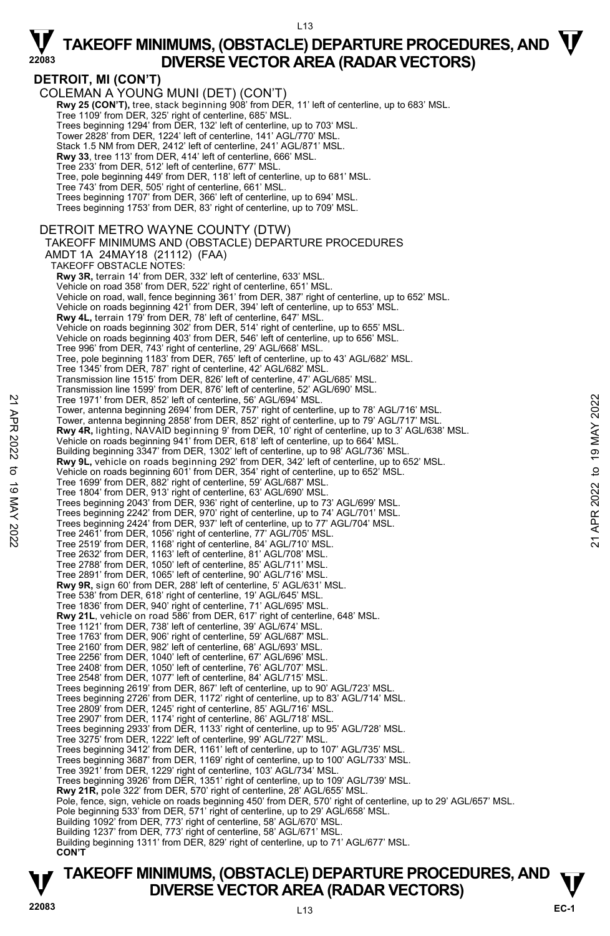### **DETROIT, MI (CON'T)**

COLEMAN A YOUNG MUNI (DET) (CON'T) **Rwy 25 (CON'T),** tree, stack beginning 908' from DER, 11' left of centerline, up to 683' MSL.<br>Tree 1109' from DER, 325' right of centerline, 685' MSL. Trees beginning 1294' from DER, 132' left of centerline, up to 703' MSL. Tower 2828' from DER, 1224' left of centerline, 141' AGL/770' MSL. Stack 1.5 NM from DER, 2412' left of centerline, 241' AGL/871' MSL. **Rwy 33**, tree 113' from DER, 414' left of centerline, 666' MSL. Tree 233' from DER, 512' left of centerline, 677' MSL. Tree, pole beginning 449' from DER, 118' left of centerline, up to 681' MSL. Tree 743' from DER, 505' right of centerline, 661' MSL. Trees beginning 1707' from DER, 366' left of centerline, up to 694' MSL. Trees beginning 1753' from DER, 83' right of centerline, up to 709' MSL. DETROIT METRO WAYNE COUNTY (DTW) TAKEOFF MINIMUMS AND (OBSTACLE) DEPARTURE PROCEDURES AMDT 1A 24MAY18 (21112) (FAA) TAKEOFF OBSTACLE NOTES: **Rwy 3R,** terrain 14' from DER, 332' left of centerline, 633' MSL. Vehicle on road 358' from DER, 522' right of centerline, 651' MSL. Vehicle on road, wall, fence beginning 361' from DER, 387' right of centerline, up to 652' MSL. Vehicle on roads beginning 421' from DER, 394' left of centerline, up to 653' MSL. **Rwy 4L,** terrain 179' from DER, 78' left of centerline, 647' MSL.<br>Vehicle on roads beginning 302' from DER, 514' right of centerline, up to 655' MSL. Vehicle on roads beginning 403' from DER, 546' left of centerline, up to 656' MSL. Tree 996' from DER, 743' right of centerline, 29' AGL/668' MSL. Tree, pole beginning 1183' from DER, 765' left of centerline, up to 43' AGL/682' MSL. Tree 1345' from DER, 787' right of centerline, 42' AGL/682' MSL. Transmission line 1515' from DER, 826' left of centerline, 47' AGL/685' MSL. Transmission line 1599' from DER, 876' left of centerline, 52' AGL/690' MSL. Tree 1971' from DER, 852' left of centerline, 56' AGL/694' MSL. Tower, antenna beginning 2694' from DER, 757' right of centerline, up to 78' AGL/716' MSL. Tower, antenna beginning 2858' from DER, 852' right of centerline, up to 79' AGL/717' MSL.<br>**Rwy 4R**, lighting, NAVAID beginning 9' from DER, 10' right of centerline, up to 3' AGL/638' MSL.<br>Vehicle on roads beginning 941' f Building beginning 3347' from DER, 1302' left of centerline, up to 98' AGL/736' MSL. **Rwy 9L,** vehicle on roads beginning 292' from DER, 342' left of centerline, up to 652' MSL.<br>Vehicle on roads beginning 601' from DER, 354' right of centerline, up to 652' MSL. Tree 1699' from DER, 882' right of centerline, 59' AGL/687' MSL. Tree 1804' from DER, 913' right of centerline, 63' AGL/690' MSL. Trees beginning 2043' from DER, 936' right of centerline, up to 73' AGL/699' MSL. Trees beginning 2242' from DER, 970' right of centerline, up to 74' AGL/701' MSL. Trees beginning 2424' from DER, 937' left of centerline, up to 77' AGL/704' MSL. Tree 2461' from DER, 1056' right of centerline, 77' AGL/705' MSL. Tree 2519' from DER, 1168' right of centerline, 84' AGL/710' MSL. Tree 2632' from DER, 1163' left of centerline, 81' AGL/708' MSL. Tree 2788' from DER, 1050' left of centerline, 85' AGL/711' MSL. Tree 2891' from DER, 1065' left of centerline, 90' AGL/716' MSL. **Rwy 9R,** sign 60' from DER, 288' left of centerline, 5' AGL/631' MSL. Tree 538' from DER, 618' right of centerline, 19' AGL/645' MSL. Tree 1836' from DER, 940' right of centerline, 71' AGL/695' MSL. **Rwy 21L**, vehicle on road 586' from DER, 617' right of centerline, 648' MSL. Tree 1121' from DER, 738' left of centerline, 39' AGL/674' MSL. Tree 1763' from DER, 906' right of centerline, 59' AGL/687' MSL. Tree 2160' from DER, 982' left of centerline, 68' AGL/693' MSL. Tree 2256' from DER, 1040' left of centerline, 67' AGL/696' MSL. Tree 2408' from DER, 1050' left of centerline, 76' AGL/707' MSL. Tree 2548' from DER, 1077' left of centerline, 84' AGL/715' MSL. Trees beginning 2619' from DER, 867' left of centerline, up to 90' AGL/723' MSL. Trees beginning 2726' from DER, 1172' right of centerline, up to 83' AGL/714' MSL. Tree 2809' from DER, 1245' right of centerline, 85' AGL/716' MSL. Tree 2907' from DER, 1174' right of centerline, 86' AGL/718' MSL. Trees beginning 2933' from DER, 1133' right of centerline, up to 95' AGL/728' MSL. Tree 3275' from DER, 1222' left of centerline, 99' AGL/727' MSL. Trees beginning 3412' from DER, 1161' left of centerline, up to 107' AGL/735' MSL. Trees beginning 3687' from DER, 1169' right of centerline, up to 100' AGL/733' MSL. Tree 3921' from DER, 1229' right of centerline, 103' AGL/734' MSL. Trees beginning 3926' from DER, 1351' right of centerline, up to 109' AGL/739' MSL. **Rwy 21R,** pole 322' from DER, 570' right of centerline, 28' AGL/655' MSL. Pole, fence, sign, vehicle on roads beginning 450' from DER, 570' right of centerline, up to 29' AGL/657' MSL. Pole beginning 533' from DER, 571' right of centerline, up to 29' AGL/658' MSL. Building 1092' from DER, 773' right of centerline, 58' AGL/670' MSL. Building 1237' from DER, 773' right of centerline, 58' AGL/671' MSL. Building beginning 1311' from DER, 829' right of centerline, up to 71' AGL/677' MSL. **CON'T** Tree 1971' from DER, 852' left of centerline, 56' AGL/694' MSL.<br>
Tower, antenna beginning 2688' from DER, 757' right of centerline, up to 78' AGL/716' MSL.<br>
Tower, antenna beginning 2688' from DER, 852' right of centerlin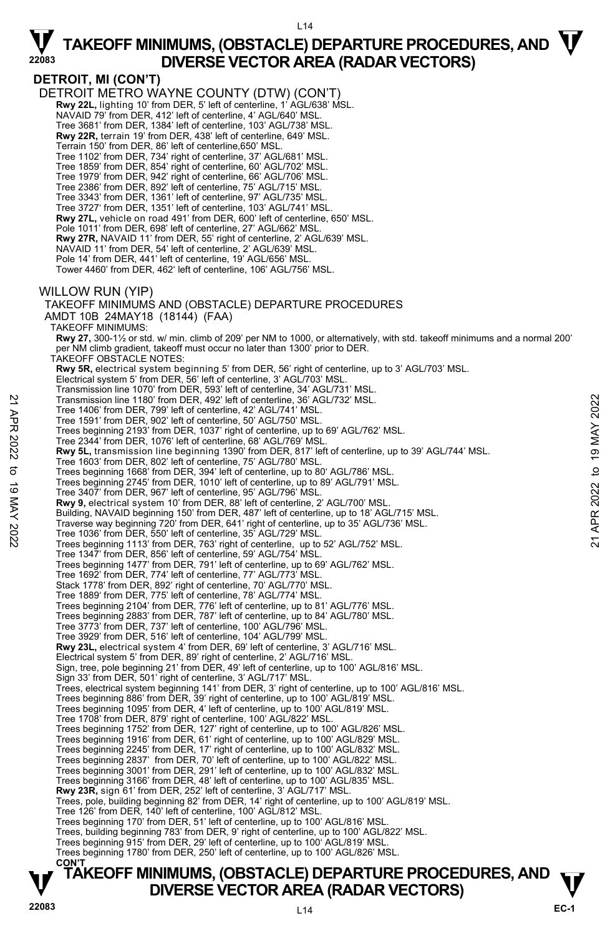**DETROIT, MI (CON'T)**  DETROIT METRO WAYNE COUNTY (DTW) (CON'T)  **Rwy 22L,** lighting 10' from DER, 5' left of centerline, 1' AGL/638' MSL. NAVAID 79' from DER, 412' left of centerline, 4' AGL/640' MSL. Tree 3681' from DER, 1384' left of centerline, 103' AGL/738' MSL. **Rwy 22R,** terrain 19' from DER, 438' left of centerline, 649' MSL. Terrain 150' from DER, 86' left of centerline,650' MSL. Tree 1102' from DER, 734' right of centerline, 37' AGL/681' MSL. Tree 1859' from DER, 854' right of centerline, 60' AGL/702' MSL. Tree 1979' from DER, 942' right of centerline, 66' AGL/706' MSL. Tree 2386' from DER, 892' left of centerline, 75' AGL/715' MSL. Tree 3343' from DER, 1361' left of centerline, 97' AGL/735' MSL. Tree 3727' from DER, 1351' left of centerline, 103' AGL/741' MSL. **Rwy 27L,** vehicle on road 491' from DER, 600' left of centerline, 650' MSL. Pole 1011' from DER, 698' left of centerline, 27' AGL/662' MSL. **Rwy 27R,** NAVAID 11' from DER, 55' right of centerline, 2' AGL/639' MSL. NAVAID 11' from DER, 54' left of centerline, 2' AGL/639' MSL. Pole 14' from DER, 441' left of centerline, 19' AGL/656' MSL. Tower 4460' from DER, 462' left of centerline, 106' AGL/756' MSL. WILLOW RUN (YIP) TAKEOFF MINIMUMS AND (OBSTACLE) DEPARTURE PROCEDURES AMDT 10B 24MAY18 (18144) (FAA) TAKEOFF MINIMUMS: **Rwy 27,** 300-1½ or std. w/ min. climb of 209' per NM to 1000, or alternatively, with std. takeoff minimums and a normal 200' per NM climb gradient, takeoff must occur no later than 1300' prior to DER. TAKEOFF OBSTACLE NOTES: **Rwy 5R,** electrical system beginning 5' from DER, 56' right of centerline, up to 3' AGL/703' MSL. Electrical system 5' from DER, 56' left of centerline, 3' AGL/703' MSL. Transmission line 1070' from DER, 593' left of centerline, 34' AGL/731' MSL. Transmission line 1180' from DER, 492' left of centerline, 36' AGL/732' MSL. Tree 1406' from DER, 799' left of centerline, 42' AGL/741' MSL. Tree 1591' from DER, 902' left of centerline, 50' AGL/750' MSL. Trees beginning 2193' from DER, 1037' right of centerline, up to 69' AGL/762' MSL. Tree 2344' from DER, 1076' left of centerline, 68' AGL/769' MSL. **Rwy 5L,** transmission line beginning 1390' from DER, 817' left of centerline, up to 39' AGL/744' MSL. Tree 1603' from DER, 802' left of centerline, 75' AGL/780' MSL. Trees beginning 1668' from DER, 394' left of centerline, up to 80' AGL/786' MSL. Trees beginning 2745' from DER, 1010' left of centerline, up to 89' AGL/791' MSL. Tree 3407' from DER, 967' left of centerline, 95' AGL/796' MSL. **Rwy 9,** electrical system 10' from DER, 88' left of centerline, 2' AGL/700' MSL. Building, NAVAID beginning 150' from DER, 487' left of centerline, up to 18' AGL/715' MSL. Traverse way beginning 720' from DER, 641' right of centerline, up to 35' AGL/736' MSL. Tree 1036' from DER, 550' left of centerline, 35' AGL/729' MSL. Trees beginning 1113' from DER, 763' right of centerline, up to 52' AGL/752' MSL. Tree 1347' from DER, 856' left of centerline, 59' AGL/754' MSL. Trees beginning 1477' from DER, 791' left of centerline, up to 69' AGL/762' MSL. Tree 1692' from DER, 774' left of centerline, 77' AGL/773' MSL. Stack 1778' from DER, 892' right of centerline, 70' AGL/770' MSL. Tree 1889' from DER, 775' left of centerline, 78' AGL/774' MSL.<br>Trees beginning 2104' from DER, 776' left of centerline, up to 81' AGL/776' MSL.<br>Trees beginning 2883' from DER, 787' left of centerline, up to 84' AGL/780' M Tree 3773' from DER, 737' left of centerline, 100' AGL/796' MSL. Tree 3929' from DER, 516' left of centerline, 104' AGL/799' MSL. **Rwy 23L,** electrical system 4' from DER, 69' left of centerline, 3' AGL/716' MSL. Electrical system 5' from DER, 89' right of centerline, 2' AGL/716' MSL. Sign, tree, pole beginning 21' from DER, 49' left of centerline, up to 100' AGL/816' MSL. Sign 33' from DER, 501' right of centerline, 3' AGL/717' MSL. Trees, electrical system beginning 141' from DER, 3' right of centerline, up to 100' AGL/816' MSL. Trees beginning 886' from DER, 39' right of centerline, up to 100' AGL/819' MSL. Trees beginning 1095' from DER, 4' left of centerline, up to 100' AGL/819' MSL. Tree 1708' from DER, 879' right of centerline, 100' AGL/822' MSL. Trees beginning 1752' from DER, 127' right of centerline, up to 100' AGL/826' MSL. Trees beginning 1916' from DER, 61' right of centerline, up to 100' AGL/829' MSL.<br>Trees beginning 2245' from DER, 17' right of centerline, up to 100' AGL/832' MSL.<br>Trees beginning 2837' from DER, 70' left of centerline, up Trees beginning 3001' from DER, 291' left of centerline, up to 100' AGL/832' MSL. Trees beginning 3166' from DER, 48' left of centerline, up to 100' AGL/835' MSL. **Rwy 23R,** sign 61' from DER, 252' left of centerline, 3' AGL/717' MSL. Trees, pole, building beginning 82' from DER, 14' right of centerline, up to 100' AGL/819' MSL. Tree 126' from DER, 140' left of centerline, 100' AGL/812' MSL. Trees beginning 170' from DER, 51' left of centerline, up to 100' AGL/816' MSL. Trees, building beginning 783' from DER, 9' right of centerline, up to 100' AGL/822' MSL. Trees beginning 915' from DER, 29' left of centerline, up to 100' AGL/819' MSL. Trees beginning 1780' from DER, 250' left of centerline, up to 100' AGL/826' MSL. **CON'T**  Transmission line 1180' from DER, 492' left of centerline, 36' AGL/732' MSL.<br>
Tree 1591' from DER, 799' left of centerline, 50' AGL/741' MSL.<br>
Tree 591' from DER, 902' left of centerline, 50' AGL/750' MSL.<br>
Tree 2014' fro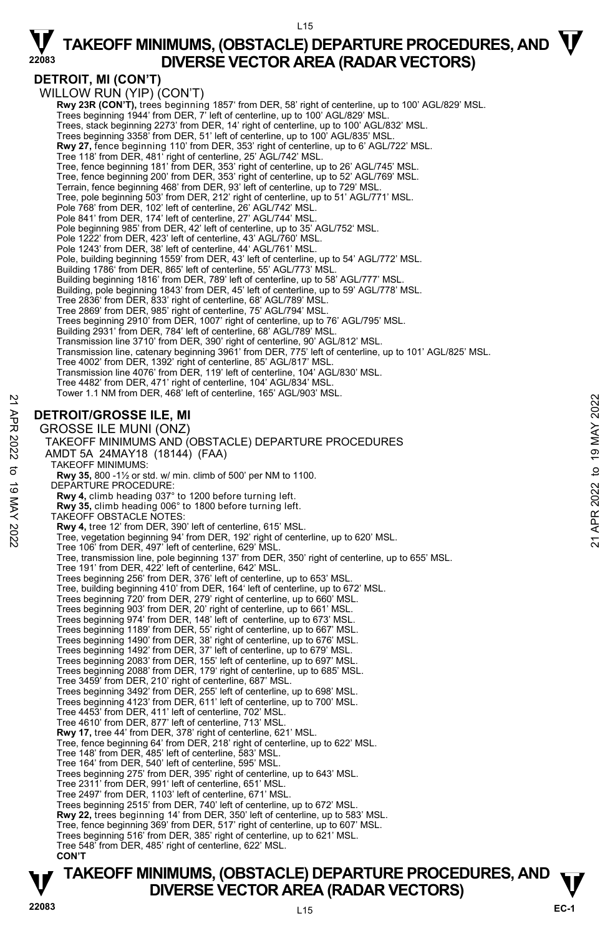### **DETROIT, MI (CON'T)**

WILLOW RUN (YIP) (CON'T) **Rwy 23R (CON'T),** trees beginning 1857' from DER, 58' right of centerline, up to 100' AGL/829' MSL. Trees beginning 1944' from DER, 7' left of centerline, up to 100' AGL/829' MSL Trees, stack beginning 2273' from DER, 14' right of centerline, up to 100' AGL/832' MSL. Trees beginning 3358' from DER, 51' left of centerline, up to 100' AGL/835' MSL. **Rwy 27,** fence beginning 110' from DER, 353' right of centerline, up to 6' AGL/722' MSL. Tree 118' from DER, 481' right of centerline, 25' AGL/742' MSL.<br>Tree, fence beginning 181' from DER, 353' right of centerline, up to 26' AGL/745' MSL. Tree, fence beginning 200' from DER, 353' right of centerline, up to 52' AGL/769' MSL.<br>Terrain, fence beginning 468' from DER, 93' left of centerline, up to 729' MSL. Tree, pole beginning 503' from DER, 212' right of centerline, up to 51' AGL/771' MSL. Pole 768' from DER, 102' left of centerline, 26' AGL/742' MSL. Pole 841' from DER, 174' left of centerline, 27' AGL/744' MSL. Pole beginning 985' from DER, 42' left of centerline, up to 35' AGL/752' MSL. Pole 1222' from DER, 423' left of centerline, 43' AGL/760' MSL. Pole 1243' from DER, 38' left of centerline, 44' AGL/761' MSL. Pole, building beginning 1559' from DER, 43' left of centerline, up to 54' AGL/772' MSL. Building 1786' from DER, 865' left of centerline, 55' AGL/773' MSL. Building beginning 1816' from DER, 789' left of centerline, up to 58' AGL/777' MSL. Building, pole beginning 1843' from DER, 45' left of centerline, up to 59' AGL/778' MSL. Tree 2836' from DER, 833' right of centerline, 68' AGL/789' MSL. Tree 2869' from DER, 985' right of centerline, 75' AGL/794' MSL. Trees beginning 2910' from DER, 1007' right of centerline, up to 76' AGL/795' MSL. Building 2931' from DER, 784' left of centerline, 68' AGL/789' MSL. Transmission line 3710' from DER, 390' right of centerline, 90' AGL/812' MSL. Transmission line, catenary beginning 3961' from DER, 775' left of centerline, up to 101' AGL/825' MSL. Tree 4002' from DER, 1392' right of centerline, 85' AGL/817' MSL. Transmission line 4076' from DER, 119' left of centerline, 104' AGL/830' MSL. Tree 4482' from DER, 471' right of centerline, 104' AGL/834' MSL. Tower 1.1 NM from DER, 468' left of centerline, 165' AGL/903' MSL. **DETROIT/GROSSE ILE, MI**  GROSSE ILE MUNI (ONZ) TAKEOFF MINIMUMS AND (OBSTACLE) DEPARTURE PROCEDURES AMDT 5A 24MAY18 (18144) (FAA) TAKEOFF MINIMUMS: **Rwy 35,** 800 -1½ or std. w/ min. climb of 500' per NM to 1100. DEPARTURE PROCEDURE: **Rwy 4,** climb heading 037° to 1200 before turning left. **Rwy 35,** climb heading 006° to 1800 before turning left. TAKEOFF OBSTACLE NOTES: **Rwy 4,** tree 12' from DER, 390' left of centerline, 615' MSL. Tree, vegetation beginning 94' from DER, 192' right of centerline, up to 620' MSL. Tree 106' from DER, 497' left of centerline, 629' MSL. Tree, transmission line, pole beginning 137' from DER, 350' right of centerline, up to 655' MSL. Tree 191' from DER, 422' left of centerline, 642' MSL. Trees beginning 256' from DER, 376' left of centerline, up to 653' MSL. Tree, building beginning 410' from DER, 164' left of centerline, up to 672' MSL. Trees beginning 720' from DER, 279' right of centerline, up to 660' MSL. Trees beginning 903' from DER, 20' right of centerline, up to 661' MSL. Trees beginning 974' from DER, 148' left of centerline, up to 673' MSL. Trees beginning 1189' from DER, 55' right of centerline, up to 667' MSL. Trees beginning 1490' from DER, 38' right of centerline, up to 676' MSL. Trees beginning 1492' from DER, 37' left of centerline, up to 679' MSL. Trees beginning 2083' from DER, 155' left of centerline, up to 697' MSL. Trees beginning 2088' from DER, 179' right of centerline, up to 685' MSL. Tree 3459' from DER, 210' right of centerline, 687' MSL. Trees beginning 3492' from DER, 255' left of centerline, up to 698' MSL. Trees beginning 4123' from DER, 611' left of centerline, up to 700' MSL. Tree 4453' from DER, 411' left of centerline, 702' MSL. Tree 4610' from DER, 877' left of centerline, 713' MSL. **Rwy 17,** tree 44' from DER, 378' right of centerline, 621' MSL. Tree, fence beginning 64' from DER, 218' right of centerline, up to 622' MSL. Tree 148' from DER, 485' left of centerline, 583' MSL. Tree 164' from DER, 540' left of centerline, 595' MSL. Trees beginning 275' from DER, 395' right of centerline, up to 643' MSL. Tree 2311' from DER, 991' left of centerline, 651' MSL. Tree 2497' from DER, 1103' left of centerline, 671' MSL. Trees beginning 2515' from DER, 740' left of centerline, up to 672' MSL. **Rwy 22,** trees beginning 14' from DER, 350' left of centerline, up to 583' MSL. Tree, fence beginning 369' from DER, 517' right of centerline, up to 607' MSL. Trees beginning 516' from DER, 385' right of centerline, up to 621' MSL. Tree 548' from DER, 485' right of centerline, 622' MSL. **CON'T DETROIT/GROSSE ILE, MI**<br>
22 **DETROIT/GROSSE ILE, MI**<br>
GROSSE ILE MUNI (ONZ)<br>
TAKEOFF MINIMUMS AND (OBSTACLE) DEPARTURE PROCEDURES<br>
ANDT 5A 24MAY18 (18144) (FAA)<br>
32 TAKEOFF MINIMUMS:<br>
82 AMDT 5A 24MAY18 (18144) (FAA)<br>
23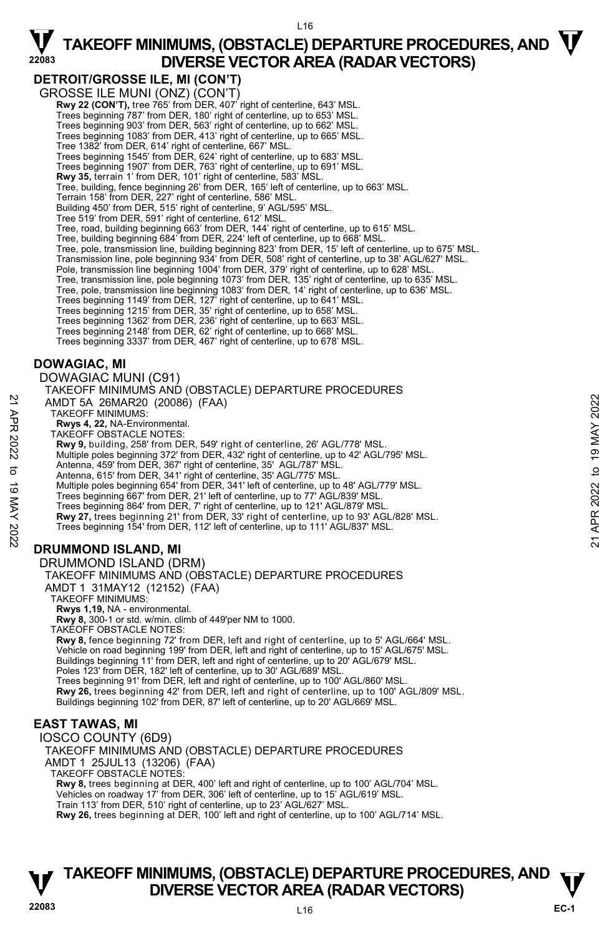### **DETROIT/GROSSE ILE, MI (CON'T)**

GROSSE ILE MUNI (ONZ) (CON'T)

**Rwy 22 (CON'T),** tree 765' from DER, 407' right of centerline, 643' MSL. Trees beginning 787' from DER, 180' right of centerline, up to 653' MSL.

Trees beginning 903' from DER, 563' right of centerline, up to 662' MSL.

Trees beginning 1083' from DER, 413' right of centerline, up to 665' MSL.

Tree 1382' from DER, 614' right of centerline, 667' MSL.

Trees beginning 1545' from DER, 624' right of centerline, up to 683' MSL. Trees beginning 1907' from DER, 763' right of centerline, up to 691' MSL.

**Rwy 35,** terrain 1' from DER, 101' right of centerline, 583' MSL.

Tree, building, fence beginning 26' from DER, 165' left of centerline, up to 663' MSL.

Terrain 158' from DER, 227' right of centerline, 586' MSL.

Building 450' from DER, 515' right of centerline, 9' AGL/595' MSL.

Tree 519' from DER, 591' right of centerline, 612' MSL.

Tree, road, building beginning 663' from DER, 144' right of centerline, up to 615' MSL.

Tree, building beginning 684' from DER, 224' left of centerline, up to 668' MSL.

Tree, pole, transmission line, building beginning 823' from DER, 15' left of centerline, up to 675' MSL. Transmission line, pole beginning 934' from DER, 508' right of centerline, up to 38' AGL/627' MSL.

Pole, transmission line beginning 1004' from DER, 379' right of centerline, up to 628' MSL

Tree, transmission line, pole beginning 1073' from DER, 135' right of centerline, up to 635' MSL. Tree, pole, transmission line beginning 1083' from DER, 14' right of centerline, up to 636' MSL.

Trees beginning 1149' from DER, 127' right of centerline, up to 641' MSL.<br>Trees beginning 1215' from DER, 35' right of centerline, up to 663' MSL.<br>Trees beginning 1362' from DER, 236' right of centerline, up to 663' MSL.

Trees beginning 2148' from DER, 62' right of centerline, up to 668' MSL.

Trees beginning 3337' from DER, 467' right of centerline, up to 678' MSL.

### **DOWAGIAC, MI**

DOWAGIAC MUNI (C91)

TAKEOFF MINIMUMS AND (OBSTACLE) DEPARTURE PROCEDURES AMDT 5A 26MAR20 (20086) (FAA) TAKEOFF MINIMUMS: **Rwys 4, 22,** NA-Environmental. TAKEOFF OBSTACLE NOTES: **Rwy 9,** building, 258' from DER, 549' right of centerline, 26' AGL/778' MSL. Multiple poles beginning 372' from DER, 432' right of centerline, up to 42' AGL/795' MSL. Antenna, 459' from DER, 367' right of centerline, 35' AGL/787' MSL. Antenna, 615' from DER, 341' right of centerline, 35' AGL/775' MSL. Multiple poles beginning 654' from DER, 341' left of centerline, up to 48' AGL/779' MSL. Trees beginning 667' from DER, 21' left of centerline, up to 77' AGL/839' MSL. Trees beginning 864' from DER, 7' right of centerline, up to 121' AGL/879' MSL. **Rwy 27,** trees beginning 21' from DER, 33' right of centerline, up to 93' AGL/828' MSL. Trees beginning 154' from DER, 112' left of centerline, up to 111' AGL/837' MSL. **DRUMMOND ISLAND, MI**  DRUMMOND ISLAND (DRM) AMDT 5A 26MAR20 (20086) (FAA)<br>
TAKEOFF MINIMUMS:<br>
Rwys 4, 22, NA-Environmental.<br>
Rwys 4, 22, NA-Environmental.<br>
TAKEOFF OBSTACLE NOTES:<br>
Rwy 9, building, 258' from DER, 549' right of centerline, 26' AGL/778' MSL.<br>
Multipl

TAKEOFF MINIMUMS AND (OBSTACLE) DEPARTURE PROCEDURES

AMDT 1 31MAY12 (12152) (FAA)

TAKEOFF MINIMUMS: **Rwys 1,19,** NA - environmental.

**Rwy 8,** 300-1 or std. w/min. climb of 449'per NM to 1000.

TAKEOFF OBSTACLE NOTES:

**Rwy 8,** fence beginning 72' from DER, left and right of centerline, up to 5' AGL/664' MSL. Vehicle on road beginning 199' from DER, left and right of centerline, up to 15' AGL/675' MSL. Buildings beginning 11' from DER, left and right of centerline, up to 20' AGL/679' MSL. Poles 123' from DER, 182' left of centerline, up to 30' AGL/689' MSL Trees beginning 91' from DER, left and right of centerline, up to 100' AGL/860' MSL. **Rwy 26,** trees beginning 42' from DER, left and right of centerline, up to 100' AGL/809' MSL. Buildings beginning 102' from DER, 87' left of centerline, up to 20' AGL/669' MSL.

### **EAST TAWAS, MI**

IOSCO COUNTY (6D9) TAKEOFF MINIMUMS AND (OBSTACLE) DEPARTURE PROCEDURES AMDT 1 25JUL13 (13206) (FAA) TAKEOFF OBSTACLE NOTES: **Rwy 8,** trees beginning at DER, 400' left and right of centerline, up to 100' AGL/704' MSL. Vehicles on roadway 17' from DER, 306' left of centerline, up to 15' AGL/619' MSL.

Train 113' from DER, 510' right of centerline, up to 23' AGL/627' MSL. **Rwy 26,** trees beginning at DER, 100' left and right of centerline, up to 100' AGL/714' MSL.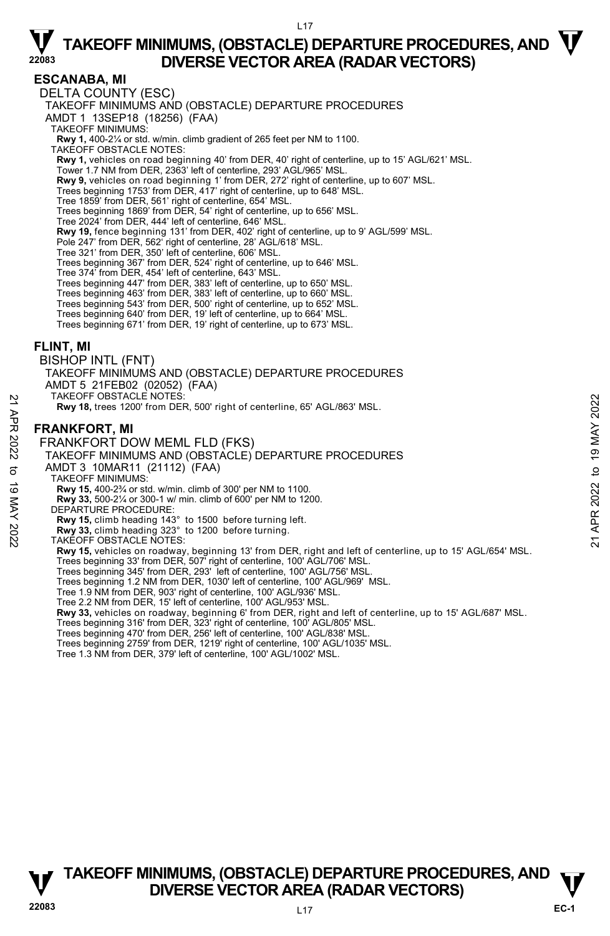L17

### **ESCANABA, MI**

DELTA COUNTY (ESC) TAKEOFF MINIMUMS AND (OBSTACLE) DEPARTURE PROCEDURES AMDT 1 13SEP18 (18256) (FAA) TAKEOFF MINIMUMS: **Rwy 1,** 400-2¼ or std. w/min. climb gradient of 265 feet per NM to 1100. TAKEOFF OBSTACLE NOTES: **Rwy 1,** vehicles on road beginning 40' from DER, 40' right of centerline, up to 15' AGL/621' MSL. Tower 1.7 NM from DER, 2363' left of centerline, 293' AGL/965' MSL. **Rwy 9,** vehicles on road beginning 1' from DER, 272' right of centerline, up to 607' MSL.<br>Trees beginning 1753' from DER, 417' right of centerline, up to 648' MSL. Tree 1859' from DER, 561' right of centerline, 654' MSL. Trees beginning 1869' from DER, 54' right of centerline, up to 656' MSL. Tree 2024' from DER, 444' left of centerline, 646' MSL. **Rwy 19,** fence beginning 131' from DER, 402' right of centerline, up to 9' AGL/599' MSL. Pole 247' from DER, 562' right of centerline, 28' AGL/618' MSL. Tree 321' from DER, 350' left of centerline, 606' MSL. Trees beginning 367' from DER, 524' right of centerline, up to 646' MSL. Tree 374' from DER, 454' left of centerline, 643' MSL. Trees beginning 447' from DER, 383' left of centerline, up to 650' MSL. Trees beginning 463' from DER, 383' left of centerline, up to 660' MSL. Trees beginning 543' from DER, 500' right of centerline, up to 652' MSL. Trees beginning 640' from DER, 19' left of centerline, up to 664' MSL. Trees beginning 671' from DER, 19' right of centerline, up to 673' MSL. **FLINT, MI**  BISHOP INTL (FNT) TAKEOFF MINIMUMS AND (OBSTACLE) DEPARTURE PROCEDURES AMDT 5 21FEB02 (02052) (FAA) TAKEOFF OBSTACLE NOTES: **Rwy 18,** trees 1200' from DER, 500' right of centerline, 65' AGL/863' MSL. **FRANKFORT, MI**  FRANKFORT DOW MEML FLD (FKS) TAKEOFF MINIMUMS AND (OBSTACLE) DEPARTURE PROCEDURES AMDT 3 10MAR11 (21112) (FAA) TAKEOFF MINIMUMS: **Rwy 15,** 400-2¾ or std. w/min. climb of 300' per NM to 1100. **Rwy 33,** 500-2¼ or 300-1 w/ min. climb of 600' per NM to 1200. DEPARTURE PROCEDURE: **Rwy 15,** climb heading 143° to 1500 before turning left. **Rwy 33,** climb heading 323° to 1200 before turning. TAKEOFF OBSTACLE NOTES: **Rwy 15,** vehicles on roadway, beginning 13' from DER, right and left of centerline, up to 15' AGL/654' MSL. Trees beginning 33' from DER, 507' right of centerline, 100' AGL/706' MSL. Trees beginning 345' from DER, 293' left of centerline, 100' AGL/756' MSL. Trees beginning 1.2 NM from DER, 1030' left of centerline, 100' AGL/969' MSL. Tree 1.9 NM from DER, 903' right of centerline, 100' AGL/936' MSL. Tree 2.2 NM from DER, 15' left of centerline, 100' AGL/953' MSL. **Rwy 33,** vehicles on roadway, beginning 6' from DER, right and left of centerline, up to 15' AGL/687' MSL. Trees beginning 316' from DER, 323' right of centerline, 100' AGL/805' MSL. Trees beginning 470' from DER, 256' left of centerline, 100' AGL/838' MSL. Trees beginning 2759' from DER, 1219' right of centerline, 100' AGL/1035' MSL. Tree 1.3 NM from DER, 379' left of centerline, 100' AGL/1002' MSL. PRANKFORT, MI<br>
PRANKFORT, MI<br>
PRANKFORT DOW MEML FLD (FKS)<br>
FRANKFORT DOW MEML FLD (FKS)<br>
TAKEOFF MINIMUMS AND (OBSTACLE) DEPARTURE PROCEDURES<br>
AMDT 3 10MAR11 (21112) (FAA)<br>
TAKEOFF MINIMUMS:<br>
RW 15, 400-2% or std. w/min.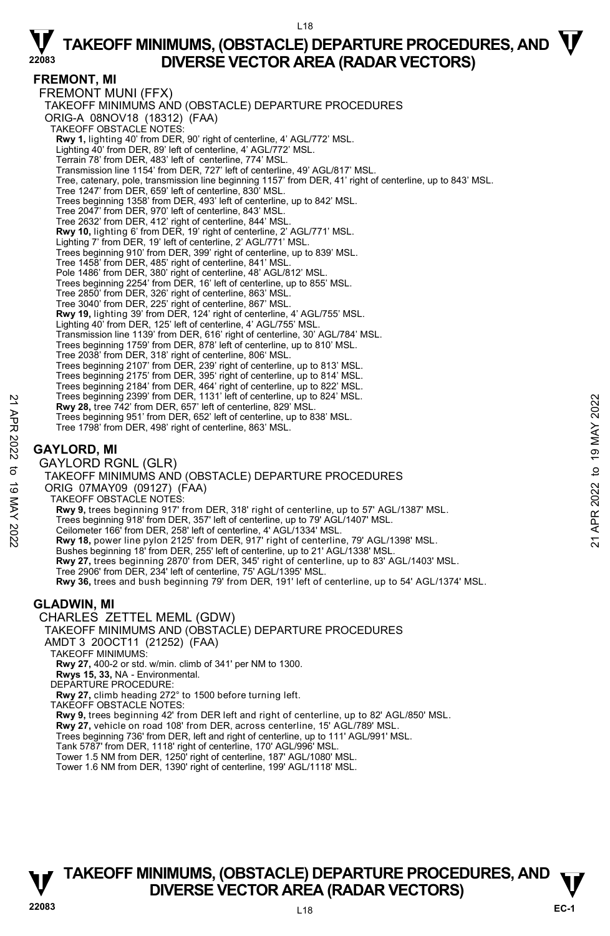#### L18

# $\nabla$  TAKEOFF MINIMUMS, (OBSTACLE) DEPARTURE PROCEDURES, AND  $\nabla$ **DIVERSE VECTOR AREA (RADAR VECTORS)**

#### **FREMONT, MI**

FREMONT MUNI (FFX) TAKEOFF MINIMUMS AND (OBSTACLE) DEPARTURE PROCEDURES ORIG-A 08NOV18 (18312) (FAA) TAKEOFF OBSTACLE NOTES: **Rwy 1,** lighting 40' from DER, 90' right of centerline, 4' AGL/772' MSL. Lighting 40' from DER, 89' left of centerline, 4' AGL/772' MSL. Terrain 78' from DER, 483' left of centerline, 774' MSL. Transmission line 1154' from DER, 727' left of centerline, 49' AGL/817' MSL. Tree, catenary, pole, transmission line beginning 1157' from DER, 41' right of centerline, up to 843' MSL. Tree 1247' from DER, 659' left of centerline, 830' MSL. Trees beginning 1358' from DER, 493' left of centerline, up to 842' MSL. Tree 2047' from DER, 970' left of centerline, 843' MSL. Tree 2632' from DER, 412' right of centerline, 844' MSL. **Rwy 10,** lighting 6' from DER, 19' right of centerline, 2' AGL/771' MSL. Lighting 7' from DER, 19' left of centerline, 2' AGL/771' MSL. Trees beginning 910' from DER, 399' right of centerline, up to 839' MSL. Tree 1458' from DER, 485' right of centerline, 841' MSL. Pole 1486' from DER, 380' right of centerline, 48' AGL/812' MSL. Trees beginning 2254' from DER, 16' left of centerline, up to 855' MSL.<br>Tree 2850' from DER, 326' right of centerline, 863' MSL.<br>Tree 3040' from DER, 225' right of centerline, 867' MSL. **Rwy 19,** lighting 39' from DER, 124' right of centerline, 4' AGL/755' MSL. Lighting 40' from DER, 125' left of centerline, 4' AGL/755' MSL. Transmission line 1139' from DER, 616' right of centerline, 30' AGL/784' MSL. Trees beginning 1759' from DER, 878' left of centerline, up to 810' MSL. Tree 2038' from DER, 318' right of centerline, 806' MSL. Trees beginning 2107' from DER, 239' right of centerline, up to 813' MSL. Trees beginning 2175' from DER, 395' right of centerline, up to 814' MSL. Trees beginning 2184' from DER, 464' right of centerline, up to 822' MSL. Trees beginning 2399' from DER, 1131' left of centerline, up to 824' MSL. **Rwy 28,** tree 742' from DER, 657' left of centerline, 829' MSL. Trees beginning 951' from DER, 652' left of centerline, up to 838' MSL. Tree 1798' from DER, 498' right of centerline, 863' MSL. **GAYLORD, MI**  GAYLORD RGNL (GLR) TAKEOFF MINIMUMS AND (OBSTACLE) DEPARTURE PROCEDURES ORIG 07MAY09 (09127) (FAA) TAKEOFF OBSTACLE NOTES: **Rwy 9,** trees beginning 917' from DER, 318' right of centerline, up to 57' AGL/1387' MSL. Trees beginning 918' from DER, 357' left of centerline, up to 79' AGL/1407' MSL. Ceilometer 166' from DER, 258' left of centerline, 4' AGL/1334' MSL.<br>**Rwy 18,** power line pylon 2125' from DER, 917' right of centerline, 79' AGL/1398' MSL. Bushes beginning 18' from DER, 255' left of centerline, up to 21' AGL/1338' MSL. **Rwy 27,** trees beginning 2870' from DER, 345' right of centerline, up to 83' AGL/1403' MSL.<br>Tree 2906' from DER, 234' left of centerline, 75' AGL/1395' MSL. **Rwy 36,** trees and bush beginning 79' from DER, 191' left of centerline, up to 54' AGL/1374' MSL. **GLADWIN, MI**  CHARLES ZETTEL MEML (GDW) TAKEOFF MINIMUMS AND (OBSTACLE) DEPARTURE PROCEDURES AMDT 3 20OCT11 (21252) (FAA) TAKEOFF MINIMUMS: **Rwy 27,** 400-2 or std. w/min. climb of 341' per NM to 1300. **Rwys 15, 33,** NA - Environmental. DEPARTURE PROCEDURE: **Rwy 27,** climb heading 272° to 1500 before turning left. TAKEOFF OBSTACLE NOTES: **Rwy 9,** trees beginning 42' from DER left and right of centerline, up to 82' AGL/850' MSL. **Rwy 27,** vehicle on road 108' from DER, across centerline, 15' AGL/789' MSL. Press beginning 2399 Trom DER, 1131<sup>2</sup> left of centerline, 829 MSL.<br> **ENV28, tree 742'** from DER, 657' left of centerline, 829' MSL.<br>
Tree 1798' from DER, 498' right of centerline, 863' MSL.<br>
Tree 1798' from DER, 498' rig

Trees beginning 736' from DER, left and right of centerline, up to 111' AGL/991' MSL. Tank 5787' from DER, 1118' right of centerline, 170' AGL/996' MSL.

Tower 1.5 NM from DER, 1250' right of centerline, 187' AGL/1080' MSL.

Tower 1.6 NM from DER, 1390' right of centerline, 199' AGL/1118' MSL.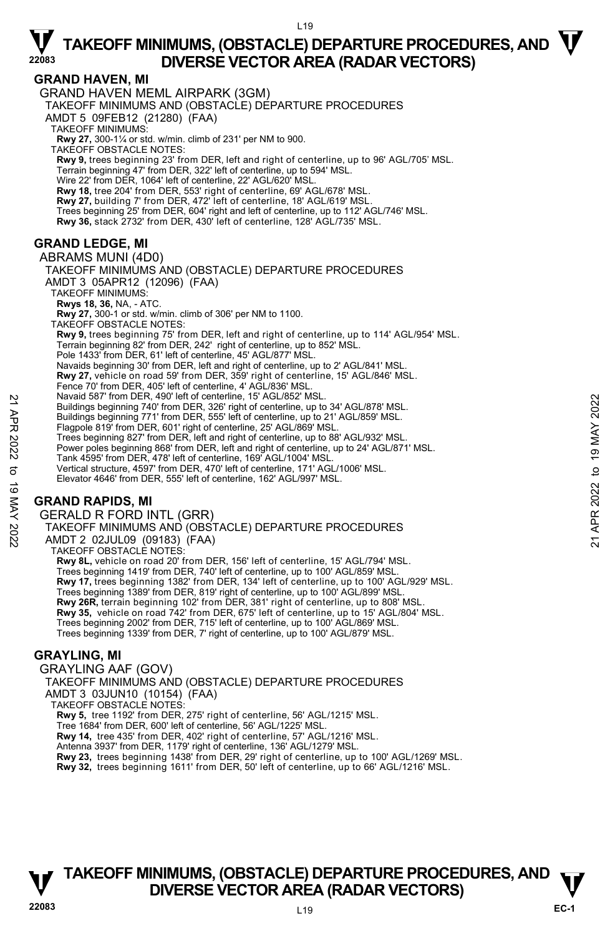### **GRAND HAVEN, MI**

GRAND HAVEN MEML AIRPARK (3GM) TAKEOFF MINIMUMS AND (OBSTACLE) DEPARTURE PROCEDURES AMDT 5 09FEB12 (21280) (FAA) TAKEOFF MINIMUMS: **Rwy 27,** 300-1¼ or std. w/min. climb of 231' per NM to 900. TAKEOFF OBSTACLE NOTES: **Rwy 9,** trees beginning 23' from DER, left and right of centerline, up to 96' AGL/705' MSL. Terrain beginning 47' from DER, 322' left of centerline, up to 594' MSL. Wire 22' from DER, 1064' left of centerline, 22' AGL/620' MSL. **Rwy 18,** tree 204' from DER, 553' right of centerline, 69' AGL/678' MSL. **Rwy 27,** building 7' from DER, 472' left of centerline, 18' AGL/619' MSL. Trees beginning 25' from DER, 604' right and left of centerline, up to 112' AGL/746' MSL.<br>**Rwy 36,** stack 2732' from DER, 430' left of centerline, 128' AGL/735' MSL. **GRAND LEDGE, MI**  ABRAMS MUNI (4D0) TAKEOFF MINIMUMS AND (OBSTACLE) DEPARTURE PROCEDURES

AMDT 3 05APR12 (12096) (FAA) TAKEOFF MINIMUMS: **Rwys 18, 36,** NA, - ATC. **Rwy 27,** 300-1 or std. w/min. climb of 306' per NM to 1100. TAKEOFF OBSTACLE NOTES: **Rwy 9,** trees beginning 75' from DER, left and right of centerline, up to 114' AGL/954' MSL. Terrain beginning 82' from DER, 242' right of centerline, up to 852' MSL. Pole 1433' from DER, 61' left of centerline, 45' AGL/877' MSL. Navaids beginning 30' from DER, left and right of centerline, up to 2' AGL/841' MSL. **Rwy 27,** vehicle on road 59' from DER, 359' right of centerline, 15' AGL/846' MSL. Fence 70' from DER, 405' left of centerline, 4' AGL/836' MSL. Navaid 587' from DER, 490' left of centerline, 15' AGL/852' MSL. Buildings beginning 740' from DER, 326' right of centerline, up to 34' AGL/878' MSL. Buildings beginning 771' from DER, 555' left of centerline, up to 21' AGL/859' MSL. Flagpole 819' from DER, 601' right of centerline, 25' AGL/869' MSL. Trees beginning 827' from DER, left and right of centerline, up to 88' AGL/932' MSL. Power poles beginning 868' from DER, left and right of centerline, up to 24' AGL/871' MSL. Tank 4595' from DER, 478' left of centerline, 169' AGL/1004' MSL. Vertical structure, 4597' from DER, 470' left of centerline, 171' AGL/1006' MSL. Elevator 4646' from DER, 555' left of centerline, 162' AGL/997' MSL. Naval os Y Trom DER, 490' let of centerline, 19 AGL/852' MSL.<br>
Buildings beginning 740' from DER, 326' right of centerline, up to 34' AGL/878' MSL.<br>
Buildings beginning 771' from DER, 555' left of centerline, up to 21' AG

### **GRAND RAPIDS, MI**

GERALD R FORD INTL (GRR)

TAKEOFF MINIMUMS AND (OBSTACLE) DEPARTURE PROCEDURES AMDT 2 02JUL09 (09183) (FAA) TAKEOFF OBSTACLE NOTES: **Rwy 8L,** vehicle on road 20' from DER, 156' left of centerline, 15' AGL/794' MSL. Trees beginning 1419' from DER, 740' left of centerline, up to 100' AGL/859' MSL. **Rwy 17,** trees beginning 1382' from DER, 134' left of centerline, up to 100' AGL/929' MSL. Trees beginning 1389' from DER, 819' right of centerline, up to 100' AGL/899' MSL. **Rwy 26R,** terrain beginning 102' from DER, 381' right of centerline, up to 808' MSL.

**Rwy 35,** vehicle on road 742' from DER, 675' left of centerline, up to 15' AGL/804' MSL. Trees beginning 2002' from DER, 715' left of centerline, up to 100' AGL/869' MSL. Trees beginning 1339' from DER, 7' right of centerline, up to 100' AGL/879' MSL.

#### **GRAYLING, MI**

GRAYLING AAF (GOV) TAKEOFF MINIMUMS AND (OBSTACLE) DEPARTURE PROCEDURES AMDT 3 03JUN10 (10154) (FAA) TAKEOFF OBSTACLE NOTES: **Rwy 5,** tree 1192' from DER, 275' right of centerline, 56' AGL/1215' MSL. Tree 1684' from DER, 600' left of centerline, 56' AGL/1225' MSL. **Rwy 14,** tree 435' from DER, 402' right of centerline, 57' AGL/1216' MSL. Antenna 3937' from DER, 1179' right of centerline, 136' AGL/1279' MSL. **Rwy 23,** trees beginning 1438' from DER, 29' right of centerline, up to 100' AGL/1269' MSL. **Rwy 32,** trees beginning 1611' from DER, 50' left of centerline, up to 66' AGL/1216' MSL.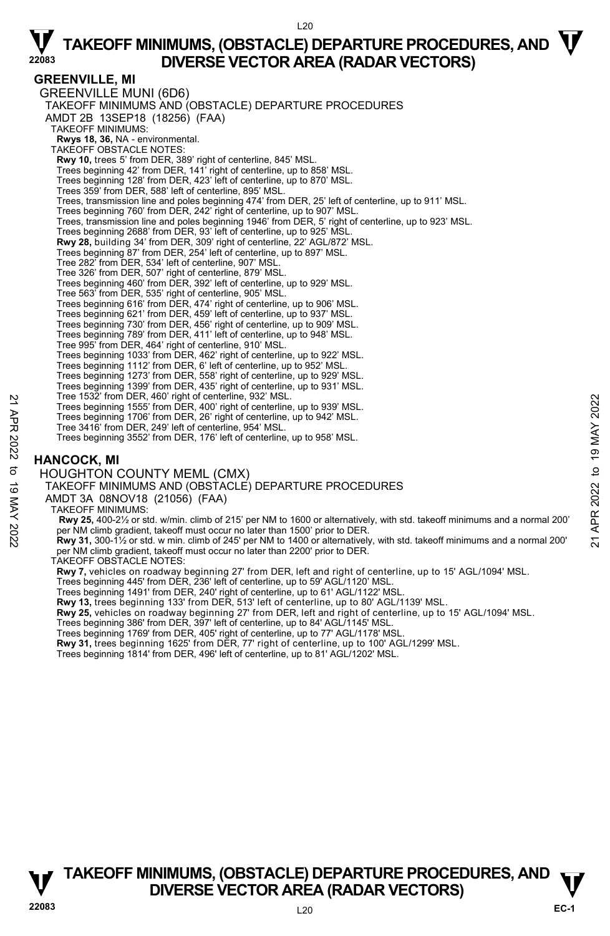#### $120$

# $\nabla$  TAKEOFF MINIMUMS, (OBSTACLE) DEPARTURE PROCEDURES, AND  $\nabla$ **DIVERSE VECTOR AREA (RADAR VECTORS)**

#### **GREENVILLE, MI**

GREENVILLE MUNI (6D6) TAKEOFF MINIMUMS AND (OBSTACLE) DEPARTURE PROCEDURES AMDT 2B 13SEP18 (18256) (FAA) TAKEOFF MINIMUMS: **Rwys 18, 36,** NA - environmental. TAKEOFF OBSTACLE NOTES: **Rwy 10,** trees 5' from DER, 389' right of centerline, 845' MSL. Trees beginning 42' from DER, 141' right of centerline, up to 858' MSL. Trees beginning 128' from DER, 423' left of centerline, up to 870' MSL. Trees 359' from DER, 588' left of centerline, 895' MSL. Trees, transmission line and poles beginning 474' from DER, 25' left of centerline, up to 911' MSL. Trees beginning 760' from DER, 242' right of centerline, up to 907' MSL Trees, transmission line and poles beginning 1946' from DER, 5' right of centerline, up to 923' MSL. Trees beginning 2688' from DER, 93' left of centerline, up to 925' MSL. **Rwy 28,** building 34' from DER, 309' right of centerline, 22' AGL/872' MSL. Trees beginning 87' from DER, 254' left of centerline, up to 897' MSL. Tree 282' from DER, 534' left of centerline, 907' MSL. Tree 326' from DER, 507' right of centerline, 879' MSL. Trees beginning 460' from DER, 392' left of centerline, up to 929' MSL. Tree 563' from DER, 535' right of centerline, 905' MSL. Trees beginning 616' from DER, 474' right of centerline, up to 906' MSL. Trees beginning 621' from DER, 459' left of centerline, up to 937' MSL. Trees beginning 730' from DER, 456' right of centerline, up to 909' MSL. Trees beginning 789' from DER, 411' left of centerline, up to 948' MSL. Tree 995' from DER, 464' right of centerline, 910' MSL. Trees beginning 1033' from DER, 462' right of centerline, up to 922' MSL. Trees beginning 1112' from DER, 6' left of centerline, up to 952' MSL. Trees beginning 1273' from DER, 558' right of centerline, up to 929' MSL. Trees beginning 1399' from DER, 435' right of centerline, up to 931' MSL. Tree 1532' from DER, 460' right of centerline, 932' MSL. Trees beginning 1555' from DER, 400' right of centerline, up to 939' MSL. Trees beginning 1706' from DER, 26' right of centerline, up to 942' MSL. Tree 3416' from DER, 249' left of centerline, 954' MSL. Trees beginning 3552' from DER, 176' left of centerline, up to 958' MSL. **HANCOCK, MI**  HOUGHTON COUNTY MEML (CMX) TAKEOFF MINIMUMS AND (OBSTACLE) DEPARTURE PROCEDURES AMDT 3A 08NOV18 (21056) (FAA) TAKEOFF MINIMUMS:  **Rwy 25,** 400-2½ or std. w/min. climb of 215' per NM to 1600 or alternatively, with std. takeoff minimums and a normal 200' Tree beginning 1555' from DER, 400' right of centerline, up to 939' MSL.<br>Trees beginning 1555' from DER, 240' irght of centerline, up to 939' MSL.<br>Trees beginning 1706' from DER, 26' right of centerline, up to 939' MSL.<br>T per NM climb gradient, takeoff must occur no later than 2200' prior to DER. TAKEOFF OBSTACLE NOTES: **Rwy 7,** vehicles on roadway beginning 27' from DER, left and right of centerline, up to 15' AGL/1094' MSL. Trees beginning 445' from DER, 236' left of centerline, up to 59' AGL/1120' MSL. Trees beginning 1491' from DER, 240' right of centerline, up to 61' AGL/1122' MSL. **Rwy 13,** trees beginning 133' from DER, 513' left of centerline, up to 80' AGL/1139' MSL. **Rwy 25,** vehicles on roadway beginning 27' from DER, left and right of centerline, up to 15' AGL/1094' MSL. Trees beginning 386' from DER, 397' left of centerline, up to 84' AGL/1145' MSL. Trees beginning 1769' from DER, 405' right of centerline, up to 77' AGL/1178' MSL. **Rwy 31,** trees beginning 1625' from DER, 77' right of centerline, up to 100' AGL/1299' MSL. Trees beginning 1814' from DER, 496' left of centerline, up to 81' AGL/1202' MSL.

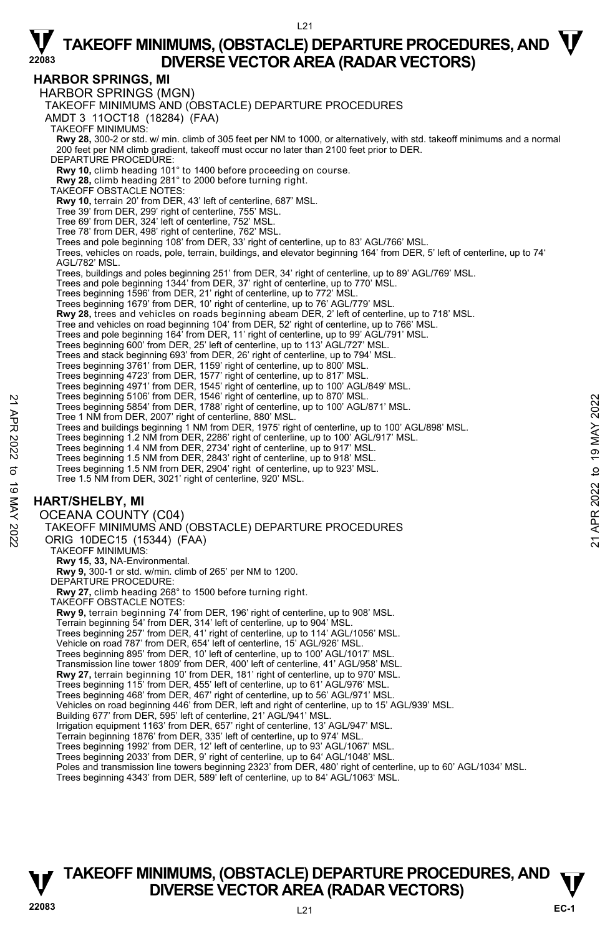### $121$

# $\nabla$  TAKEOFF MINIMUMS, (OBSTACLE) DEPARTURE PROCEDURES, AND  $\nabla$ **DIVERSE VECTOR AREA (RADAR VECTORS)**

### **HARBOR SPRINGS, MI**

HARBOR SPRINGS (MGN) TAKEOFF MINIMUMS AND (OBSTACLE) DEPARTURE PROCEDURES AMDT 3 11OCT18 (18284) (FAA) TAKEOFF MINIMUMS: **Rwy 28,** 300-2 or std. w/ min. climb of 305 feet per NM to 1000, or alternatively, with std. takeoff minimums and a normal 200 feet per NM climb gradient, takeoff must occur no later than 2100 feet prior to DER. DEPARTURE PROCEDURE: **Rwy 10,** climb heading 101° to 1400 before proceeding on course. **Rwy 28,** climb heading 281° to 2000 before turning right. TAKEOFF OBSTACLE NOTES: **Rwy 10,** terrain 20' from DER, 43' left of centerline, 687' MSL. Tree 39' from DER, 299' right of centerline, 755' MSL. Tree 69' from DER, 324' left of centerline, 752' MSL. Tree 78' from DER, 498' right of centerline, 762' MSL. Trees and pole beginning 108' from DER, 33' right of centerline, up to 83' AGL/766' MSL. Trees, vehicles on roads, pole, terrain, buildings, and elevator beginning 164' from DER, 5' left of centerline, up to 74' AGL/782' MSL. Trees, buildings and poles beginning 251' from DER, 34' right of centerline, up to 89' AGL/769' MSL. Trees and pole beginning 1344' from DER, 37' right of centerline, up to 770' MSL.<br>Trees beginning 1596' from DER, 21' right of centerline, up to 772' MSL.<br>Trees beginning 1679' from DER, 10' right of centerline, up to 76' **Rwy 28,** trees and vehicles on roads beginning abeam DER, 2' left of centerline, up to 718' MSL.<br>Tree and vehicles on road beginning 104' from DER, 52' right of centerline, up to 766' MSL. Trees and pole beginning 164' from DER, 11' right of centerline, up to 99' AGL/791' MSL. Trees beginning 600' from DER, 25' left of centerline, up to 113' AGL/727' MSL. Trees and stack beginning 693' from DER, 26' right of centerline, up to 794' MSL. Trees beginning 3761' from DER, 1159' right of centerline, up to 800' MSL. Trees beginning 4723' from DER, 1577' right of centerline, up to 817' MSL. Trees beginning 4971' from DER, 1545' right of centerline, up to 100' AGL/849' MSL. Trees beginning 5106' from DER, 1546' right of centerline, up to 870' MSL. Trees beginning 5854' from DER, 1788' right of centerline, up to 100' AGL/871' MSL. Tree 1 NM from DER, 2007' right of centerline, 880' MSL. Trees and buildings beginning 1 NM from DER, 1975' right of centerline, up to 100' AGL/898' MSL. Trees beginning 1.2 NM from DER, 2286' right of centerline, up to 100' AGL/917' MSL. Trees beginning 1.4 NM from DER, 2734' right of centerline, up to 917' MSL. Trees beginning 1.5 NM from DER, 2843' right of centerline, up to 918' MSL. Trees beginning 1.5 NM from DER, 2904' right of centerline, up to 923' MSL. Tree 1.5 NM from DER, 3021' right of centerline, 920' MSL. **HART/SHELBY, MI**  OCEANA COUNTY (C04) TAKEOFF MINIMUMS AND (OBSTACLE) DEPARTURE PROCEDURES ORIG 10DEC15 (15344) (FAA) TAKEOFF MINIMUMS: **Rwy 15, 33,** NA-Environmental. **Rwy 9,** 300-1 or std. w/min. climb of 265' per NM to 1200. DEPARTURE PROCEDURE **Rwy 27,** climb heading 268° to 1500 before turning right. TAKEOFF OBSTACLE NOTES: **Rwy 9,** terrain beginning 74' from DER, 196' right of centerline, up to 908' MSL. Terrain beginning 54' from DER, 314' left of centerline, up to 904' MSL. Trees beginning 257' from DER, 41' right of centerline, up to 114' AGL/1056' MSL. Vehicle on road 787' from DER, 654' left of centerline, 15' AGL/926' MSL. Trees beginning 895' from DER, 10' left of centerline, up to 100' AGL/1017' MSL. Transmission line tower 1809' from DER, 400' left of centerline, 41' AGL/958' MSL. **Rwy 27,** terrain beginning 10' from DER, 181' right of centerline, up to 970' MSL. Trees beginning 115' from DER, 455' left of centerline, up to 61' AGL/976' MSL. Trees beginning 468' from DER, 467' right of centerline, up to 56' AGL/971' MSL. Vehicles on road beginning 446' from DER, left and right of centerline, up to 15' AGL/939' MSL. Building 677' from DER, 595' left of centerline, 21' AGL/941' MSL. Irrigation equipment 1163' from DER, 657' right of centerline, 13' AGL/947' MSL. Terrain beginning 1876' from DER, 335' left of centerline, up to 974' MSL. Trees beginning 1992' from DER, 12' left of centerline, up to 93' AGL/1067' MSL. Trees beginning 2033' from DER, 9' right of centerline, up to 64' AGL/1048' MSL. Poles and transmission line towers beginning 2323' from DER, 480' right of centerline, up to 60' AGL/1034' MSL. Trees beginning 4343' from DER, 589' left of centerline, up to 84' AGL/1063' MSL. Trees beginning 5854' from DER, 1786' right of centerline, up to 870' MSL.<br>
Trees beginning 5854' from DER, 1788' right of centerline, up to 100' AGL/871' MSL.<br>
Trees and buildings beginning 1 NM from DER, 1975' right of c

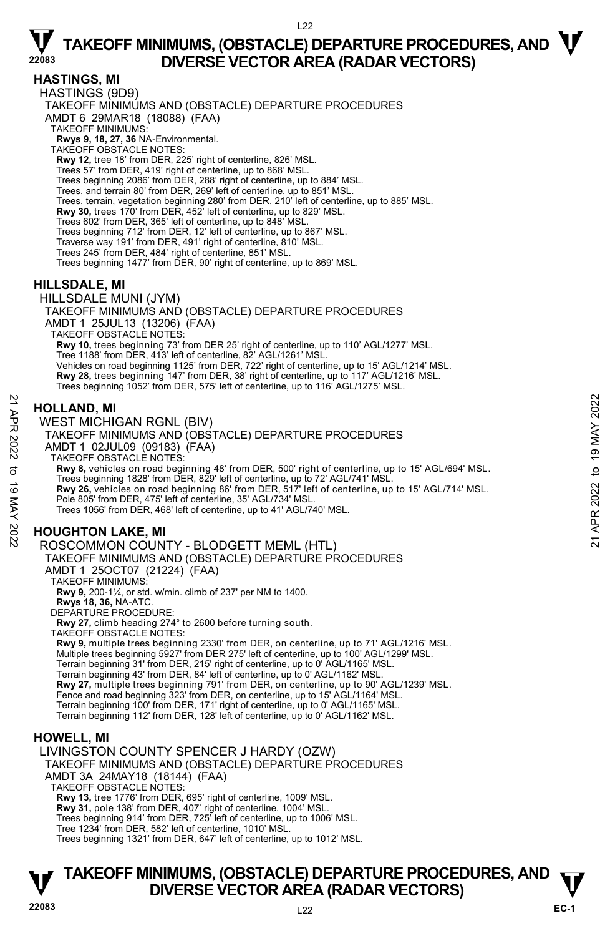#### **HASTINGS, MI**

HASTINGS (9D9) TAKEOFF MINIMUMS AND (OBSTACLE) DEPARTURE PROCEDURES AMDT 6 29MAR18 (18088) (FAA) TAKEOFF MINIMUMS: **Rwys 9, 18, 27, 36** NA-Environmental. TAKEOFF OBSTACLE NOTES: **Rwy 12,** tree 18' from DER, 225' right of centerline, 826' MSL. Trees 57' from DER, 419' right of centerline, up to 868' MSL. Trees beginning 2086' from DER, 288' right of centerline, up to 884' MSL. Trees, and terrain 80' from DER, 269' left of centerline, up to 851' MSL. Trees, terrain, vegetation beginning 280' from DER, 210' left of centerline, up to 885' MSL. **Rwy 30,** trees 170' from DER, 452' left of centerline, up to 829' MSL. Trees 602' from DER, 365' left of centerline, up to 848' MSL. Trees beginning 712' from DER, 12' left of centerline, up to 867' MSL. Traverse way 191' from DER, 491' right of centerline, 810' MSL. Trees 245' from DER, 484' right of centerline, 851' MSL. Trees beginning 1477' from DER, 90' right of centerline, up to 869' MSL.

### **HILLSDALE, MI**

HILLSDALE MUNI (JYM) TAKEOFF MINIMUMS AND (OBSTACLE) DEPARTURE PROCEDURES AMDT 1 25JUL13 (13206) (FAA) TAKEOFF OBSTACLE NOTES: **Rwy 10,** trees beginning 73' from DER 25' right of centerline, up to 110' AGL/1277' MSL. Tree 1188' from DER, 413' left of centerline, 82' AGL/1261' MSL. Vehicles on road beginning 1125' from DER, 722' right of centerline, up to 15' AGL/1214' MSL. **Rwy 28,** trees beginning 147' from DER, 38' right of centerline, up to 117' AGL/1216' MSL. Trees beginning 1052' from DER, 575' left of centerline, up to 116' AGL/1275' MSL.

#### **HOLLAND, MI**

WEST MICHIGAN RGNL (BIV) TAKEOFF MINIMUMS AND (OBSTACLE) DEPARTURE PROCEDURES AMDT 1 02JUL09 (09183) (FAA) TAKEOFF OBSTACLE NOTES: **Rwy 8,** vehicles on road beginning 48' from DER, 500' right of centerline, up to 15' AGL/694' MSL. Trees beginning 1828' from DER, 829' left of centerline, up to 72' AGL/741' MSL. **Rwy 26,** vehicles on road beginning 86' from DER, 517' left of centerline, up to 15' AGL/714' MSL. Pole 805' from DER, 475' left of centerline, 35' AGL/734' MSL. Trees 1056' from DER, 468' left of centerline, up to 41' AGL/740' MSL. **HOLLAND, MI**<br>
21 **WEST MICHIGAN RGNL (BIV)**<br>
TAKEOFF MINIMUMS AND (OBSTACLE) DEPARTURE PROCEDURES<br>
22 AMDT 1 02JUL09 (09183) (FAA)<br>
23 TAKEOFF MINIMUMS AND (OBSTACLE) DEPARTURE PROCEDURES<br>
22 AMDT 1 02JUL09 (09183) (FAA)

### **HOUGHTON LAKE, MI**

#### ROSCOMMON COUNTY - BLODGETT MEML (HTL)

TAKEOFF MINIMUMS AND (OBSTACLE) DEPARTURE PROCEDURES AMDT 1 25OCT07 (21224) (FAA)

TAKEOFF MINIMUMS:

**Rwy 9,** 200-1¼, or std. w/min. climb of 237' per NM to 1400.

**Rwys 18, 36,** NA-ATC. DEPARTURE PROCEDURE:

**Rwy 27,** climb heading 274° to 2600 before turning south.

TAKEOFF OBSTACLE NOTES:

**Rwy 9,** multiple trees beginning 2330' from DER, on centerline, up to 71' AGL/1216' MSL. Multiple trees beginning 5927' from DER 275' left of centerline, up to 100' AGL/1299' MSL. Terrain beginning 31' from DER, 215' right of centerline, up to 0' AGL/1165' MSL. Terrain beginning 43' from DER, 84' left of centerline, up to 0' AGL/1162' MSL. **Rwy 27,** multiple trees beginning 791' from DER, on centerline, up to 90' AGL/1239' MSL. Fence and road beginning 323' from DER, on centerline, up to 15' AGL/1164' MSL. Terrain beginning 100' from DER, 171' right of centerline, up to 0' AGL/1165' MSL. Terrain beginning 112' from DER, 128' left of centerline, up to 0' AGL/1162' MSL.

#### **HOWELL, MI**

LIVINGSTON COUNTY SPENCER J HARDY (OZW) TAKEOFF MINIMUMS AND (OBSTACLE) DEPARTURE PROCEDURES AMDT 3A 24MAY18 (18144) (FAA) TAKEOFF OBSTACLE NOTES: **Rwy 13,** tree 1776' from DER, 695' right of centerline, 1009' MSL. **Rwy 31,** pole 138' from DER, 407' right of centerline, 1004' MSL. Trees beginning 914' from DER, 725' left of centerline, up to 1006' MSL. Tree 1234' from DER, 582' left of centerline, 1010' MSL.

Trees beginning 1321' from DER, 647' left of centerline, up to 1012' MSL.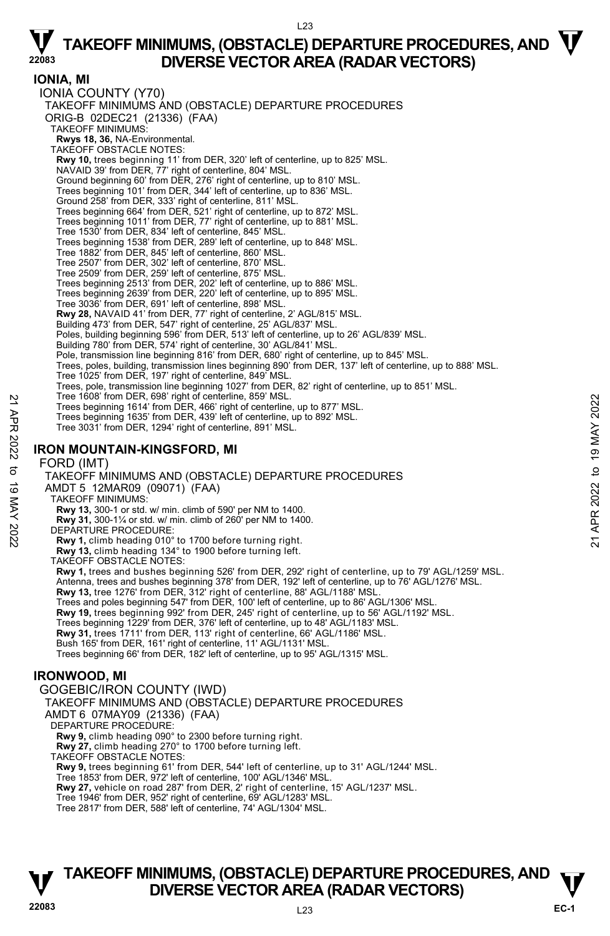$123$ 

**IONIA, MI**  IONIA COUNTY (Y70) TAKEOFF MINIMUMS AND (OBSTACLE) DEPARTURE PROCEDURES ORIG-B 02DEC21 (21336) (FAA) TAKEOFF MINIMUMS: **Rwys 18, 36,** NA-Environmental. TAKEOFF OBSTACLE NOTES: **Rwy 10,** trees beginning 11' from DER, 320' left of centerline, up to 825' MSL. NAVAID 39' from DER, 77' right of centerline, 804' MSL. Ground beginning 60' from DER, 276' right of centerline, up to 810' MSL. Trees beginning 101' from DER, 344' left of centerline, up to 836' MSL. Ground 258' from DER, 333' right of centerline, 811' MSL. Trees beginning 664' from DER, 521' right of centerline, up to 872' MSL. Trees beginning 1011' from DER, 77' right of centerline, up to 881' MSL. Tree 1530' from DER, 834' left of centerline, 845' MSL. Trees beginning 1538' from DER, 289' left of centerline, up to 848' MSL. Tree 1882' from DER, 845' left of centerline, 860' MSL. Tree 2507' from DER, 302' left of centerline, 870' MSL. Tree 2509' from DER, 259' left of centerline, 875' MSL. Trees beginning 2513' from DER, 202' left of centerline, up to 886' MSL. Trees beginning 2639' from DER, 220' left of centerline, up to 895' MSL. Tree 3036' from DER, 691' left of centerline, 898' MSL. **Rwy 28,** NAVAID 41' from DER, 77' right of centerline, 2' AGL/815' MSL. Building 473' from DER, 547' right of centerline, 25' AGL/837' MSL. Poles, building beginning 596' from DER, 513' left of centerline, up to 26' AGL/839' MSL. Building 780' from DER, 574' right of centerline, 30' AGL/841' MSL. Pole, transmission line beginning 816' from DER, 680' right of centerline, up to 845' MSL.<br>Trees, poles, building, transmission lines beginning 890' from DER, 137' left of centerline, up to 888' MSL. Tree 1025' from DER, 197' right of centerline, 849' MSL. Trees, pole, transmission line beginning 1027' from DER, 82' right of centerline, up to 851' MSL. Tree 1608' from DER, 698' right of centerline, 859' MSL. Trees beginning 1614' from DER, 466' right of centerline, up to 877' MSL. Trees beginning 1635' from DER, 439' left of centerline, up to 892' MSL. Tree 3031' from DER, 1294' right of centerline, 891' MSL. **IRON MOUNTAIN-KINGSFORD, MI**  FORD (IMT) TAKEOFF MINIMUMS AND (OBSTACLE) DEPARTURE PROCEDURES AMDT 5 12MAR09 (09071) (FAA) TAKEOFF MINIMUMS: **Rwy 13,** 300-1 or std. w/ min. climb of 590' per NM to 1400. **Rwy 31,** 300-1¼ or std. w/ min. climb of 260' per NM to 1400. DEPARTURE PROCEDURE: **Rwy 1,** climb heading 010° to 1700 before turning right. **Rwy 13,** climb heading 134° to 1900 before turning left. TAKEOFF OBSTACLE NOTES: **Rwy 1,** trees and bushes beginning 526' from DER, 292' right of centerline, up to 79' AGL/1259' MSL. Antenna, trees and bushes beginning 378' from DER, 192' left of centerline, up to 76' AGL/1276' MSL. **Rwy 13,** tree 1276' from DER, 312' right of centerline, 88' AGL/1188' MSL. Trees and poles beginning 547' from DER, 100' left of centerline, up to 86' AGL/1306' MSL.<br>**Rwy 19,** trees beginning 992' from DER, 245' right of centerline, up to 56' AGL/1192' MSL. Trees beginning 1229' from DER, 376' left of centerline, up to 48' AGL/1183' MSL. **Rwy 31,** trees 1711' from DER, 113' right of centerline, 66' AGL/1186' MSL. Bush 165' from DER, 161' right of centerline, 11' AGL/1131' MSL. Trees beginning 66' from DER, 182' left of centerline, up to 95' AGL/1315' MSL. **IRONWOOD, MI**  GOGEBIC/IRON COUNTY (IWD) TAKEOFF MINIMUMS AND (OBSTACLE) DEPARTURE PROCEDURES AMDT 6 07MAY09 (21336) (FAA) DEPARTURE PROCEDURE: **Rwy 9,** climb heading 090° to 2300 before turning right. **Rwy 27,** climb heading 270° to 1700 before turning left. TAKEOFF OBSTACLE NOTES: **Rwy 9,** trees beginning 61' from DER, 544' left of centerline, up to 31' AGL/1244' MSL. Tree 1853' from DER, 972' left of centerline, 100' AGL/1346' MSL. Tree buolis rom DER, 989 right of centerline, 899 MSL.<br>
Trees beginning 1614' from DER, 439' left of centerline, up to 877' MSL.<br>
Trees beginning 1635' from DER, 439' left of centerline, up to 892' MSL.<br>
Tree 3031' from DE

**Rwy 27,** vehicle on road 287' from DER, 2' right of centerline, 15' AGL/1237' MSL.

Tree 1946' from DER, 952' right of centerline, 69' AGL/1283' MSL.

Tree 2817' from DER, 588' left of centerline, 74' AGL/1304' MSL.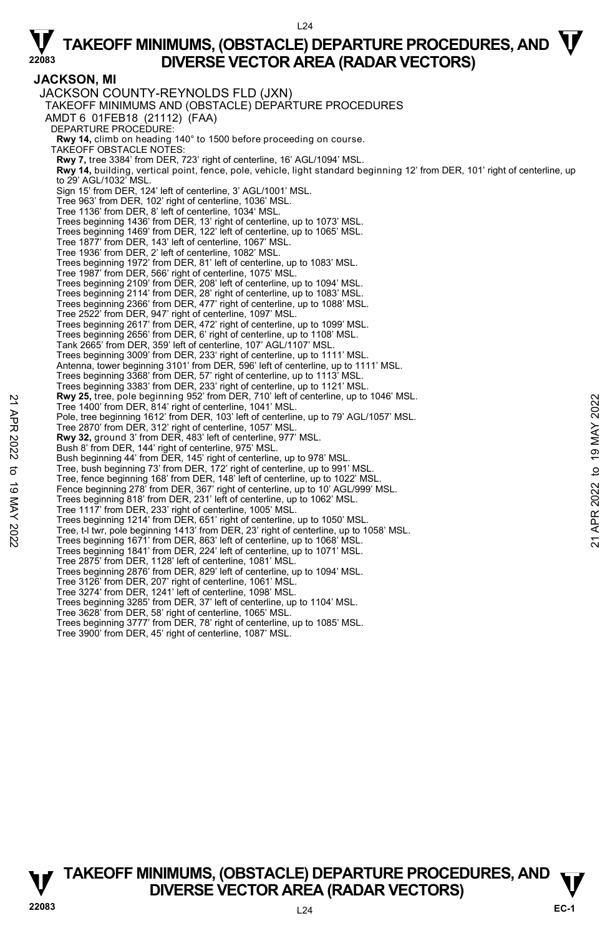**JACKSON, MI**  JACKSON COUNTY-REYNOLDS FLD (JXN) TAKEOFF MINIMUMS AND (OBSTACLE) DEPARTURE PROCEDURES AMDT 6 01FEB18 (21112) (FAA) DEPARTURE PROCEDURE: **Rwy 14,** climb on heading 140° to 1500 before proceeding on course. TAKEOFF OBSTACLE NOTES: **Rwy 7,** tree 3384' from DER, 723' right of centerline, 16' AGL/1094' MSL. **Rwy 14,** building, vertical point, fence, pole, vehicle, light standard beginning 12' from DER, 101' right of centerline, up to 29' AGL/1032' MSL. Sign 15' from DER, 124' left of centerline, 3' AGL/1001' MSL. Tree 963' from DER, 102' right of centerline, 1036' MSL. Tree 1136' from DER, 8' left of centerline, 1034' MSL. Trees beginning 1436' from DER, 13' right of centerline, up to 1073' MSL. Trees beginning 1469' from DER, 122' left of centerline, up to 1065' MSL. Tree 1877' from DER, 143' left of centerline, 1067' MSL. Tree 1936' from DER, 2' left of centerline, 1082' MSL. Trees beginning 1972' from DER, 81' left of centerline, up to 1083' MSL. Tree 1987' from DER, 566' right of centerline, 1075' MSL. Trees beginning 2109' from DER, 208' left of centerline, up to 1094' MSL. Trees beginning 2114' from DER, 28' right of centerline, up to 1083' MSL. Trees beginning 2366' from DER, 477' right of centerline, up to 1088' MSL. Tree 2522' from DER, 947' right of centerline, 1097' MSL. Trees beginning 2617' from DER, 472' right of centerline, up to 1099' MSL. Trees beginning 2656' from DER, 6' right of centerline, up to 1108' MSL. Tank 2665' from DER, 359' left of centerline, 107' AGL/1107' MSL. Trees beginning 3009' from DER, 233' right of centerline, up to 1111' MSL. Antenna, tower beginning 3101' from DER, 596' left of centerline, up to 1111' MSL. Trees beginning 3368' from DER, 57' right of centerline, up to 1113' MSL. Trees beginning 3383' from DER, 233' right of centerline, up to 1121' MSL.<br>**Rwy 25,** tree, pole beginning 952' from DER, 710' left of centerline, up to 1046' MSL. Tree 1400' from DER, 814' right of centerline, 1041' MSL. Pole, tree beginning 1612' from DER, 103' left of centerline, up to 79' AGL/1057' MSL. Tree 2870' from DER, 312' right of centerline, 1057' MSL. **Rwy 32,** ground 3' from DER, 483' left of centerline, 977' MSL. Bush 8' from DER, 144' right of centerline, 975' MSL. Bush beginning 44' from DER, 145' right of centerline, up to 978' MSL. Tree, bush beginning 73' from DER, 172' right of centerline, up to 991' MSL. Tree, fence beginning 168' from DER, 148' left of centerline, up to 1022' MSL. Fence beginning 278' from DER, 367' right of centerline, up to 10' AGL/999' MSL. Trees beginning 818' from DER, 231' left of centerline, up to 1062' MSL. Tree 1117' from DER, 233' right of centerline, 1005' MSL. Trees beginning 1214' from DER, 651' right of centerline, up to 1050' MSL. Tree, t-l twr, pole beginning 1413' from DER, 23' right of centerline, up to 1058' MSL. Trees beginning 1671' from DER, 863' left of centerline, up to 1068' MSL. Trees beginning 1841' from DER, 224' left of centerline, up to 1071' MSL. Tree 2875' from DER, 1128' left of centerline, 1081' MSL. Trees beginning 2876' from DER, 829' left of centerline, up to 1094' MSL. Tree 3126' from DER, 207' right of centerline, 1061' MSL. Tree 3274' from DER, 1241' left of centerline, 1098' MSL. Trees beginning 3285' from DER, 37' left of centerline, up to 1104' MSL. Tree 3628' from DER, 58' right of centerline, 1065' MSL. Trees beginning 3777' from DER, 78' right of centerline, up to 1085' MSL. Tree 3900' from DER, 45' right of centerline, 1087' MSL. **EVALUAT SEARCH AND THE SET AND THE OF SEARCH (ASSEMBLY THE AND THE AND THE AND THE AND THE AND THE ASSEMBLY APP THAND THE AND THE ASSEM CONTROLL THE ARRY 32, ground 3' from DER, 103' left of centerline, up to 19' AGL/105** 

**TAKEOFF MINIMUMS, (OBSTACLE) DEPARTURE PROCEDURES, AND**  $\mathbf{\mathbf{\mathbf{\mathbf{V}}}}$ **V**<br><sup>22083</sup><br>L<sub>24</sub><br>L<sub>24</sub>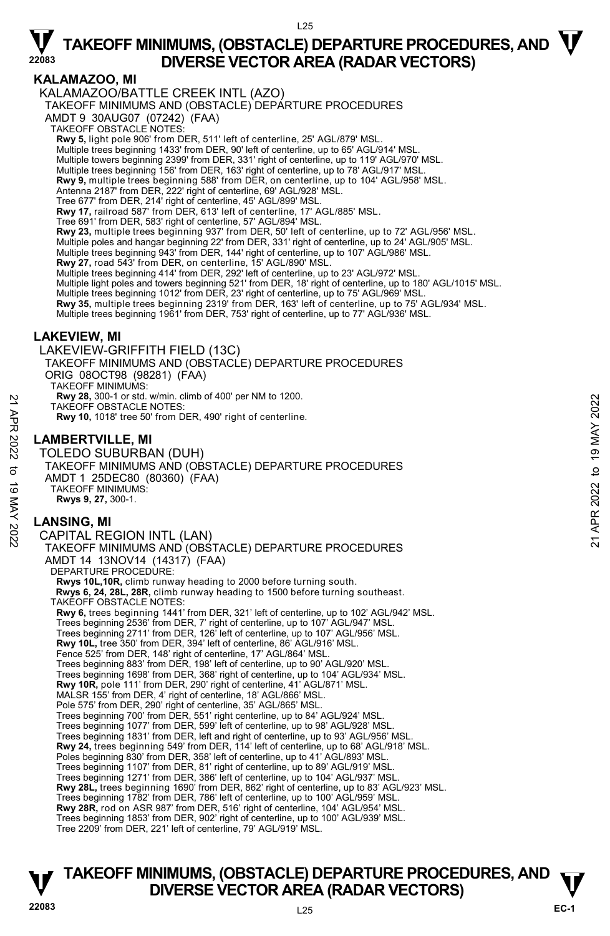### **KALAMAZOO, MI**

KALAMAZOO/BATTLE CREEK INTL (AZO) TAKEOFF MINIMUMS AND (OBSTACLE) DEPARTURE PROCEDURES

AMDT 9 30AUG07 (07242) (FAA)

TAKEOFF OBSTACLE NOTES:

**Rwy 5,** light pole 906' from DER, 511' left of centerline, 25' AGL/879' MSL.

Multiple trees beginning 1433' from DER, 90' left of centerline, up to 65' AGL/914' MSL.

- Multiple towers beginning 2399' from DER, 331' right of centerline, up to 119' AGL/970' MSL.
- Multiple trees beginning 156' from DER, 163' right of centerline, up to 78' AGL/917' MSL.

**Rwy 9,** multiple trees beginning 588' from DER, on centerline, up to 104' AGL/958' MSL.<br>Antenna 2187' from DER, 222' right of centerline, 69' AGL/928' MSL.

Tree 677' from DER, 214' right of centerline, 45' AGL/899' MSL.

**Rwy 17,** railroad 587' from DER, 613' left of centerline, 17' AGL/885' MSL.<br>Tree 691' from DER, 583' right of centerline, 57' AGL/894' MSL.

**Rwy 23,** multiple trees beginning 937' from DER, 50' left of centerline, up to 72' AGL/956' MSL.

Multiple poles and hangar beginning 22' from DER, 331' right of centerline, up to 24' AGL/905' MSL. Multiple trees beginning 943' from DER, 144' right of centerline, up to 107' AGL/986' MSL.

**Rwy 27,** road 543' from DER, on centerline, 15' AGL/890' MSL.

Multiple trees beginning 414' from DER, 292' left of centerline, up to 23' AGL/972' MSL.

Multiple light poles and towers beginning 521' from DER, 18' right of centerline, up to 180' AGL/1015' MSL.<br>Multiple trees beginning 1012' from DER, 23' right of centerline, up to 75' AGL/969' MSL.

**Rwy 35,** multiple trees beginning 2319' from DER, 163' left of centerline, up to 75' AGL/934' MSL.

Multiple trees beginning 1961' from DER, 753' right of centerline, up to 77' AGL/936' MSL.

### **LAKEVIEW, MI**

LAKEVIEW-GRIFFITH FIELD (13C)

TAKEOFF MINIMUMS AND (OBSTACLE) DEPARTURE PROCEDURES

ORIG 08OCT98 (98281) (FAA)

TAKEOFF MINIMUMS: **Rwy 28,** 300-1 or std. w/min. climb of 400' per NM to 1200.

TAKEOFF OBSTACLE NOTES:

**Rwy 10,** 1018' tree 50' from DER, 490' right of centerline.

### **LAMBERTVILLE, MI**

TOLEDO SUBURBAN (DUH) TAKEOFF MINIMUMS AND (OBSTACLE) DEPARTURE PROCEDURES AMDT 1 25DEC80 (80360) (FAA) TAKEOFF MINIMUMS: **Rwys 9, 27,** 300-1. MAY 28, 300-1 or stat. which climb of 400 per NM to 1200.<br>
TAKEOFF OBSTACLE NOTES:<br>
Rwy 10, 1018' tree 50' from DER, 490' right of centerline.<br>
22<br> **LAMBERTVILLE, MI**<br>
TOLEDO SUBURBAN (DUH)<br>
TAKEOFF MINIMUMS AND (OBSTACLE)

### **LANSING, MI**

CAPITAL REGION INTL (LAN) TAKEOFF MINIMUMS AND (OBSTACLE) DEPARTURE PROCEDURES AMDT 14 13NOV14 (14317) (FAA) DEPARTURE PROCEDURE: **Rwys 10L,10R,** climb runway heading to 2000 before turning south.  **Rwys 6, 24, 28L, 28R,** climb runway heading to 1500 before turning southeast. TAKEOFF OBSTACLE NOTES: **Rwy 6,** trees beginning 1441' from DER, 321' left of centerline, up to 102' AGL/942' MSL. Trees beginning 2536' from DER, 7' right of centerline, up to 107' AGL/947' MSL. Trees beginning 2711' from DER, 126' left of centerline, up to 107' AGL/956' MSL.<br>**Rwy 10L,** tree 350' from DER, 394' left of centerline, 86' AGL/916' MSL. Fence 525' from DER, 148' right of centerline, 17' AGL/864' MSL. Trees beginning 883' from DER, 198' left of centerline, up to 90' AGL/920' MSL. Trees beginning 1698' from DER, 368' right of centerline, up to 104' AGL/934' MSL. **Rwy 10R,** pole 111' from DER, 290' right of centerline, 41' AGL/871' MSL. MALSR 155' from DER, 4' right of centerline, 18' AGL/866' MSL. Pole 575' from DER, 290' right of centerline, 35' AGL/865' MSL. Trees beginning 700' from DER, 551' right centerline, up to 84' AGL/924' MSL. Trees beginning 1077' from DER, 599' left of centerline, up to 98' AGL/928' MSL. Trees beginning 1831' from DER, left and right of centerline, up to 93' AGL/956' MSL. **Rwy 24,** trees beginning 549' from DER, 114' left of centerline, up to 68' AGL/918' MSL. Poles beginning 830' from DER, 358' left of centerline, up to 41' AGL/893' MSL. Trees beginning 1107' from DER, 81' right of centerline, up to 89' AGL/919' MSL.<br>Trees beginning 1271' from DER, 386' left of centerline, up to 104' AGL/937' MSL.<br>**Rwy 28L,** trees beginning 1690' from DER, 862' right of ce Trees beginning 1782' from DER, 786' left of centerline, up to 100' AGL/959' MSL. **Rwy 28R,** rod on ASR 987' from DER, 516' right of centerline, 104' AGL/954' MSL. Trees beginning 1853' from DER, 902' right of centerline, up to 100' AGL/939' MSL. Tree 2209' from DER, 221' left of centerline, 79' AGL/919' MSL.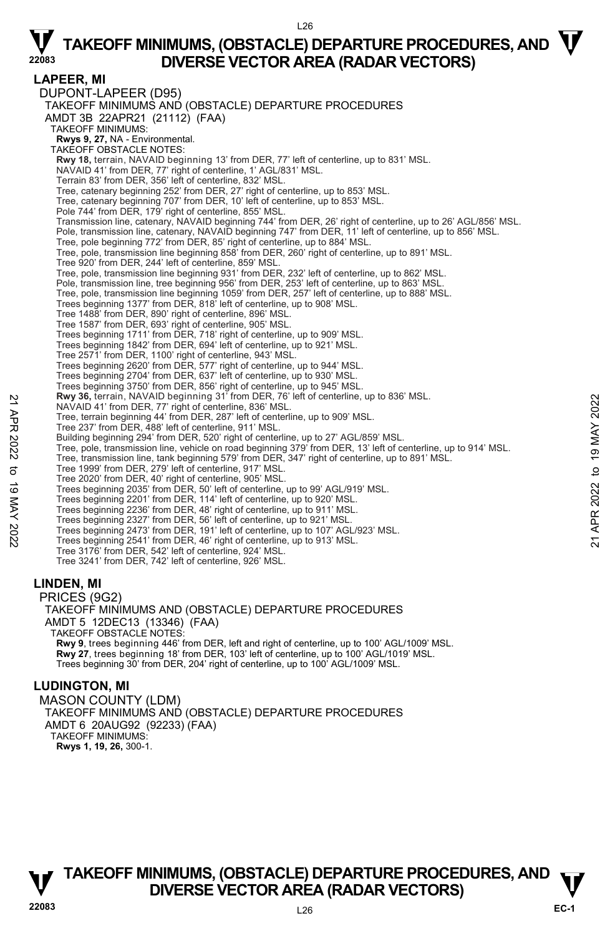#### $126$

# $\nabla$  TAKEOFF MINIMUMS, (OBSTACLE) DEPARTURE PROCEDURES, AND  $\nabla$ **DIVERSE VECTOR AREA (RADAR VECTORS)**

**LAPEER, MI**  DUPONT-LAPEER (D95) TAKEOFF MINIMUMS AND (OBSTACLE) DEPARTURE PROCEDURES AMDT 3B 22APR21 (21112) (FAA) TAKEOFF MINIMUMS: **Rwys 9, 27,** NA - Environmental. TAKEOFF OBSTACLE NOTES: **Rwy 18,** terrain, NAVAID beginning 13' from DER, 77' left of centerline, up to 831' MSL. NAVAID 41' from DER, 77' right of centerline, 1' AGL/831' MSL. Terrain 83' from DER, 356' left of centerline, 832' MSL. Tree, catenary beginning 252' from DER, 27' right of centerline, up to 853' MSL. Tree, catenary beginning 707' from DER, 10' left of centerline, up to 853' MSL. Pole 744' from DER, 179' right of centerline, 855' MSL.<br>Transmission line, catenary, NAVAID beginning 744' from DER, 26' right of centerline, up to 26' AGL/856' MSL. Pole, transmission line, catenary, NAVAID beginning 747' from DER, 11' left of centerline, up to 856' MSL. Tree, pole beginning 772' from DER, 85' right of centerline, up to 884' MSL. Tree, pole, transmission line beginning 858' from DER, 260' right of centerline, up to 891' MSL. Tree 920' from DER, 244' left of centerline, 859' MSL. Tree, pole, transmission line beginning 931' from DER, 232' left of centerline, up to 862' MSL. Pole, transmission line, tree beginning 956' from DER, 253' left of centerline, up to 863' MSL. Tree, pole, transmission line beginning 1059' from DER, 257' left of centerline, up to 888' MSL. Trees beginning 1377' from DER, 818' left of centerline, up to 908' MSL. Tree 1488' from DER, 890' right of centerline, 896' MSL. Tree 1587' from DER, 693' right of centerline, 905' MSL. Trees beginning 1711' from DER, 718' right of centerline, up to 909' MSL. Trees beginning 1842' from DER, 694' left of centerline, up to 921' MSL. Tree 2571' from DER, 1100' right of centerline, 943' MSL. Trees beginning 2620' from DER, 577' right of centerline, up to 944' MSL. Trees beginning 2704' from DER, 637' left of centerline, up to 930' MSL. Trees beginning 3750' from DER, 856' right of centerline, up to 945' MSL.<br>**Rwy 36,** terrain, NAVAID beginning 31' from DER, 76' left of centerline, up to 836' MSL. NAVAID 41' from DER, 77' right of centerline, 836' MSL. Tree, terrain beginning 44' from DER, 287' left of centerline, up to 909' MSL. Tree 237' from DER, 488' left of centerline, 911' MSL. Building beginning 294' from DER, 520' right of centerline, up to 27' AGL/859' MSL. Tree, pole, transmission line, vehicle on road beginning 379' from DER, 13' left of centerline, up to 914' MSL. Tree, transmission line, tank beginning 579' from DER, 347' right of centerline, up to 891' MSL. Tree 1999' from DER, 279' left of centerline, 917' MSL. Tree 2020' from DER, 40' right of centerline, 905' MSL. Trees beginning 2035' from DER, 50' left of centerline, up to 99' AGL/919' MSL. Trees beginning 2201' from DER, 114' left of centerline, up to 920' MSL. Trees beginning 2236' from DER, 48' right of centerline, up to 911' MSL. Trees beginning 2327' from DER, 56' left of centerline, up to 921' MSL. Trees beginning 2473' from DER, 191' left of centerline, up to 107' AGL/923' MSL. Trees beginning 2541' from DER, 46' right of centerline, up to 913' MSL. Tree 3176' from DER, 542' left of centerline, 924' MSL. Tree 3241' from DER, 742' left of centerline, 926' MSL. **LINDEN, MI**  PRICES (9G2) TAKEOFF MINIMUMS AND (OBSTACLE) DEPARTURE PROCEDURES AMDT 5 12DEC13 (13346) (FAA) TAKEOFF OBSTACLE NOTES: **Rwy 9**, trees beginning 446' from DER, left and right of centerline, up to 100' AGL/1009' MSL. **Rwy 27**, trees beginning 18' from DER, 103' left of centerline, up to 100' AGL/1019' MSL. New 36, terrain, NAVAID beginning 317 irom DER, 19 lient of centerline, up to 909' MSL.<br>
Tree, terrain beginning 44' from DER, 287' left of centerline, up to 909' MSL.<br>
Tree 2027' from DER, 198' left of centerline, up to

#### **LUDINGTON, MI**

MASON COUNTY (LDM) TAKEOFF MINIMUMS AND (OBSTACLE) DEPARTURE PROCEDURES AMDT 6 20AUG92 (92233) (FAA) TAKEOFF MINIMUMS: **Rwys 1, 19, 26,** 300-1.

Trees beginning 30' from DER, 204' right of centerline, up to 100' AGL/1009' MSL.



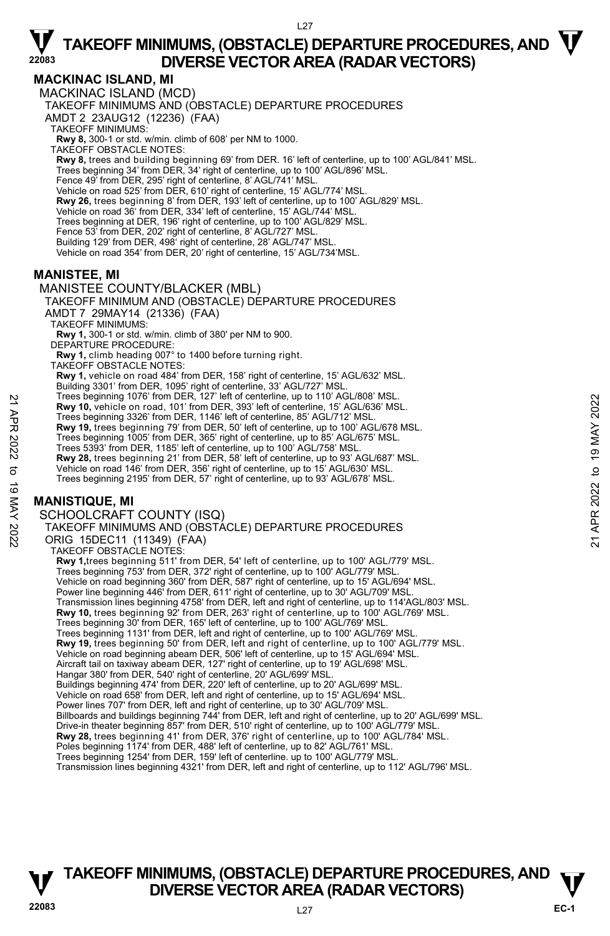### **MACKINAC ISLAND, MI**

MACKINAC ISLAND (MCD) TAKEOFF MINIMUMS AND (OBSTACLE) DEPARTURE PROCEDURES AMDT 2 23AUG12 (12236) (FAA) TAKEOFF MINIMUMS: **Rwy 8,** 300-1 or std. w/min. climb of 608' per NM to 1000. TAKEOFF OBSTACLE NOTES: **Rwy 8,** trees and building beginning 69' from DER. 16' left of centerline, up to 100' AGL/841' MSL. Trees beginning 34' from DER, 34' right of centerline, up to 100' AGL/896' MSL. Fence 49' from DER, 295' right of centerline, 8' AGL/741' MSL. Vehicle on road 525' from DER, 610' right of centerline, 15' AGL/774' MSL. **Rwy 26,** trees beginning 8' from DER, 193' left of centerline, up to 100' AGL/829' MSL. Vehicle on road 36' from DER, 334' left of centerline, 15' AGL/744' MSL. Trees beginning at DER, 196' right of centerline, up to 100' AGL/829' MSL. Fence 53' from DER, 202' right of centerline, 8' AGL/727' MSL. Building 129' from DER, 498' right of centerline, 28' AGL/747' MSL. Vehicle on road 354' from DER, 20' right of centerline, 15' AGL/734'MSL.

#### **MANISTEE, MI**

MANISTEE COUNTY/BLACKER (MBL)

TAKEOFF MINIMUM AND (OBSTACLE) DEPARTURE PROCEDURES AMDT 7 29MAY14 (21336) (FAA)

TAKEOFF MINIMUMS:

**Rwy 1,** 300-1 or std. w/min. climb of 380' per NM to 900. DEPARTURE PROCEDURE:

**Rwy 1,** climb heading 007° to 1400 before turning right. TAKEOFF OBSTACLE NOTES:

**Rwy 1,** vehicle on road 484' from DER, 158' right of centerline, 15' AGL/632' MSL. Building 3301' from DER, 1095' right of centerline, 33' AGL/727' MSL.

Trees beginning 1076' from DER, 127' left of centerline, up to 110' AGL/808' MSL.

**Rwy 10,** vehicle on road, 101' from DER, 393' left of centerline, 15' AGL/636' MSL.

Trees beginning 3326' from DER, 1146' left of centerline, 85' AGL/712' MSL.

**Rwy 19,** trees beginning 79' from DER, 50' left of centerline, up to 100' AGL/678 MSL.

- Trees beginning 1005' from DER, 365' right of centerline, up to 85' AGL/675' MSL.
- Trees 5393' from DER, 1185' left of centerline, up to 100' AGL/758' MSL.

**Rwy 28,** trees beginning 21' from DER, 58' left of centerline, up to 93' AGL/687' MSL.<br>Vehicle on road 146' from DER, 356' right of centerline, up to 15' AGL/630' MSL.<br>Trees beginning 2195' from DER, 57' right of centerli

### **MANISTIQUE, MI**

SCHOOLCRAFT COUNTY (ISQ)

```
TAKEOFF MINIMUMS AND (OBSTACLE) DEPARTURE PROCEDURES 
         ORIG 15DEC11 (11349) (FAA) 
          TAKEOFF OBSTACLE NOTES: 
            Rwy 1,trees beginning 511' from DER, 54' left of centerline, up to 100' AGL/779' MSL. 
            Trees beginning 753' from DER, 372' right of centerline, up to 100' AGL/779' MSL. 
            Vehicle on road beginning 360' from DER, 587' right of centerline, up to 15' AGL/694' MSL. 
            Power line beginning 446' from DER, 611' right of centerline, up to 30' AGL/709' MSL
            Transmission lines beginning 4758' from DER, left and right of centerline, up to 114'AGL/803' MSL.<br>Rwy 10, trees beginning 92' from DER, 263' right of centerline, up to 100' AGL/769' MSL.
            Trees beginning 30' from DER, 165' left of centerline, up to 100' AGL/769' MSL. 
            Trees beginning 1131' from DER, left and right of centerline, up to 100' AGL/769' MSL. 
            Rwy 19, trees beginning 50' from DER, left and right of centerline, up to 100' AGL/779' MSL. 
            Vehicle on road beginning abeam DER, 506' left of centerline, up to 15' AGL/694' MSL. 
            Aircraft tail on taxiway abeam DER, 127' right of centerline, up to 19' AGL/698' MSL. 
            Hangar 380' from DER, 540' right of centerline, 20' AGL/699' MSL. 
            Buildings beginning 474' from DER, 220' left of centerline, up to 20' AGL/699' MSL. 
            Vehicle on road 658' from DER, left and right of centerline, up to 15' AGL/694' MSL. 
            Power lines 707' from DER, left and right of centerline, up to 30' AGL/709' MSL.<br>Billboards and buildings beginning 744' from DER, left and right of centerline, up to 20' AGL/699' MSL.
            Drive-in theater beginning 857' from DER, 510' right of centerline, up to 100' AGL/779' MSL. 
            Rwy 28, trees beginning 41' from DER, 376' right of centerline, up to 100' AGL/784' MSL.<br>Poles beginning 1174' from DER, 488' left of centerline, up to 82' AGL/761' MSL.
            Trees beginning 1254' from DER, 159' left of centerline. up to 100' AGL/779' MSL. 
            Transmission lines beginning 4321' from DER, left and right of centerline, up to 112' AGL/796' MSL. 
Trees beginning 10/6 Trom DER, 127 Tert of centerline, up to 110 AGL/8036' MSL.<br>
Trees beginning 3326' from DER, 1146' left of centerline, 85' AGL/712' MSL.<br>
Trees beginning 3326' from DER, 1146' left of centerline, up to
```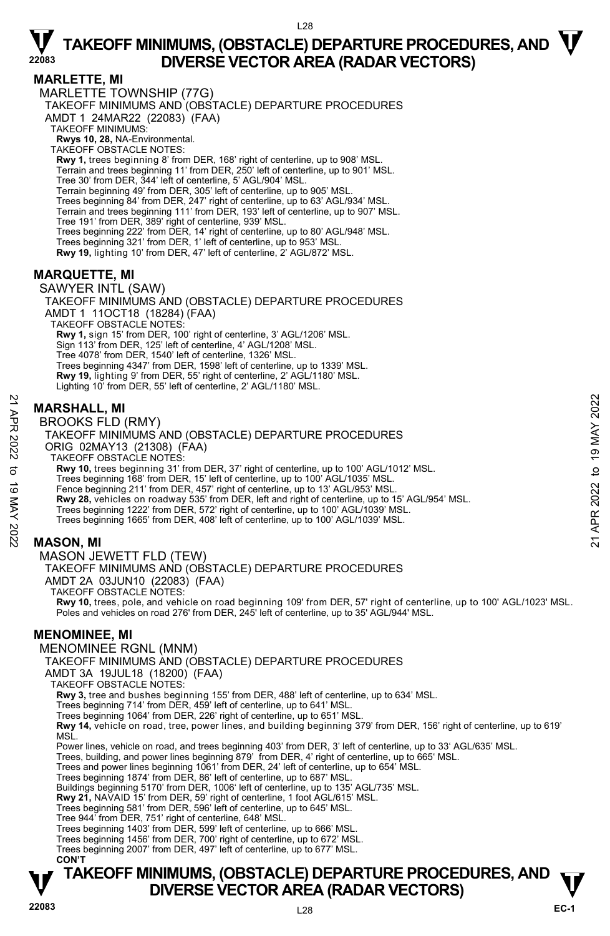$128$ 

#### **MARLETTE, MI**

MARLETTE TOWNSHIP (77G) TAKEOFF MINIMUMS AND (OBSTACLE) DEPARTURE PROCEDURES AMDT 1 24MAR22 (22083) (FAA) TAKEOFF MINIMUMS: **Rwys 10, 28,** NA-Environmental. TAKEOFF OBSTACLE NOTES: **Rwy 1,** trees beginning 8' from DER, 168' right of centerline, up to 908' MSL. Terrain and trees beginning 11' from DER, 250' left of centerline, up to 901' MSL. Tree 30' from DER, 344' left of centerline, 5' AGL/904' MSL. Terrain beginning 49' from DER, 305' left of centerline, up to 905' MSL. Trees beginning 84' from DER, 247' right of centerline, up to 63' AGL/934' MSL. Terrain and trees beginning 111' from DER, 193' left of centerline, up to 907' MSL. Tree 191' from DER, 389' right of centerline, 939' MSL. Trees beginning 222' from DER, 14' right of centerline, up to 80' AGL/948' MSL. Trees beginning 321' from DER, 1' left of centerline, up to 953' MSL. **Rwy 19,** lighting 10' from DER, 47' left of centerline, 2' AGL/872' MSL.

### **MARQUETTE, MI**

SAWYER INTL (SAW) TAKEOFF MINIMUMS AND (OBSTACLE) DEPARTURE PROCEDURES AMDT 1 11OCT18 (18284) (FAA) TAKEOFF OBSTACLE NOTES: **Rwy 1,** sign 15' from DER, 100' right of centerline, 3' AGL/1206' MSL. Sign 113' from DER, 125' left of centerline, 4' AGL/1208' MSL. Tree 4078' from DER, 1540' left of centerline, 1326' MSL. Trees beginning 4347' from DER, 1598' left of centerline, up to 1339' MSL. **Rwy 19,** lighting 9' from DER, 55' right of centerline, 2' AGL/1180' MSL. Lighting 10' from DER, 55' left of centerline, 2' AGL/1180' MSL.

### **MARSHALL, MI**

BROOKS FLD (RMY)

TAKEOFF MINIMUMS AND (OBSTACLE) DEPARTURE PROCEDURES ORIG 02MAY13 (21308) (FAA) TAKEOFF OBSTACLE NOTES: **Rwy 10,** trees beginning 31' from DER, 37' right of centerline, up to 100' AGL/1012' MSL. Trees beginning 168' from DER, 15' left of centerline, up to 100' AGL/1035' MSL. Fence beginning 211' from DER, 457' right of centerline, up to 13' AGL/953' MSL. **Rwy 28,** vehicles on roadway 535' from DER, left and right of centerline, up to 15' AGL/954' MSL. Trees beginning 1222' from DER, 572' right of centerline, up to 100' AGL/1039' MSL. Trees beginning 1665' from DER, 408' left of centerline, up to 100' AGL/1039' MSL. **MARSHALL, MI**<br> **EXECUTE MINIMUMS AND (OBSTACLE) DEPARTURE PROCEDURES**<br>
TAKEOFF MINIMUMS AND (OBSTACLE) DEPARTURE PROCEDURES<br>
ORIG 02MAY13 (21308) (FAA)<br>
TAKEOFF MINIMUMS AND (OBSTACLE) DEPARTURE PROCEDURES<br>
TRAVECT OBSTA

### **MASON, MI**

MASON JEWETT FLD (TEW)

TAKEOFF MINIMUMS AND (OBSTACLE) DEPARTURE PROCEDURES

AMDT 2A 03JUN10 (22083) (FAA)

TAKEOFF OBSTACLE NOTES:

**Rwy 10,** trees, pole, and vehicle on road beginning 109' from DER, 57' right of centerline, up to 100' AGL/1023' MSL.<br>Poles and vehicles on road 276' from DER, 245' left of centerline, up to 35' AGL/944' MSL.

#### **MENOMINEE, MI**

MENOMINEE RGNL (MNM)

TAKEOFF MINIMUMS AND (OBSTACLE) DEPARTURE PROCEDURES

AMDT 3A 19JUL18 (18200) (FAA) TAKEOFF OBSTACLE NOTES:

**Rwy 3,** tree and bushes beginning 155' from DER, 488' left of centerline, up to 634' MSL.

Trees beginning 714' from DER, 459' left of centerline, up to 641' MSL.

Trees beginning 1064' from DER, 226' right of centerline, up to 651' MSL.

**Rwy 14,** vehicle on road, tree, power lines, and building beginning 379' from DER, 156' right of centerline, up to 619' MSL.

Power lines, vehicle on road, and trees beginning 403' from DER, 3' left of centerline, up to 33' AGL/635' MSL.

Trees, building, and power lines beginning 879' from DER, 4' right of centerline, up to 665' MSL.

Trees and power lines beginning 1061' from DER, 24' left of centerline, up to 654' MSL.

Trees beginning 1874' from DER, 86' left of centerline, up to 687' MSL. Buildings beginning 5170' from DER, 1006' left of centerline, up to 135' AGL/735' MSL.

**Rwy 21,** NAVAID 15' from DER, 59' right of centerline, 1 foot AGL/615' MSL.

Trees beginning 581' from DER, 596' left of centerline, up to 645' MSL.

Tree 944' from DER, 751' right of centerline, 648' MSL.

Trees beginning 1403' from DER, 599' left of centerline, up to 666' MSL.

Trees beginning 1456' from DER, 700' right of centerline, up to 672' MSL.

Trees beginning 2007' from DER, 497' left of centerline, up to 677' MSL.  **CON'T**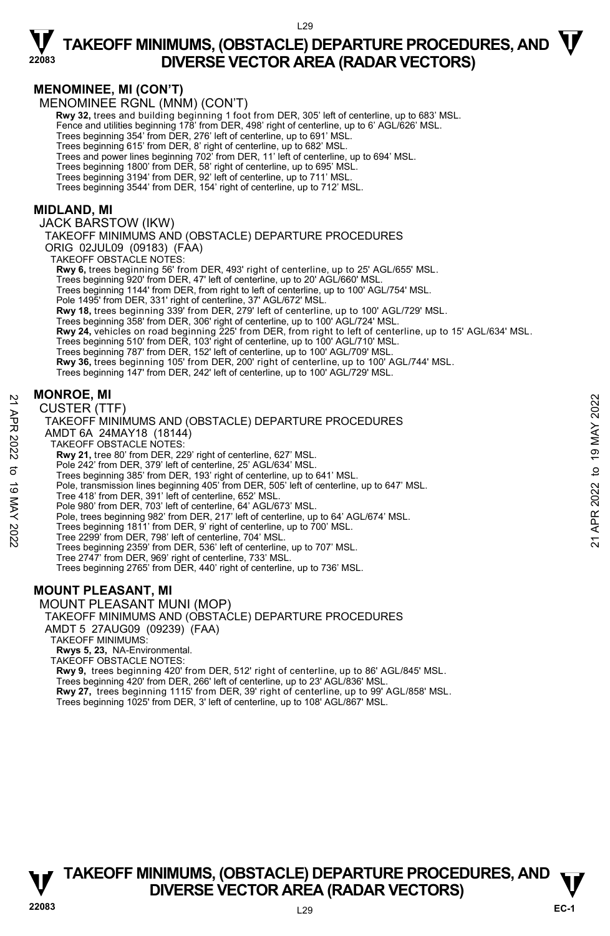#### **MENOMINEE, MI (CON'T)**

MENOMINEE RGNL (MNM) (CON'T)

**Rwy 32,** trees and building beginning 1 foot from DER, 305' left of centerline, up to 683' MSL.

Fence and utilities beginning 178' from DER, 498' right of centerline, up to 6' AGL/626' MSL.

Trees beginning 354' from DER, 276' left of centerline, up to 691' MSL.

Trees beginning 615' from DER, 8' right of centerline, up to 682' MSL.

Trees and power lines beginning 702' from DER, 11' left of centerline, up to 694' MSL. Trees beginning 1800' from DER, 58' right of centerline, up to 695' MSL.

Trees beginning 3194' from DER, 92' left of centerline, up to 711' MSL.

Trees beginning 3544' from DER, 154' right of centerline, up to 712' MSL.

#### **MIDLAND, MI**

JACK BARSTOW (IKW)

TAKEOFF MINIMUMS AND (OBSTACLE) DEPARTURE PROCEDURES ORIG 02JUL09 (09183) (FAA)

TAKEOFF OBSTACLE NOTES:

**Rwy 6,** trees beginning 56' from DER, 493' right of centerline, up to 25' AGL/655' MSL.

Trees beginning 920' from DER, 47' left of centerline, up to 20' AGL/660' MSL.

Trees beginning 1144' from DER, from right to left of centerline, up to 100' AGL/754' MSL.

Pole 1495' from DER, 331' right of centerline, 37' AGL/672' MSL.

**Rwy 18,** trees beginning 339' from DER, 279' left of centerline, up to 100' AGL/729' MSL.

Trees beginning 358' from DER, 306' right of centerline, up to 100' AGL/724' MSL.<br>**Rwy 24,** vehicles on road beginning 225' from DER, from right to left of centerline, up to 15' AGL/634' MSL.

Trees beginning 510' from DER, 103' right of centerline, up to 100' AGL/710' MSL.

Trees beginning 787' from DER, 152' left of centerline, up to 100' AGL/709' MSL.

**Rwy 36,** trees beginning 105' from DER, 200' right of centerline, up to 100' AGL/744' MSL.

Trees beginning 147' from DER, 242' left of centerline, up to 100' AGL/729' MSL.

#### **MONROE, MI**

#### CUSTER (TTF) TAKEOFF MINIMUMS AND (OBSTACLE) DEPARTURE PROCEDURES AMDT 6A 24MAY18 (18144) TAKEOFF OBSTACLE NOTES: **Rwy 21,** tree 80' from DER, 229' right of centerline, 627' MSL. Pole 242' from DER, 379' left of centerline, 25' AGL/634' MSL. Trees beginning 385' from DER, 193' right of centerline, up to 641' MSL. Pole, transmission lines beginning 405' from DER, 505' left of centerline, up to 647' MSL. Tree 418' from DER, 391' left of centerline, 652' MSL. Pole 980' from DER, 703' left of centerline, 64' AGL/673' MSL. Pole, trees beginning 982' from DER, 217' left of centerline, up to 64' AGL/674' MSL. Trees beginning 1811' from DER, 9' right of centerline, up to 700' MSL. Tree 2299' from DER, 798' left of centerline, 704' MSL. Trees beginning 2359' from DER, 536' left of centerline, up to 707' MSL. Tree 2747' from DER, 969' right of centerline, 733' MSL. Trees beginning 2765' from DER, 440' right of centerline, up to 736' MSL. **CUSTER (TTF)**<br>
22 CUSTER (TTF)<br>
TAKEOFF MINIMUMS AND (OBSTACLE) DEPARTURE PROCEDURES<br>
22 TAKEOFF OBSTACLE NOTES:<br>
23 TAKEOFF OBSTACLE NOTES:<br>
23 TAKEOFF OBSTACLE NOTES:<br>
23 TAKEOFF OBSTACLE NOTES:<br>
23 The 2022 'from DER,

#### **MOUNT PLEASANT, MI**

MOUNT PLEASANT MUNI (MOP)

TAKEOFF MINIMUMS AND (OBSTACLE) DEPARTURE PROCEDURES

AMDT 5 27AUG09 (09239) (FAA)

TAKEOFF MINIMUMS:

**Rwys 5, 23,** NA-Environmental.

TAKEOFF OBSTACLE NOTES:

**Rwy 9,** trees beginning 420' from DER, 512' right of centerline, up to 86' AGL/845' MSL. Trees beginning 420' from DER, 266' left of centerline, up to 23' AGL/836' MSL. **Rwy 27,** trees beginning 1115' from DER, 39' right of centerline, up to 99' AGL/858' MSL. Trees beginning 1025' from DER, 3' left of centerline, up to 108' AGL/867' MSL.

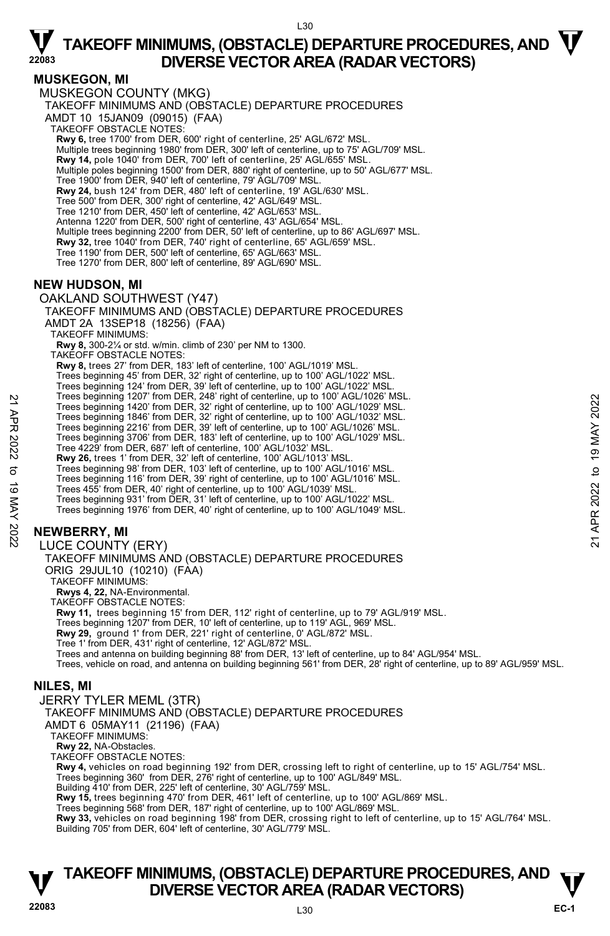L30

#### **MUSKEGON, MI**

MUSKEGON COUNTY (MKG) TAKEOFF MINIMUMS AND (OBSTACLE) DEPARTURE PROCEDURES AMDT 10 15JAN09 (09015) (FAA) TAKEOFF OBSTACLE NOTES: **Rwy 6,** tree 1700' from DER, 600' right of centerline, 25' AGL/672' MSL. Multiple trees beginning 1980' from DER, 300' left of centerline, up to 75' AGL/709' MSL. **Rwy 14,** pole 1040' from DER, 700' left of centerline, 25' AGL/655' MSL. Multiple poles beginning 1500' from DER, 880' right of centerline, up to 50' AGL/677' MSL. Tree 1900' from DER, 940' left of centerline, 79' AGL/709' MSL. **Rwy 24,** bush 124' from DER, 480' left of centerline, 19' AGL/630' MSL. Tree 500' from DER, 300' right of centerline, 42' AGL/649' MSL. Tree 1210' from DER, 450' left of centerline, 42' AGL/653' MSL. Antenna 1220' from DER, 500' right of centerline, 43' AGL/654' MSL. Multiple trees beginning 2200' from DER, 50' left of centerline, up to 86' AGL/697' MSL. **Rwy 32,** tree 1040' from DER, 740' right of centerline, 65' AGL/659' MSL. Tree 1190' from DER, 500' left of centerline, 65' AGL/663' MSL. Tree 1270' from DER, 800' left of centerline, 89' AGL/690' MSL. **NEW HUDSON, MI**  OAKLAND SOUTHWEST (Y47) TAKEOFF MINIMUMS AND (OBSTACLE) DEPARTURE PROCEDURES AMDT 2A 13SEP18 (18256) (FAA) TAKEOFF MINIMUMS: **Rwy 8,** 300-2¼ or std. w/min. climb of 230' per NM to 1300. TAKEOFF OBSTACLE NOTES: **Rwy 8,** trees 27' from DER, 183' left of centerline, 100' AGL/1019' MSL. Trees beginning 45' from DER, 32' right of centerline, up to 100' AGL/1022' MSL. Trees beginning 124' from DER, 39' left of centerline, up to 100' AGL/1022' MSL. Trees beginning 1207' from DER, 248' right of centerline, up to 100' AGL/1026' MSL. Trees beginning 1420' from DER, 32' right of centerline, up to 100' AGL/1029' MSL. Trees beginning 1846' from DER, 32' right of centerline, up to 100' AGL/1032' MSL. Trees beginning 2216' from DER, 39' left of centerline, up to 100' AGL/1026' MSL. Trees beginning 3706' from DER, 183' left of centerline, up to 100' AGL/1029' MSL. Tree 4229' from DER, 687' left of centerline, 100' AGL/1032' MSL. **Rwy 26,** trees 1' from DER, 32' left of centerline, 100' AGL/1013' MSL. Trees beginning 98' from DER, 103' left of centerline, up to 100' AGL/1016' MSL. Trees beginning 116' from DER, 39' right of centerline, up to 100' AGL/1016' MSL. Trees 455' from DER, 40' right of centerline, up to 100' AGL/1039' MSL. Trees beginning 931' from DER, 31' left of centerline, up to 100' AGL/1022' MSL. Trees beginning 1976' from DER, 40' right of centerline, up to 100' AGL/1049' MSL. **NEWBERRY, MI**  LUCE COUNTY (ERY) TAKEOFF MINIMUMS AND (OBSTACLE) DEPARTURE PROCEDURES ORIG 29JUL10 (10210) (FAA) TAKEOFF MINIMUMS: Trees beginning 120<sup>7</sup> from DER, 28' right of centerline, up to 100' AGL/1029' MSL.<br>
Trees beginning 1420' from DER, 32' right of centerline, up to 100' AGL/1029' MSL.<br>
Trees beginning 216' from DER, 32' right of centerli

**Rwys 4, 22,** NA-Environmental.

TAKEOFF OBSTACLE NOTES:

**Rwy 11,** trees beginning 15' from DER, 112' right of centerline, up to 79' AGL/919' MSL.

Trees beginning 1207' from DER, 10' left of centerline, up to 119' AGL, 969' MSL.

**Rwy 29,** ground 1' from DER, 221' right of centerline, 0' AGL/872' MSL.

Tree 1' from DER, 431' right of centerline, 12' AGL/872' MSL.

Trees and antenna on building beginning 88' from DER, 13' left of centerline, up to 84' AGL/954' MSL.

Trees, vehicle on road, and antenna on building beginning 561' from DER, 28' right of centerline, up to 89' AGL/959' MSL.

### **NILES, MI**

JERRY TYLER MEML (3TR)

TAKEOFF MINIMUMS AND (OBSTACLE) DEPARTURE PROCEDURES

AMDT 6 05MAY11 (21196) (FAA)

TAKEOFF MINIMUMS:

**Rwy 22,** NA-Obstacles.

TAKEOFF OBSTACLE NOTES:

**Rwy 4,** vehicles on road beginning 192' from DER, crossing left to right of centerline, up to 15' AGL/754' MSL.

Trees beginning 360' from DER, 276' right of centerline, up to 100' AGL/849' MSL.

Building 410' from DER, 225' left of centerline, 30' AGL/759' MSL.

**Rwy 15,** trees beginning 470' from DER, 461' left of centerline, up to 100' AGL/869' MSL.

Trees beginning 568' from DER, 187' right of centerline, up to 100' AGL/869' MSL.<br>**Rwy 33,** vehicles on road beginning 198' from DER, crossing right to left of centerline, up to 15' AGL/764' MSL. Building 705' from DER, 604' left of centerline, 30' AGL/779' MSL.

# **TAKEOFF MINIMUMS, (OBSTACLE) DEPARTURE PROCEDURES, AND**  $\mathbf{\mathbf{\mathbf{\mathbf{V}}}}$ **V**<br><sup>22083</sup><br>L<sub>23083</sub><br>L<sub>30</sub>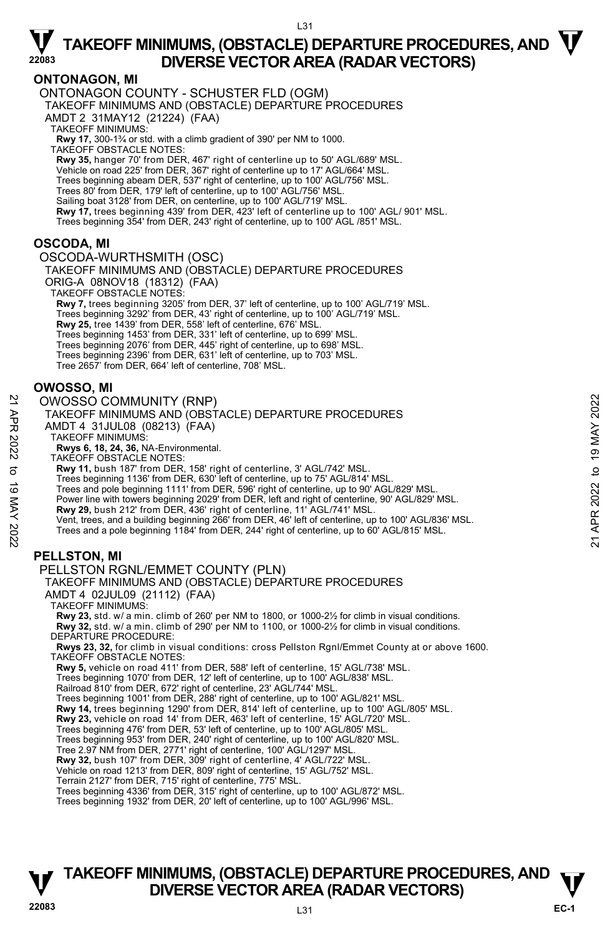#### **ONTONAGON, MI**

ONTONAGON COUNTY - SCHUSTER FLD (OGM) TAKEOFF MINIMUMS AND (OBSTACLE) DEPARTURE PROCEDURES AMDT 2 31MAY12 (21224) (FAA) TAKEOFF MINIMUMS: **Rwy 17,** 300-1¾ or std. with a climb gradient of 390' per NM to 1000. TAKEOFF OBSTACLE NOTES: **Rwy 35,** hanger 70' from DER, 467' right of centerline up to 50' AGL/689' MSL. Vehicle on road 225' from DER, 367' right of centerline up to 17' AGL/664' MSL. Trees beginning abeam DER, 537' right of centerline, up to 100' AGL/756' MSL. Trees 80' from DER, 179' left of centerline, up to 100' AGL/756' MSL. Sailing boat 3128' from DER, on centerline, up to 100' AGL/719' MSL. **Rwy 17,** trees beginning 439' from DER, 423' left of centerline up to 100' AGL/ 901' MSL.<br>Trees beginning 354' from DER, 243' right of centerline, up to 100' AGL /851' MSL.

#### **OSCODA, MI**

OSCODA-WURTHSMITH (OSC)

TAKEOFF MINIMUMS AND (OBSTACLE) DEPARTURE PROCEDURES ORIG-A 08NOV18 (18312) (FAA)

TAKEOFF OBSTACLE NOTES:

**Rwy 7,** trees beginning 3205' from DER, 37' left of centerline, up to 100' AGL/719' MSL. Trees beginning 3292' from DER, 43' right of centerline, up to 100' AGL/719' MSL.<br>**Rwy 25,** tree 1439' from DER, 558' left of centerline, 676' MSL. Trees beginning 1453' from DER, 331' left of centerline, up to 699' MSL. Trees beginning 2076' from DER, 445' right of centerline, up to 698' MSL. Trees beginning 2396' from DER, 631' left of centerline, up to 703' MSL. Tree 2657' from DER, 664' left of centerline, 708' MSL.

#### **OWOSSO, MI**

#### OWOSSO COMMUNITY (RNP)

| ⊻        | <b>OWOSSO COMMUNITY (RNP)</b>                                                                         | 2022 |
|----------|-------------------------------------------------------------------------------------------------------|------|
|          | TAKEOFF MINIMUMS AND (OBSTACLE) DEPARTURE PROCEDURES                                                  |      |
| АPR      | AMDT 4 31JUL08 (08213) (FAA)                                                                          | ≿    |
|          | <b>TAKEOFF MINIMUMS:</b>                                                                              | ₹    |
| 2022     | Rwys 6, 18, 24, 36, NA-Environmental.                                                                 | တ    |
|          | TAKEOFF OBSTACLE NOTES:                                                                               |      |
| ನ        | Rwy 11, bush 187' from DER, 158' right of centerline, 3' AGL/742' MSL.                                | ₫    |
|          | Trees beginning 1136' from DER, 630' left of centerline, up to 75' AGL/814' MSL.                      |      |
| ಕ        | Trees and pole beginning 1111' from DER, 596' right of centerline, up to 90' AGL/829' MSL.            |      |
|          | Power line with towers beginning 2029' from DER, left and right of centerline, 90' AGL/829' MSL.      | 2022 |
|          | Rwy 29, bush 212' from DER, 436' right of centerline, 11' AGL/741' MSL.                               | ≃    |
|          | Vent, trees, and a building beginning 266' from DER, 46' left of centerline, up to 100' AGL/836' MSL. |      |
|          | Trees and a pole beginning 1184' from DER, 244' right of centerline, up to 60' AGL/815' MSL.          |      |
| MAY 2022 |                                                                                                       | ম    |
|          |                                                                                                       |      |

### **PELLSTON, MI**

PELLSTON RGNL/EMMET COUNTY (PLN)

### TAKEOFF MINIMUMS AND (OBSTACLE) DEPARTURE PROCEDURES

AMDT 4 02JUL09 (21112) (FAA)

TAKEOFF MINIMUMS:

**Rwy 23,** std. w/ a min. climb of 260' per NM to 1800, or 1000-2½ for climb in visual conditions. **Rwy 32,** std. w/ a min. climb of 290' per NM to 1100, or 1000-2½ for climb in visual conditions. DEPARTURE PROCEDURE:

**Rwys 23, 32,** for climb in visual conditions: cross Pellston Rgnl/Emmet County at or above 1600. TAKEOFF OBSTACLE NOTES:

**Rwy 5,** vehicle on road 411' from DER, 588' left of centerline, 15' AGL/738' MSL.

Trees beginning 1070' from DER, 12' left of centerline, up to 100' AGL/838' MSL.

Railroad 810' from DER, 672' right of centerline, 23' AGL/744' MSL.

Trees beginning 1001' from DER, 288' right of centerline, up to 100' AGL/821' MSL.<br>**Rwy 14,** trees beginning 1290' from DER, 814' left of centerline, up to 100' AGL/805' MSL.

**Rwy 23,** vehicle on road 14' from DER, 463' left of centerline, 15' AGL/720' MSL.

Trees beginning 476' from DER, 53' left of centerline, up to 100' AGL/805' MSL.

Trees beginning 953' from DER, 240' right of centerline, up to 100' AGL/820' MSL.

Tree 2.97 NM from DER, 2771' right of centerline, 100' AGL/1297' MSL.

**Rwy 32,** bush 107' from DER, 309' right of centerline, 4' AGL/722' MSL.

Vehicle on road 1213' from DER, 809' right of centerline, 15' AGL/752' MSL.

Terrain 2127' from DER, 715' right of centerline, 775' MSL.

Trees beginning 4336' from DER, 315' right of centerline, up to 100' AGL/872' MSL.

Trees beginning 1932' from DER, 20' left of centerline, up to 100' AGL/996' MSL.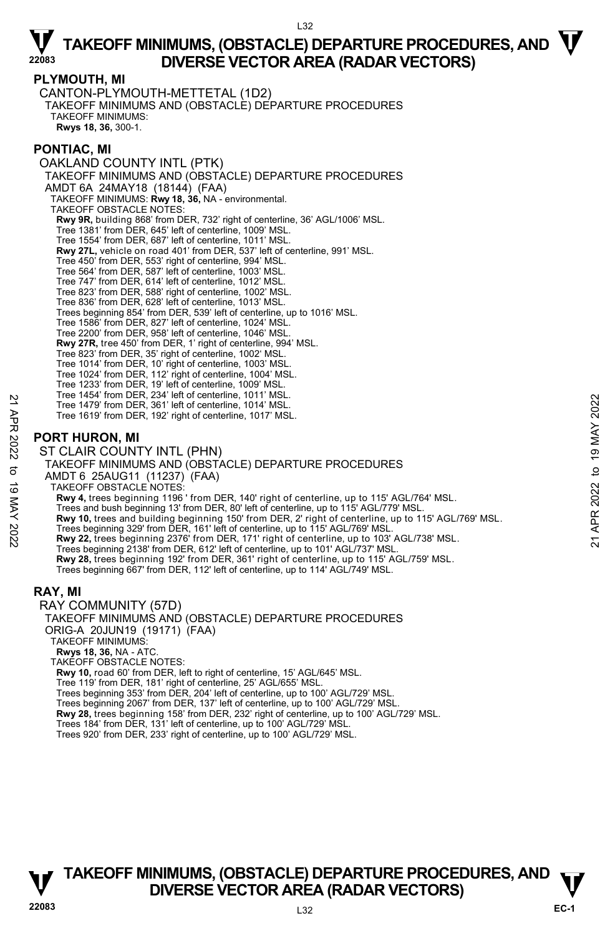$132$ 

#### **PLYMOUTH, MI**

CANTON-PLYMOUTH-METTETAL (1D2) TAKEOFF MINIMUMS AND (OBSTACLE) DEPARTURE PROCEDURES TAKEOFF MINIMUMS: **Rwys 18, 36,** 300-1.

#### **PONTIAC, MI**

OAKLAND COUNTY INTL (PTK) TAKEOFF MINIMUMS AND (OBSTACLE) DEPARTURE PROCEDURES AMDT 6A 24MAY18 (18144) (FAA) TAKEOFF MINIMUMS: **Rwy 18, 36,** NA - environmental. TAKEOFF OBSTACLE NOTES: **Rwy 9R,** building 868' from DER, 732' right of centerline, 36' AGL/1006' MSL. Tree 1381' from DER, 645' left of centerline, 1009' MSL. Tree 1554' from DER, 687' left of centerline, 1011' MSL. **Rwy 27L,** vehicle on road 401' from DER, 537' left of centerline, 991' MSL. Tree 450' from DER, 553' right of centerline, 994' MSL. Tree 564' from DER, 587' left of centerline, 1003' MSL. Tree 747' from DER, 614' left of centerline, 1012' MSL. Tree 823' from DER, 588' right of centerline, 1002' MSL. Tree 836' from DER, 628' left of centerline, 1013' MSL. Trees beginning 854' from DER, 539' left of centerline, up to 1016' MSL. Tree 1586' from DER, 827' left of centerline, 1024' MSL. Tree 2200' from DER, 958' left of centerline, 1046' MSL. **Rwy 27R,** tree 450' from DER, 1' right of centerline, 994' MSL. Tree 823' from DER, 35' right of centerline, 1002' MSL. Tree 1014' from DER, 10' right of centerline, 1003' MSL. Tree 1024' from DER, 112' right of centerline, 1004' MSL. Tree 1233' from DER, 19' left of centerline, 1009' MSL. Tree 1454' from DER, 234' left of centerline, 1011' MSL. Tree 1479' from DER, 361' left of centerline, 1014' MSL. Tree 1619' from DER, 192' right of centerline, 1017' MSL. **PORT HURON, MI**  ST CLAIR COUNTY INTL (PHN) TAKEOFF MINIMUMS AND (OBSTACLE) DEPARTURE PROCEDURES AMDT 6 25AUG11 (11237) (FAA) TAKEOFF OBSTACLE NOTES: **Rwy 4,** trees beginning 1196 ' from DER, 140' right of centerline, up to 115' AGL/764' MSL. Trees and bush beginning 13' from DER, 80' left of centerline, up to 115' AGL/779' MSL. **Rwy 10,** trees and building beginning 150' from DER, 2' right of centerline, up to 115' AGL/769' MSL. Trees beginning 329' from DER, 161' left of centerline, up to 115' AGL/769' MSL. **Rwy 22,** trees beginning 2376' from DER, 171' right of centerline, up to 103' AGL/738' MSL. Trees beginning 2138' from DER, 612' left of centerline, up to 101' AGL/737' MSL. **Rwy 28,** trees beginning 192' from DER, 361' right of centerline, up to 115' AGL/759' MSL. Trees beginning 667' from DER, 112' left of centerline, up to 114' AGL/749' MSL. **RAY, MI**  RAY COMMUNITY (57D) TAKEOFF MINIMUMS AND (OBSTACLE) DEPARTURE PROCEDURES ORIG-A 20JUN19 (19171) (FAA) Tree 1479 from DER, 361' left of centerline, 1011 WisL.<br>
Tree 1479 from DER, 361' left of centerline, 1017' MSL.<br>
Tree 1619' from DER, 192' right of centerline, 1017' MSL.<br>
ST CLAIR COUNTY INTL (PHN)<br>
TAKEOFF MINIMUMS AND

TAKEOFF MINIMUMS:

**Rwys 18, 36,** NA - ATC.

TAKEOFF OBSTACLE NOTES:

**Rwy 10,** road 60' from DER, left to right of centerline, 15' AGL/645' MSL.

Tree 119' from DER, 181' right of centerline, 25' AGL/655' MSL.

Trees beginning 353' from DER, 204' left of centerline, up to 100' AGL/729' MSL. Trees beginning 2067' from DER, 137' left of centerline, up to 100' AGL/729' MSL.

**Rwy 28,** trees beginning 158' from DER, 232' right of centerline, up to 100' AGL/729' MSL.

Trees 184' from DER, 131' left of centerline, up to 100' AGL/729' MSL. Trees 920' from DER, 233' right of centerline, up to 100' AGL/729' MSL.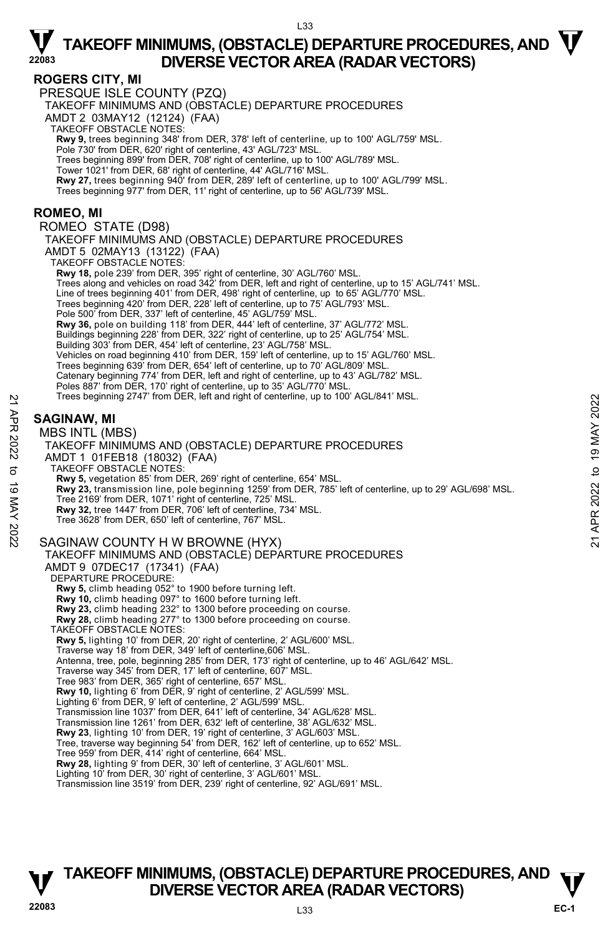#### **ROGERS CITY, MI**

PRESQUE ISLE COUNTY (PZQ)

TAKEOFF MINIMUMS AND (OBSTACLE) DEPARTURE PROCEDURES

AMDT 2 03MAY12 (12124) (FAA)

TAKEOFF OBSTACLE NOTES:

**Rwy 9,** trees beginning 348' from DER, 378' left of centerline, up to 100' AGL/759' MSL. Pole 730' from DER, 620' right of centerline, 43' AGL/723' MSL.

Trees beginning 899' from DER, 708' right of centerline, up to 100' AGL/789' MSL.

Tower 1021' from DER, 68' right of centerline, 44' AGL/716' MSL.

**Rwy 27,** trees beginning 940' from DER, 289' left of centerline, up to 100' AGL/799' MSL.<br>Trees beginning 977' from DER, 11' right of centerline, up to 56' AGL/739' MSL.

#### **ROMEO, MI**

ROMEO STATE (D98)

TAKEOFF MINIMUMS AND (OBSTACLE) DEPARTURE PROCEDURES AMDT 5 02MAY13 (13122) (FAA) TAKEOFF OBSTACLE NOTES: **Rwy 18,** pole 239' from DER, 395' right of centerline, 30' AGL/760' MSL. Trees along and vehicles on road 342' from DER, left and right of centerline, up to 15' AGL/741' MSL. Line of trees beginning 401' from DER, 498' right of centerline, up to 65' AGL/770' MSL. Trees beginning 420' from DER, 228' left of centerline, up to 75' AGL/793' MSL. Pole 500' from DER, 337' left of centerline, 45' AGL/759' MSL.<br>**Rwy 36,** pole on building 118' from DER, 444' left of centerline, 37' AGL/772' MSL. Buildings beginning 228' from DER, 322' right of centerline, up to 25' AGL/754' MSL. Building 303' from DER, 454' left of centerline, 23' AGL/758' MSL. Vehicles on road beginning 410' from DER, 159' left of centerline, up to 15' AGL/760' MSL.<br>Trees beginning 639' from DER, 654' left of centerline, up to 70' AGL/809' MSL. Catenary beginning 774' from DER, left and right of centerline, up to 43' AGL/782' MSL. Poles 887' from DER, 170' right of centerline, up to 35' AGL/770' MSL.<br>Trees beginning 2747' from DER, left and right of centerline, up to 100' AGL/841' MSL.

### **SAGINAW, MI**

#### MBS INTL (MBS)

TAKEOFF MINIMUMS AND (OBSTACLE) DEPARTURE PROCEDURES AMDT 1 01FEB18 (18032) (FAA) TAKEOFF OBSTACLE NOTES: **Rwy 5,** vegetation 85' from DER, 269' right of centerline, 654' MSL. **Rwy 23,** transmission line, pole beginning 1259' from DER, 785' left of centerline, up to 29' AGL/698' MSL.<br>Tree 2169' from DER, 1071' right of centerline, 725' MSL. **Rwy 32,** tree 1447' from DER, 706' left of centerline, 734' MSL. Tree 3628' from DER, 650' left of centerline, 767' MSL. SAGINAW COUNTY H W BROWNE (HYX) TAKEOFF MINIMUMS AND (OBSTACLE) DEPARTURE PROCEDURES AMDT 9 07DEC17 (17341) (FAA) DEPARTURE PROCEDURE: **Rwy 5,** climb heading 052° to 1900 before turning left. **Rwy 10,** climb heading 097° to 1600 before turning left. **Rwy 23,** climb heading 232° to 1300 before proceeding on course. **Rwy 28,** climb heading 277° to 1300 before proceeding on course. TAKEOFF OBSTACLE NOTES: **Rwy 5,** lighting 10' from DER, 20' right of centerline, 2' AGL/600' MSL. Traverse way 18' from DER, 349' left of centerline,606' MSL. Antenna, tree, pole, beginning 285' from DER, 173' right of centerline, up to 46' AGL/642' MSL. Traverse way 345' from DER, 17' left of centerline, 607' MSL. Tree 983' from DER, 365' right of centerline, 657' MSL. **Rwy 10,** lighting 6' from DER, 9' right of centerline, 2' AGL/599' MSL. Lighting 6' from DER, 9' left of centerline, 2' AGL/599' MSL. Transmission line 1037' from DER, 641' left of centerline, 34' AGL/628' MSL. Transmission line 1261' from DER, 632' left of centerline, 38' AGL/632' MSL. **Rwy 23**, lighting 10' from DER, 19' right of centerline, 3' AGL/603' MSL. Tree, traverse way beginning 54' from DER, 162' left of centerline, up to 652' MSL. Tree 959' from DER, 414' right of centerline, 664' MSL. **Rwy 28,** lighting 9' from DER, 30' left of centerline, 3' AGL/601' MSL. Lighting 10' from DER, 30' right of centerline, 3' AGL/601' MSL. Transmission line 3519' from DER, 239' right of centerline, 92' AGL/691' MSL. Trees beginning 2/4/ from DER, left and right of centerline, up to 100' AGL/841' MSL.<br> **21 APR 2022**<br> **21 ANDER SINTL (MBS)**<br>
TAKEOFF MINIMUMS AND (OBSTACLE) DEPARTURE PROCEDURES<br>
AMDIT 1 OfFEB18 (18032) (FAA)<br>
TAKEOFF OB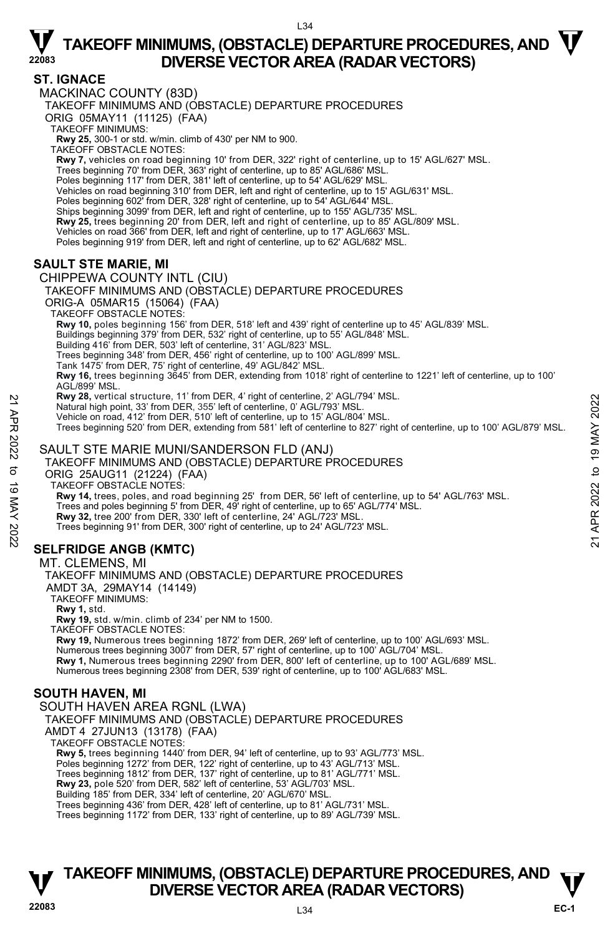### **ST. IGNACE**

MACKINAC COUNTY (83D) TAKEOFF MINIMUMS AND (OBSTACLE) DEPARTURE PROCEDURES ORIG 05MAY11 (11125) (FAA) TAKEOFF MINIMUMS: **Rwy 25,** 300-1 or std. w/min. climb of 430' per NM to 900. TAKEOFF OBSTACLE NOTES: **Rwy 7,** vehicles on road beginning 10' from DER, 322' right of centerline, up to 15' AGL/627' MSL. Trees beginning 70' from DER, 363' right of centerline, up to 85' AGL/686' MSL. Poles beginning 117' from DER, 381' left of centerline, up to 54' AGL/629' MSL.<br>Vehicles on road beginning 310' from DER, left and right of centerline, up to 15' AGL/631' MSL. Poles beginning 602' from DER, 328' right of centerline, up to 54' AGL/644' MSL. Ships beginning 3099' from DER, left and right of centerline, up to 155' AGL/735' MSL. **Rwy 25,** trees beginning 20' from DER, left and right of centerline, up to 85' AGL/809' MSL. Vehicles on road 366' from DER, left and right of centerline, up to 17' AGL/663' MSL. Poles beginning 919' from DER, left and right of centerline, up to 62' AGL/682' MSL. **SAULT STE MARIE, MI**  CHIPPEWA COUNTY INTL (CIU) TAKEOFF MINIMUMS AND (OBSTACLE) DEPARTURE PROCEDURES ORIG-A 05MAR15 (15064) (FAA) TAKEOFF OBSTACLE NOTES: **Rwy 10,** poles beginning 156' from DER, 518' left and 439' right of centerline up to 45' AGL/839' MSL. Buildings beginning 379' from DER, 532' right of centerline, up to 55' AGL/848' MSL. Building 416' from DER, 503' left of centerline, 31' AGL/823' MSL. Trees beginning 348' from DER, 456' right of centerline, up to 100' AGL/899' MSL. Tank 1475' from DER, 75' right of centerline, 49' AGL/842' MSL. **Rwy 16,** trees beginning 3645' from DER, extending from 1018' right of centerline to 1221' left of centerline, up to 100' AGL/899' MSL. **Rwy 28,** vertical structure, 11' from DER, 4' right of centerline, 2' AGL/794' MSL. Natural high point, 33' from DER, 355' left of centerline, 0' AGL/793' MSL. Vehicle on road, 412' from DER, 510' left of centerline, up to 15' AGL/804' MSL. Trees beginning 520' from DER, extending from 581' left of centerline to 827' right of centerline, up to 100' AGL/879' MSL. SAULT STE MARIE MUNI/SANDERSON FLD (ANJ) TAKEOFF MINIMUMS AND (OBSTACLE) DEPARTURE PROCEDURES ORIG 25AUG11 (21224) (FAA) New 28, vertical structure, 11' from DER, 49' right of centerline, 2' AGL/793' MSL.<br>
Natural high point, 33' from DER, 510' left of centerline, up to 15' AGL/804' MSL.<br>
Vehicle on road, 412' from DER, 510' left of centerli

TAKEOFF OBSTACLE NOTES:

**Rwy 14,** trees, poles, and road beginning 25' from DER, 56' left of centerline, up to 54' AGL/763' MSL.<br>Trees and poles beginning 5' from DER, 49' right of centerline, up to 65' AGL/774' MSL.

**Rwy 32,** tree 200' from DER, 330' left of centerline, 24' AGL/723' MSL.

Trees beginning 91' from DER, 300' right of centerline, up to 24' AGL/723' MSL.

### **SELFRIDGE ANGB (KMTC)**

#### MT. CLEMENS, MI

TAKEOFF MINIMUMS AND (OBSTACLE) DEPARTURE PROCEDURES

AMDT 3A, 29MAY14 (14149)

TAKEOFF MINIMUMS:

**Rwy 1,** std.

**Rwy 19,** std. w/min. climb of 234' per NM to 1500.

TAKEOFF OBSTACLE NOTES:

**Rwy 19,** Numerous trees beginning 1872' from DER, 269' left of centerline, up to 100' AGL/693' MSL. Numerous trees beginning 3007' from DER, 57' right of centerline, up to 100' AGL/704' MSL. **Rwy 1,** Numerous trees beginning 2290' from DER, 800' left of centerline, up to 100' AGL/689' MSL. Numerous trees beginning 2308' from DER, 539' right of centerline, up to 100' AGL/683' MSL.

### **SOUTH HAVEN, MI**

#### SOUTH HAVEN AREA RGNL (LWA)

TAKEOFF MINIMUMS AND (OBSTACLE) DEPARTURE PROCEDURES

AMDT 4 27JUN13 (13178) (FAA)

TAKEOFF OBSTACLE NOTES:

**Rwy 5,** trees beginning 1440' from DER, 94' left of centerline, up to 93' AGL/773' MSL.

Poles beginning 1272' from DER, 122' right of centerline, up to 43' AGL/713' MSL.

Trees beginning 1812' from DER, 137' right of centerline, up to 81' AGL/771' MSL. **Rwy 23,** pole 520' from DER, 582' left of centerline, 53' AGL/703' MSL.

Building 185' from DER, 334' left of centerline, 20' AGL/670' MSL.

Trees beginning 436' from DER, 428' left of centerline, up to 81' AGL/731' MSL.

Trees beginning 1172' from DER, 133' right of centerline, up to 89' AGL/739' MSL.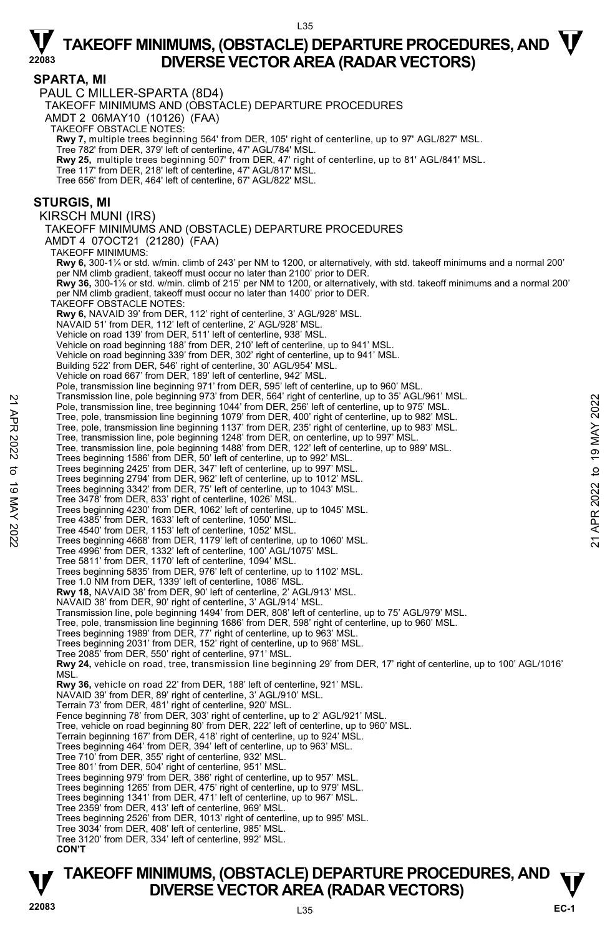#### $135$

# $\nabla$  TAKEOFF MINIMUMS, (OBSTACLE) DEPARTURE PROCEDURES, AND  $\nabla$ **DIVERSE VECTOR AREA (RADAR VECTORS)**

#### **SPARTA, MI**

PAUL C MILLER-SPARTA (8D4)

TAKEOFF MINIMUMS AND (OBSTACLE) DEPARTURE PROCEDURES

AMDT 2 06MAY10 (10126) (FAA)

TAKEOFF OBSTACLE NOTES:

**Rwy 7,** multiple trees beginning 564' from DER, 105' right of centerline, up to 97' AGL/827' MSL.<br>Tree 782' from DER, 379' left of centerline, 47' AGL/784' MSL.

**Rwy 25,** multiple trees beginning 507' from DER, 47' right of centerline, up to 81' AGL/841' MSL.

Tree 117' from DER, 218' left of centerline, 47' AGL/817' MSL.

Tree 656' from DER, 464' left of centerline, 67' AGL/822' MSL.

#### **STURGIS, MI**

KIRSCH MUNI (IRS)

TAKEOFF MINIMUMS AND (OBSTACLE) DEPARTURE PROCEDURES AMDT 4 07OCT21 (21280) (FAA)

TAKEOFF MINIMUMS: **Rwy 6,** 300-1¼ or std. w/min. climb of 243' per NM to 1200, or alternatively, with std. takeoff minimums and a normal 200' er NM climb gradient, takeoff must occur no later than 2100' prior to DER.  **Rwy 36,** 300-1⅛ or std. w/min. climb of 215' per NM to 1200, or alternatively, with std. takeoff minimums and a normal 200' per NM climb gradient, takeoff must occur no later than 1400' prior to DER. TAKEOFF OBSTACLE NOTES: **Rwy 6,** NAVAID 39' from DER, 112' right of centerline, 3' AGL/928' MSL. NAVAID 51' from DER, 112' left of centerline, 2' AGL/928' MSL. Vehicle on road 139' from DER, 511' left of centerline, 938' MSL. Vehicle on road beginning 188' from DER, 210' left of centerline, up to 941' MSL. Vehicle on road beginning 339' from DER, 302' right of centerline, up to 941' MSL. Building 522' from DER, 546' right of centerline, 30' AGL/954' MSL. Vehicle on road 667' from DER, 189' left of centerline, 942' MSL. Pole, transmission line beginning 971' from DER, 595' left of centerline, up to 960' MSL. Transmission line, pole beginning 973' from DER, 564' right of centerline, up to 35' AGL/961' MSL. Pole, transmission line, tree beginning 1044' from DER, 256' left of centerline, up to 975' MSL. Tree, pole, transmission line beginning 1079' from DER, 400' right of centerline, up to 982' MSL. Tree, pole, transmission line beginning 1137' from DER, 235' right of centerline, up to 983' MSL. Tree, transmission line, pole beginning 1248' from DER, on centerline, up to 997' MSL. Tree, transmission line, pole beginning 1488' from DER, 122' left of centerline, up to 989' MSL. Trees beginning 1586' from DER, 50' left of centerline, up to 992' MSL.<br>Trees beginning 2425' from DER, 347' left of centerline, up to 997' MSL.<br>Trees beginning 2794' from DER, 962' left of centerline, up to 1012' MSL. Trees beginning 3342' from DER, 75' left of centerline, up to 1043' MSL. Tree 3478' from DER, 833' right of centerline, 1026' MSL. Trees beginning 4230' from DER, 1062' left of centerline, up to 1045' MSL. Tree 4385' from DER, 1633' left of centerline, 1050' MSL. Tree 4540' from DER, 1153' left of centerline, 1052' MSL. Trees beginning 4668' from DER, 1179' left of centerline, up to 1060' MSL. Tree 4996' from DER, 1332' left of centerline, 100' AGL/1075' MSL. Tree 5811' from DER, 1170' left of centerline, 1094' MSL. Trees beginning 5835' from DER, 976' left of centerline, up to 1102' MSL. Tree 1.0 NM from DER, 1339' left of centerline, 1086' MSL. **Rwy 18,** NAVAID 38' from DER, 90' left of centerline, 2' AGL/913' MSL. NAVAID 38' from DER, 90' right of centerline, 3' AGL/914' MSL. Transmission line, pole beginning 1494' from DER, 808' left of centerline, up to 75' AGL/979' MSL. Tree, pole, transmission line beginning 1686' from DER, 598' right of centerline, up to 960' MSL. Trees beginning 1989' from DER, 77' right of centerline, up to 963' MSL. Trees beginning 2031' from DER, 152' right of centerline, up to 968' MSL. Tree 2085' from DER, 550' right of centerline, 971' MSL. **Rwy 24,** vehicle on road, tree, transmission line beginning 29' from DER, 17' right of centerline, up to 100' AGL/1016'<br>MSL. **Rwy 36,** vehicle on road 22' from DER, 188' left of centerline, 921' MSL. NAVAID 39' from DER, 89' right of centerline, 3' AGL/910' MSL. Terrain 73' from DER, 481' right of centerline, 920' MSL. Fence beginning 78' from DER, 303' right of centerline, up to 2' AGL/921' MSL. Tree, vehicle on road beginning 80' from DER, 222' left of centerline, up to 960' MSL. Terrain beginning 167' from DER, 418' right of centerline, up to 924' MSL. Trees beginning 464' from DER, 394' left of centerline, up to 963' MSL. Tree 710' from DER, 355' right of centerline, 932' MSL. Tree 801' from DER, 504' right of centerline, 951' MSL. Trees beginning 979' from DER, 386' right of centerline, up to 957' MSL. Trees beginning 1265' from DER, 475' right of centerline, up to 979' MSL. Trees beginning 1341' from DER, 471' left of centerline, up to 967' MSL. Tree 2359' from DER, 413' left of centerline, 969' MSL. Trees beginning 2526' from DER, 1013' right of centerline, up to 995' MSL. Tree 3034' from DER, 408' left of centerline, 985' MSL. Framsmission line, pote beginning 973' from DER, 1987 To tenterline, up to 32 AGL/961' MSL.<br>
Thee, pole, transmission line beginning 1079' from DER, 256' left of centerline, up to 975' MSL.<br>
Tree, pole, transmission line

Tree 3120' from DER, 334' left of centerline, 992' MSL.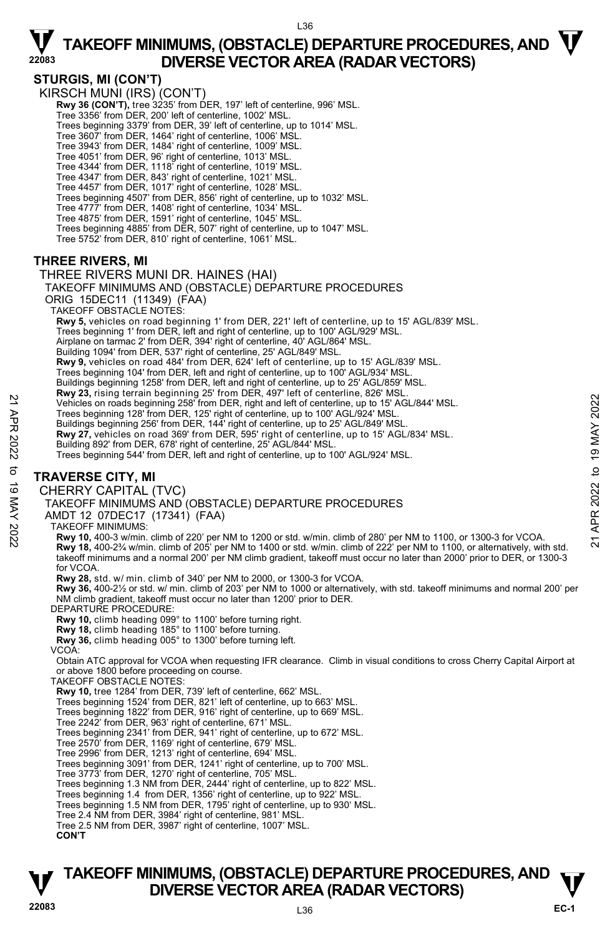### **STURGIS, MI (CON'T)**

KIRSCH MUNI (IRS) (CON'T) Rwy 36 (CON'T), tree 3235' from DER, 197' left of centerline, 996' MSL. Tree 3356' from DER, 200' left of centerline, 1002' MSL. Trees beginning 3379' from DER, 39' left of centerline, up to 1014' MSL. Tree 3607' from DER, 1464' right of centerline, 1006' MSL. Tree 3943' from DER, 1484' right of centerline, 1009' MSL. Tree 4051' from DER, 96' right of centerline, 1013' MSL. Tree 4344' from DER, 1118' right of centerline, 1019' MSL. Tree 4347' from DER, 843' right of centerline, 1021' MSL.<br>Tree 4457' from DER, 1017' right of centerline, 1028' MSL.<br>Trees beginning 4507' from DER, 856' right of centerline, up to 1032' MSL. Tree 4777' from DER, 1408' right of centerline, 1034' MSL. Tree 4875' from DER, 1591' right of centerline, 1045' MSL. Trees beginning 4885' from DER, 507' right of centerline, up to 1047' MSL. Tree 5752' from DER, 810' right of centerline, 1061' MSL.

### **THREE RIVERS, MI**

#### THREE RIVERS MUNI DR. HAINES (HAI)

TAKEOFF MINIMUMS AND (OBSTACLE) DEPARTURE PROCEDURES

ORIG 15DEC11 (11349) (FAA) TAKEOFF OBSTACLE NOTES:

 **Rwy 5,** vehicles on road beginning 1' from DER, 221' left of centerline, up to 15' AGL/839' MSL.

Trees beginning 1' from DER, left and right of centerline, up to 100' AGL/929' MSL.

Airplane on tarmac 2' from DER, 394' right of centerline, 40' AGL/864' MSL.

Building 1094' from DER, 537' right of centerline, 25' AGL/849' MSL.

**Rwy 9,** vehicles on road 484' from DER, 624' left of centerline, up to 15' AGL/839' MSL.

Trees beginning 104' from DER, left and right of centerline, up to 100' AGL/934' MSL.

Buildings beginning 1258' from DER, left and right of centerline, up to 25' AGL/859' MSL.

**Rwy 23,** rising terrain beginning 25' from DER, 497' left of centerline, 826' MSL.<br>Vehicles on roads beginning 258' from DER, right and left of centerline, up to 15' AGL/844' MSL.

Trees beginning 128' from DER, 125' right of centerline, up to 100' AGL/924' MSL.

Buildings beginning 256' from DER, 144' right of centerline, up to 25' AGL/849' MSL.<br>**Rwy 27,** vehicles on road 369' from DER, 595' right of centerline, up to 15' AGL/834' MSL. Building 892' from DER, 678' right of centerline, 25' AGL/844' MSL.

Trees beginning 544' from DER, left and right of centerline, up to 100' AGL/924' MSL.

### **TRAVERSE CITY, MI**

CHERRY CAPITAL (TVC)

TAKEOFF MINIMUMS AND (OBSTACLE) DEPARTURE PROCEDURES

AMDT 12 07DEC17 (17341) (FAA)

TAKEOFF MINIMUMS:

**Rwy 10,** 400-3 w/min. climb of 220' per NM to 1200 or std. w/min. climb of 280' per NM to 1100, or 1300-3 for VCOA. **Rwy 18,** 400-2¾ w/min. climb of 205' per NM to 1400 or std. w/min. climb of 222' per NM to 1100, or alternatively, with std. takeoff minimums and a normal 200' per NM climb gradient, takeoff must occur no later than 2000' prior to DER, or 1300-3 for VCOA. 22 Vehicles on roads beginning 258" from DER, right and left of centerline, up to 15' AGL/844" MSL.<br>
Trees beginning 268" from DER, right of centerline, up to 100' AGL/924" MSL.<br>
22 To 19 May 27, vehicles on road 369" fro

**Rwy 28,** std. w/ min. climb of 340' per NM to 2000, or 1300-3 for VCOA.

**Rwy 36,** 400-2½ or std. w/ min. climb of 203' per NM to 1000 or alternatively, with std. takeoff minimums and normal 200' per NM climb gradient, takeoff must occur no later than 1200' prior to DER. DEPARTURE PROCEDURE:

**Rwy 10,** climb heading 099° to 1100' before turning right.

**Rwy 18,** climb heading 185° to 1100' before turning. **Rwy 36,** climb heading 005° to 1300' before turning left.

VCOA:

Obtain ATC approval for VCOA when requesting IFR clearance. Climb in visual conditions to cross Cherry Capital Airport at or above 1800 before proceeding on course. TAKEOFF OBSTACLE NOTES:

**Rwy 10,** tree 1284' from DER, 739' left of centerline, 662' MSL.

Trees beginning 1524' from DER, 821' left of centerline, up to 663' MSL.

Trees beginning 1822' from DER, 916' right of centerline, up to 669' MSL.

Tree 2242' from DER, 963' right of centerline, 671' MSL.

Trees beginning 2341' from DER, 941' right of centerline, up to 672' MSL.

Tree 2570' from DER, 1169' right of centerline, 679' MSL. Tree 2996' from DER, 1213' right of centerline, 694' MSL.

Trees beginning 3091' from DER, 1241' right of centerline, up to 700' MSL.

Tree 3773' from DER, 1270' right of centerline, 705' MSL. Trees beginning 1.3 NM from DER, 2444' right of centerline, up to 822' MSL.

Trees beginning 1.4 from DER, 1356' right of centerline, up to 922' MSL.

Trees beginning 1.5 NM from DER, 1795' right of centerline, up to 930' MSL. Tree 2.4 NM from DER, 3984' right of centerline, 981' MSL.

Tree 2.5 NM from DER, 3987' right of centerline, 1007' MSL.

**CON'T**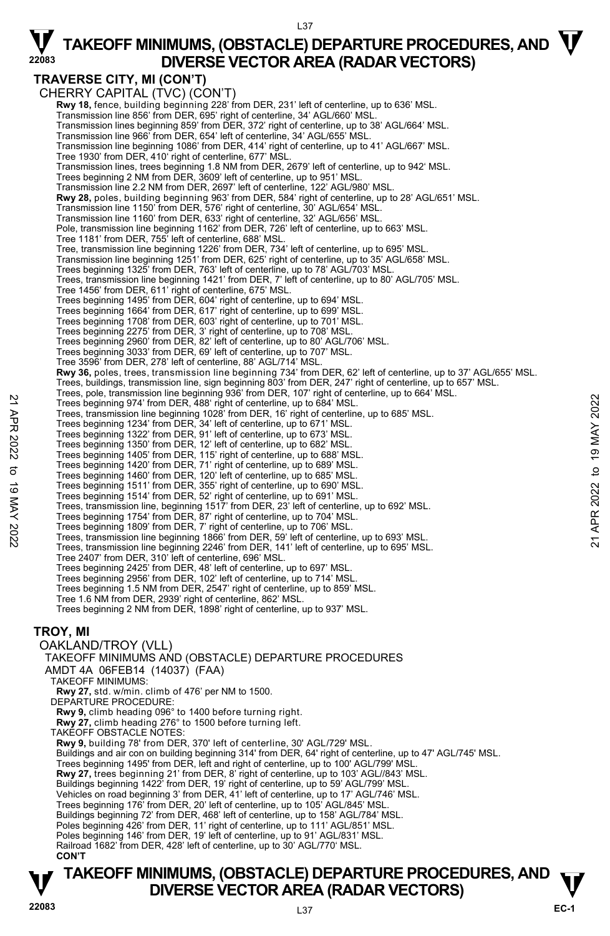### **TRAVERSE CITY, MI (CON'T)**

**TAKEOFF MINIMUMS, (OBSTACLE) DEPARTURE PROCEDURES, AND**  $\mathbf{\mathbf{\mathbf{\mathbf{V}}}}$ CHERRY CAPITAL (TVC) (CON'T)  **Rwy 18,** fence, building beginning 228' from DER, 231' left of centerline, up to 636' MSL. Transmission line 856' from DER, 695' right of centerline, 34' AGL/660' MSL. Transmission lines beginning 859' from DER, 372' right of centerline, up to 38' AGL/664' MSL. Transmission line 966' from DER, 654' left of centerline, 34' AGL/655' MSL. Transmission line beginning 1086' from DER, 414' right of centerline, up to 41' AGL/667' MSL. Tree 1930' from DER, 410' right of centerline, 677' MSL. Transmission lines, trees beginning 1.8 NM from DER, 2679' left of centerline, up to 942' MSL. Trees beginning 2 NM from DER, 3609' left of centerline, up to 951' MSI Transmission line 2.2 NM from DER, 2697' left of centerline, 122' AGL/980' MSL.  **Rwy 28,** poles, building beginning 963' from DER, 584' right of centerline, up to 28' AGL/651' MSL. Transmission line 1150' from DER, 576' right of centerline, 30' AGL/654' MSL. Transmission line 1160' from DER, 633' right of centerline, 32' AGL/656' MSL. Pole, transmission line beginning 1162' from DER, 726' left of centerline, up to 663' MSL. Tree 1181' from DER, 755' left of centerline, 688' MSL. Tree, transmission line beginning 1226' from DER, 734' left of centerline, up to 695' MSL.<br>Transmission line beginning 1251' from DER, 625' right of centerline, up to 35' AGL/658' MSL. Trees beginning 1325' from DER, 763' left of centerline, up to 78' AGL/703' MSL. Trees, transmission line beginning 1421' from DER, 7' left of centerline, up to 80' AGL/705' MSL. Tree 1456' from DER, 611' right of centerline, 675' MSL. Trees beginning 1495' from DER, 604' right of centerline, up to 694' MSL. Trees beginning 1664' from DER, 617' right of centerline, up to 699' MSL. Trees beginning 1708' from DER, 603' right of centerline, up to 701' MSL.<br>Trees beginning 2275' from DER, 3' right of centerline, up to 708' MSL.<br>Trees beginning 2960' from DER, 82' left of centerline, up to 80' AGL/706' M Trees beginning 3033' from DER, 69' left of centerline, up to 707' MSL. Tree 3596' from DER, 278' left of centerline, 88' AGL/714' MSL. **Rwy 36,** poles, trees, transmission line beginning 734' from DER, 62' left of centerline, up to 37' AGL/655' MSL. Trees, buildings, transmission line, sign beginning 803' from DER, 247' right of centerline, up to 657' MSL. Trees, pole, transmission line beginning 936' from DER, 107' right of centerline, up to 664' MSL.<br>Trees beginning 974' from DER, 488' right of centerline, up to 684' MSL. Trees, transmission line beginning 1028' from DER, 16' right of centerline, up to 685' MSL. Trees beginning 1234' from DER, 34' left of centerline, up to 671' MSL. Trees beginning 1322' from DER, 91' left of centerline, up to 673' MSL. Trees beginning 1350' from DER, 12' left of centerline, up to 682' MSL. Trees beginning 1405' from DER, 115' right of centerline, up to 688' MSL. Trees beginning 1420' from DER, 71' right of centerline, up to 689' MSL. Trees beginning 1460' from DER, 120' left of centerline, up to 685' MSL. Trees beginning 1511' from DER, 355' right of centerline, up to 690' MSL. Trees beginning 1514' from DER, 52' right of centerline, up to 691' MSL. Trees, transmission line, beginning 1517' from DER, 23' left of centerline, up to 692' MSL. Trees beginning 1754' from DER, 87' right of centerline, up to 704' MSL. Trees beginning 974 from DER, 488' right of centerline, up to 684 MSL.<br>Trees beginning 974 from DER, 488' right of centerline, up to 684 MSL.<br>Trees beginning 1234' from DER, 488' right of centerline, up to 671' MSL.<br>Trees Tree 2407' from DER, 310' left of centerline, 696' MSL. Trees beginning 2425' from DER, 48' left of centerline, up to 697' MSL. Trees beginning 2956' from DER, 102' left of centerline, up to 714' MSL. Trees beginning 1.5 NM from DER, 2547' right of centerline, up to 859' MSL. Tree 1.6 NM from DER, 2939' right of centerline, 862' MSL. Trees beginning 2 NM from DER, 1898' right of centerline, up to 937' MSL. **TROY, MI**  OAKLAND/TROY (VLL) TAKEOFF MINIMUMS AND (OBSTACLE) DEPARTURE PROCEDURES AMDT 4A 06FEB14 (14037) (FAA) TAKEOFF MINIMUMS: **Rwy 27,** std. w/min. climb of 476' per NM to 1500. DEPARTURE PROCEDURE: **Rwy 9,** climb heading 096° to 1400 before turning right. **Rwy 27,** climb heading 276° to 1500 before turning left. TAKEOFF OBSTACLE NOTES: **Rwy 9,** building 78' from DER, 370' left of centerline, 30' AGL/729' MSL.<br>Buildings and air con on building beginning 314' from DER, 64' right of centerline, up to 47' AGL/745' MSL. Trees beginning 1495' from DER, left and right of centerline, up to 100' AGL/799' MSL. **Rwy 27,** trees beginning 21' from DER, 8' right of centerline, up to 103' AGL//843' MSL.<br>Buildings beginning 1422' from DER, 19' right of centerline, up to 59' AGL/799' MSL. Vehicles on road beginning 3' from DER, 41' left of centerline, up to 17' AGL/746' MSL. Trees beginning 176' from DER, 20' left of centerline, up to 105' AGL/845' MSL. Buildings beginning 72' from DER, 468' left of centerline, up to 158' AGL/784' MSL. Poles beginning 426' from DER, 11' right of centerline, up to 111' AGL/851' MSL. Poles beginning 146' from DER, 19' left of centerline, up to 91' AGL/831' MSL. Railroad 1682' from DER, 428' left of centerline, up to 30' AGL/770' MSL. **CON'T**